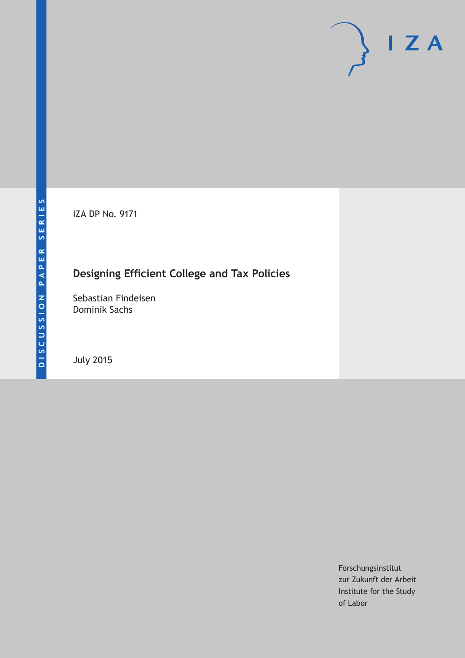IZA DP No. 9171

# **Designing Efficient College and Tax Policies**

Sebastian Findeisen Dominik Sachs

July 2015

Forschungsinstitut zur Zukunft der Arbeit Institute for the Study of Labor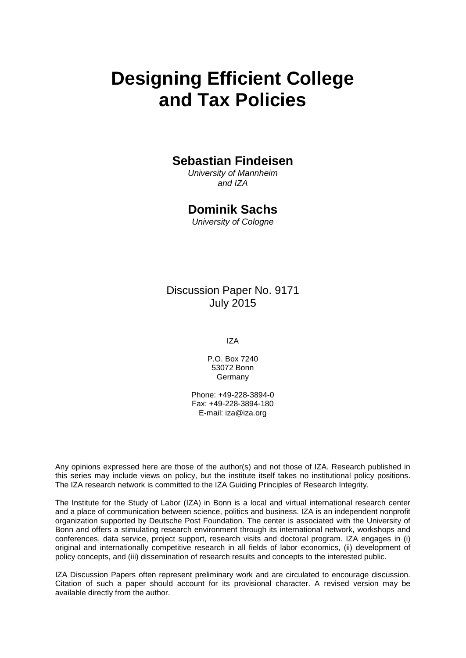# **Designing Efficient College and Tax Policies**

# **Sebastian Findeisen**

*University of Mannheim and IZA*

# **Dominik Sachs**

*University of Cologne*

Discussion Paper No. 9171 July 2015

IZA

P.O. Box 7240 53072 Bonn Germany

Phone: +49-228-3894-0 Fax: +49-228-3894-180 E-mail: iza@iza.org

Any opinions expressed here are those of the author(s) and not those of IZA. Research published in this series may include views on policy, but the institute itself takes no institutional policy positions. The IZA research network is committed to the IZA Guiding Principles of Research Integrity.

<span id="page-1-0"></span>The Institute for the Study of Labor (IZA) in Bonn is a local and virtual international research center and a place of communication between science, politics and business. IZA is an independent nonprofit organization supported by Deutsche Post Foundation. The center is associated with the University of Bonn and offers a stimulating research environment through its international network, workshops and conferences, data service, project support, research visits and doctoral program. IZA engages in (i) original and internationally competitive research in all fields of labor economics, (ii) development of policy concepts, and (iii) dissemination of research results and concepts to the interested public.

IZA Discussion Papers often represent preliminary work and are circulated to encourage discussion. Citation of such a paper should account for its provisional character. A revised version may be available directly from the author.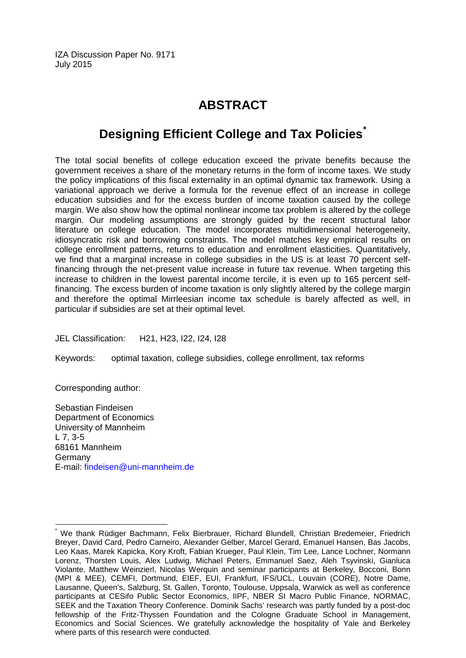IZA Discussion Paper No. 9171 July 2015

# **ABSTRACT**

# **Designing Efficient College and Tax Policies[\\*](#page-1-0)**

The total social benefits of college education exceed the private benefits because the government receives a share of the monetary returns in the form of income taxes. We study the policy implications of this fiscal externality in an optimal dynamic tax framework. Using a variational approach we derive a formula for the revenue effect of an increase in college education subsidies and for the excess burden of income taxation caused by the college margin. We also show how the optimal nonlinear income tax problem is altered by the college margin. Our modeling assumptions are strongly guided by the recent structural labor literature on college education. The model incorporates multidimensional heterogeneity, idiosyncratic risk and borrowing constraints. The model matches key empirical results on college enrollment patterns, returns to education and enrollment elasticities. Quantitatively, we find that a marginal increase in college subsidies in the US is at least 70 percent selffinancing through the net-present value increase in future tax revenue. When targeting this increase to children in the lowest parental income tercile, it is even up to 165 percent selffinancing. The excess burden of income taxation is only slightly altered by the college margin and therefore the optimal Mirrleesian income tax schedule is barely affected as well, in particular if subsidies are set at their optimal level.

JEL Classification: H21, H23, I22, I24, I28

Keywords: optimal taxation, college subsidies, college enrollment, tax reforms

Corresponding author:

Sebastian Findeisen Department of Economics University of Mannheim L 7, 3-5 68161 Mannheim Germany E-mail: [findeisen@uni-mannheim.de](mailto:findeisen@uni-mannheim.de)

We thank Rüdiger Bachmann, Felix Bierbrauer, Richard Blundell, Christian Bredemeier, Friedrich Breyer, David Card, Pedro Carneiro, Alexander Gelber, Marcel Gerard, Emanuel Hansen, Bas Jacobs, Leo Kaas, Marek Kapicka, Kory Kroft, Fabian Krueger, Paul Klein, Tim Lee, Lance Lochner, Normann Lorenz, Thorsten Louis, Alex Ludwig, Michael Peters, Emmanuel Saez, Aleh Tsyvinski, Gianluca Violante, Matthew Weinzierl, Nicolas Werquin and seminar participants at Berkeley, Bocconi, Bonn (MPI & MEE), CEMFI, Dortmund, EIEF, EUI, Frankfurt, IFS/UCL, Louvain (CORE), Notre Dame, Lausanne, Queen's, Salzburg, St. Gallen, Toronto, Toulouse, Uppsala, Warwick as well as conference participants at CESifo Public Sector Economics, IIPF, NBER SI Macro Public Finance, NORMAC, SEEK and the Taxation Theory Conference. Dominik Sachs' research was partly funded by a post-doc fellowship of the Fritz-Thyssen Foundation and the Cologne Graduate School in Management, Economics and Social Sciences. We gratefully acknowledge the hospitality of Yale and Berkeley where parts of this research were conducted.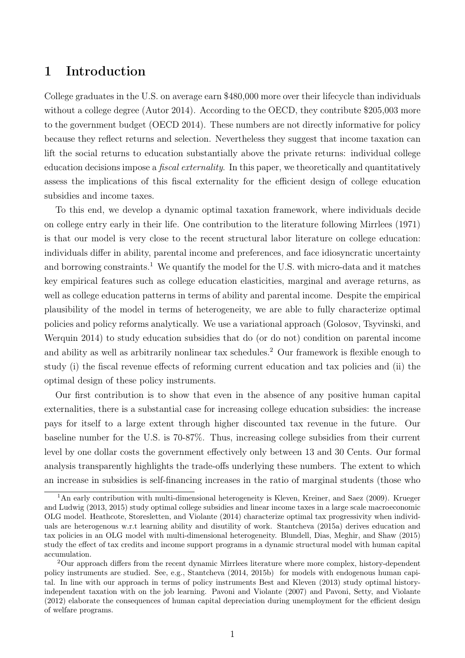# 1 Introduction

College graduates in the U.S. on average earn \$480,000 more over their lifecycle than individuals without a college degree (Autor 2014). According to the OECD, they contribute \$205,003 more to the government budget (OECD 2014). These numbers are not directly informative for policy because they reflect returns and selection. Nevertheless they suggest that income taxation can lift the social returns to education substantially above the private returns: individual college education decisions impose a *fiscal externality*. In this paper, we theoretically and quantitatively assess the implications of this fiscal externality for the efficient design of college education subsidies and income taxes.

To this end, we develop a dynamic optimal taxation framework, where individuals decide on college entry early in their life. One contribution to the literature following Mirrlees (1971) is that our model is very close to the recent structural labor literature on college education: individuals differ in ability, parental income and preferences, and face idiosyncratic uncertainty and borrowing constraints.<sup>1</sup> We quantify the model for the U.S. with micro-data and it matches key empirical features such as college education elasticities, marginal and average returns, as well as college education patterns in terms of ability and parental income. Despite the empirical plausibility of the model in terms of heterogeneity, we are able to fully characterize optimal policies and policy reforms analytically. We use a variational approach (Golosov, Tsyvinski, and Werquin 2014) to study education subsidies that do (or do not) condition on parental income and ability as well as arbitrarily nonlinear tax schedules.<sup>2</sup> Our framework is flexible enough to study (i) the fiscal revenue effects of reforming current education and tax policies and (ii) the optimal design of these policy instruments.

Our first contribution is to show that even in the absence of any positive human capital externalities, there is a substantial case for increasing college education subsidies: the increase pays for itself to a large extent through higher discounted tax revenue in the future. Our baseline number for the U.S. is 70-87%. Thus, increasing college subsidies from their current level by one dollar costs the government effectively only between 13 and 30 Cents. Our formal analysis transparently highlights the trade-offs underlying these numbers. The extent to which an increase in subsidies is self-financing increases in the ratio of marginal students (those who

<sup>&</sup>lt;sup>1</sup>An early contribution with multi-dimensional heterogeneity is Kleven, Kreiner, and Saez (2009). Krueger and Ludwig (2013, 2015) study optimal college subsidies and linear income taxes in a large scale macroeconomic OLG model. Heathcote, Storesletten, and Violante (2014) characterize optimal tax progressivity when individuals are heterogenous w.r.t learning ability and disutility of work. Stantcheva (2015a) derives education and tax policies in an OLG model with multi-dimensional heterogeneity. Blundell, Dias, Meghir, and Shaw (2015) study the effect of tax credits and income support programs in a dynamic structural model with human capital accumulation.

<sup>2</sup>Our approach differs from the recent dynamic Mirrlees literature where more complex, history-dependent policy instruments are studied. See, e.g., Stantcheva (2014, 2015b) for models with endogenous human capital. In line with our approach in terms of policy instruments Best and Kleven (2013) study optimal historyindependent taxation with on the job learning. Pavoni and Violante (2007) and Pavoni, Setty, and Violante (2012) elaborate the consequences of human capital depreciation during unemployment for the efficient design of welfare programs.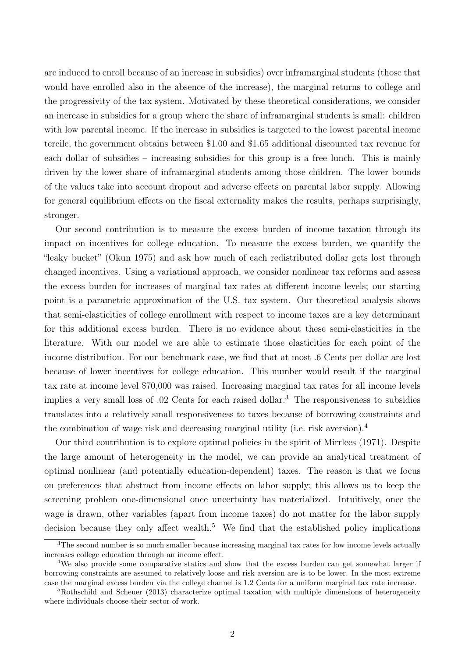are induced to enroll because of an increase in subsidies) over inframarginal students (those that would have enrolled also in the absence of the increase), the marginal returns to college and the progressivity of the tax system. Motivated by these theoretical considerations, we consider an increase in subsidies for a group where the share of inframarginal students is small: children with low parental income. If the increase in subsidies is targeted to the lowest parental income tercile, the government obtains between \$1.00 and \$1.65 additional discounted tax revenue for each dollar of subsidies – increasing subsidies for this group is a free lunch. This is mainly driven by the lower share of inframarginal students among those children. The lower bounds of the values take into account dropout and adverse effects on parental labor supply. Allowing for general equilibrium effects on the fiscal externality makes the results, perhaps surprisingly, stronger.

Our second contribution is to measure the excess burden of income taxation through its impact on incentives for college education. To measure the excess burden, we quantify the "leaky bucket" (Okun 1975) and ask how much of each redistributed dollar gets lost through changed incentives. Using a variational approach, we consider nonlinear tax reforms and assess the excess burden for increases of marginal tax rates at different income levels; our starting point is a parametric approximation of the U.S. tax system. Our theoretical analysis shows that semi-elasticities of college enrollment with respect to income taxes are a key determinant for this additional excess burden. There is no evidence about these semi-elasticities in the literature. With our model we are able to estimate those elasticities for each point of the income distribution. For our benchmark case, we find that at most .6 Cents per dollar are lost because of lower incentives for college education. This number would result if the marginal tax rate at income level \$70,000 was raised. Increasing marginal tax rates for all income levels implies a very small loss of .02 Cents for each raised dollar.<sup>3</sup> The responsiveness to subsidies translates into a relatively small responsiveness to taxes because of borrowing constraints and the combination of wage risk and decreasing marginal utility (i.e. risk aversion).<sup>4</sup>

Our third contribution is to explore optimal policies in the spirit of Mirrlees (1971). Despite the large amount of heterogeneity in the model, we can provide an analytical treatment of optimal nonlinear (and potentially education-dependent) taxes. The reason is that we focus on preferences that abstract from income effects on labor supply; this allows us to keep the screening problem one-dimensional once uncertainty has materialized. Intuitively, once the wage is drawn, other variables (apart from income taxes) do not matter for the labor supply decision because they only affect wealth.<sup>5</sup> We find that the established policy implications

<sup>&</sup>lt;sup>3</sup>The second number is so much smaller because increasing marginal tax rates for low income levels actually increases college education through an income effect.

<sup>&</sup>lt;sup>4</sup>We also provide some comparative statics and show that the excess burden can get somewhat larger if borrowing constraints are assumed to relatively loose and risk aversion are is to be lower. In the most extreme case the marginal excess burden via the college channel is 1.2 Cents for a uniform marginal tax rate increase.

<sup>5</sup>Rothschild and Scheuer (2013) characterize optimal taxation with multiple dimensions of heterogeneity where individuals choose their sector of work.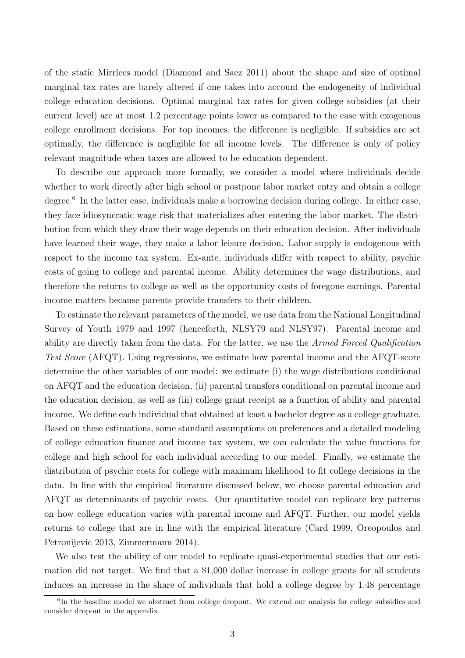of the static Mirrlees model (Diamond and Saez 2011) about the shape and size of optimal marginal tax rates are barely altered if one takes into account the endogeneity of individual college education decisions. Optimal marginal tax rates for given college subsidies (at their current level) are at most 1.2 percentage points lower as compared to the case with exogenous college enrollment decisions. For top incomes, the difference is negligible. If subsidies are set optimally, the difference is negligible for all income levels. The difference is only of policy relevant magnitude when taxes are allowed to be education dependent.

To describe our approach more formally, we consider a model where individuals decide whether to work directly after high school or postpone labor market entry and obtain a college degree.<sup>6</sup> In the latter case, individuals make a borrowing decision during college. In either case, they face idiosyncratic wage risk that materializes after entering the labor market. The distribution from which they draw their wage depends on their education decision. After individuals have learned their wage, they make a labor leisure decision. Labor supply is endogenous with respect to the income tax system. Ex-ante, individuals differ with respect to ability, psychic costs of going to college and parental income. Ability determines the wage distributions, and therefore the returns to college as well as the opportunity costs of foregone earnings. Parental income matters because parents provide transfers to their children.

To estimate the relevant parameters of the model, we use data from the National Longitudinal Survey of Youth 1979 and 1997 (henceforth, NLSY79 and NLSY97). Parental income and ability are directly taken from the data. For the latter, we use the Armed Forced Qualification Test Score (AFQT). Using regressions, we estimate how parental income and the AFQT-score determine the other variables of our model: we estimate (i) the wage distributions conditional on AFQT and the education decision, (ii) parental transfers conditional on parental income and the education decision, as well as (iii) college grant receipt as a function of ability and parental income. We define each individual that obtained at least a bachelor degree as a college graduate. Based on these estimations, some standard assumptions on preferences and a detailed modeling of college education finance and income tax system, we can calculate the value functions for college and high school for each individual according to our model. Finally, we estimate the distribution of psychic costs for college with maximum likelihood to fit college decisions in the data. In line with the empirical literature discussed below, we choose parental education and AFQT as determinants of psychic costs. Our quantitative model can replicate key patterns on how college education varies with parental income and AFQT. Further, our model yields returns to college that are in line with the empirical literature (Card 1999, Oreopoulos and Petronijevic 2013, Zimmermann 2014).

We also test the ability of our model to replicate quasi-experimental studies that our estimation did not target. We find that a \$1,000 dollar increase in college grants for all students induces an increase in the share of individuals that hold a college degree by 1.48 percentage

<sup>&</sup>lt;sup>6</sup>In the baseline model we abstract from college dropout. We extend our analysis for college subsidies and consider dropout in the appendix.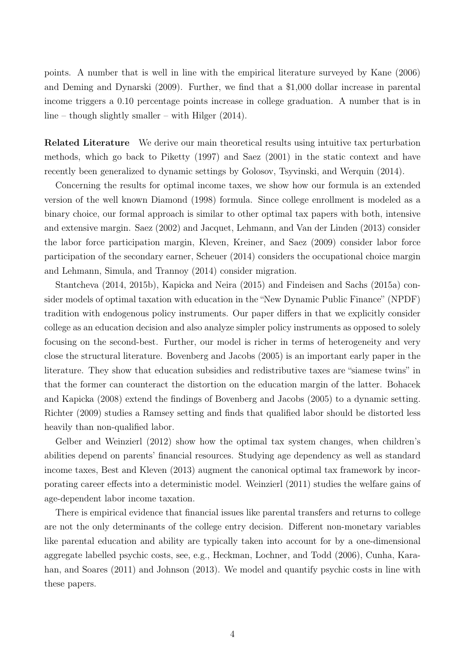points. A number that is well in line with the empirical literature surveyed by Kane (2006) and Deming and Dynarski (2009). Further, we find that a \$1,000 dollar increase in parental income triggers a 0.10 percentage points increase in college graduation. A number that is in line – though slightly smaller – with Hilger (2014).

Related Literature We derive our main theoretical results using intuitive tax perturbation methods, which go back to Piketty (1997) and Saez (2001) in the static context and have recently been generalized to dynamic settings by Golosov, Tsyvinski, and Werquin (2014).

Concerning the results for optimal income taxes, we show how our formula is an extended version of the well known Diamond (1998) formula. Since college enrollment is modeled as a binary choice, our formal approach is similar to other optimal tax papers with both, intensive and extensive margin. Saez (2002) and Jacquet, Lehmann, and Van der Linden (2013) consider the labor force participation margin, Kleven, Kreiner, and Saez (2009) consider labor force participation of the secondary earner, Scheuer (2014) considers the occupational choice margin and Lehmann, Simula, and Trannoy (2014) consider migration.

Stantcheva (2014, 2015b), Kapicka and Neira (2015) and Findeisen and Sachs (2015a) consider models of optimal taxation with education in the "New Dynamic Public Finance" (NPDF) tradition with endogenous policy instruments. Our paper differs in that we explicitly consider college as an education decision and also analyze simpler policy instruments as opposed to solely focusing on the second-best. Further, our model is richer in terms of heterogeneity and very close the structural literature. Bovenberg and Jacobs (2005) is an important early paper in the literature. They show that education subsidies and redistributive taxes are "siamese twins" in that the former can counteract the distortion on the education margin of the latter. Bohacek and Kapicka (2008) extend the findings of Bovenberg and Jacobs (2005) to a dynamic setting. Richter (2009) studies a Ramsey setting and finds that qualified labor should be distorted less heavily than non-qualified labor.

Gelber and Weinzierl (2012) show how the optimal tax system changes, when children's abilities depend on parents' financial resources. Studying age dependency as well as standard income taxes, Best and Kleven (2013) augment the canonical optimal tax framework by incorporating career effects into a deterministic model. Weinzierl (2011) studies the welfare gains of age-dependent labor income taxation.

There is empirical evidence that financial issues like parental transfers and returns to college are not the only determinants of the college entry decision. Different non-monetary variables like parental education and ability are typically taken into account for by a one-dimensional aggregate labelled psychic costs, see, e.g., Heckman, Lochner, and Todd (2006), Cunha, Karahan, and Soares (2011) and Johnson (2013). We model and quantify psychic costs in line with these papers.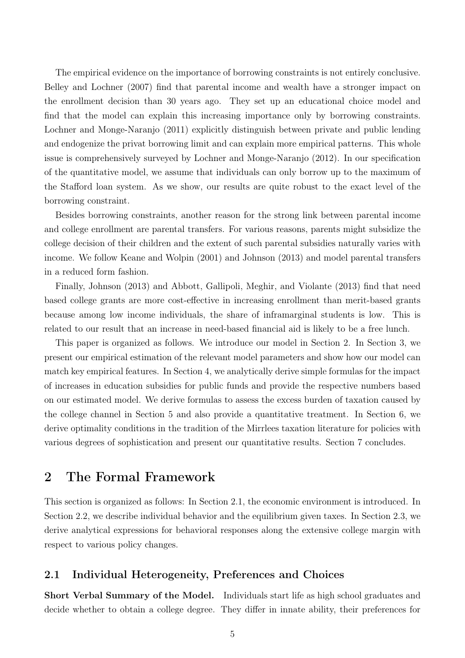The empirical evidence on the importance of borrowing constraints is not entirely conclusive. Belley and Lochner (2007) find that parental income and wealth have a stronger impact on the enrollment decision than 30 years ago. They set up an educational choice model and find that the model can explain this increasing importance only by borrowing constraints. Lochner and Monge-Naranjo (2011) explicitly distinguish between private and public lending and endogenize the privat borrowing limit and can explain more empirical patterns. This whole issue is comprehensively surveyed by Lochner and Monge-Naranjo (2012). In our specification of the quantitative model, we assume that individuals can only borrow up to the maximum of the Stafford loan system. As we show, our results are quite robust to the exact level of the borrowing constraint.

Besides borrowing constraints, another reason for the strong link between parental income and college enrollment are parental transfers. For various reasons, parents might subsidize the college decision of their children and the extent of such parental subsidies naturally varies with income. We follow Keane and Wolpin (2001) and Johnson (2013) and model parental transfers in a reduced form fashion.

Finally, Johnson (2013) and Abbott, Gallipoli, Meghir, and Violante (2013) find that need based college grants are more cost-effective in increasing enrollment than merit-based grants because among low income individuals, the share of inframarginal students is low. This is related to our result that an increase in need-based financial aid is likely to be a free lunch.

This paper is organized as follows. We introduce our model in Section 2. In Section 3, we present our empirical estimation of the relevant model parameters and show how our model can match key empirical features. In Section 4, we analytically derive simple formulas for the impact of increases in education subsidies for public funds and provide the respective numbers based on our estimated model. We derive formulas to assess the excess burden of taxation caused by the college channel in Section 5 and also provide a quantitative treatment. In Section 6, we derive optimality conditions in the tradition of the Mirrlees taxation literature for policies with various degrees of sophistication and present our quantitative results. Section 7 concludes.

# 2 The Formal Framework

This section is organized as follows: In Section 2.1, the economic environment is introduced. In Section 2.2, we describe individual behavior and the equilibrium given taxes. In Section 2.3, we derive analytical expressions for behavioral responses along the extensive college margin with respect to various policy changes.

### 2.1 Individual Heterogeneity, Preferences and Choices

Short Verbal Summary of the Model. Individuals start life as high school graduates and decide whether to obtain a college degree. They differ in innate ability, their preferences for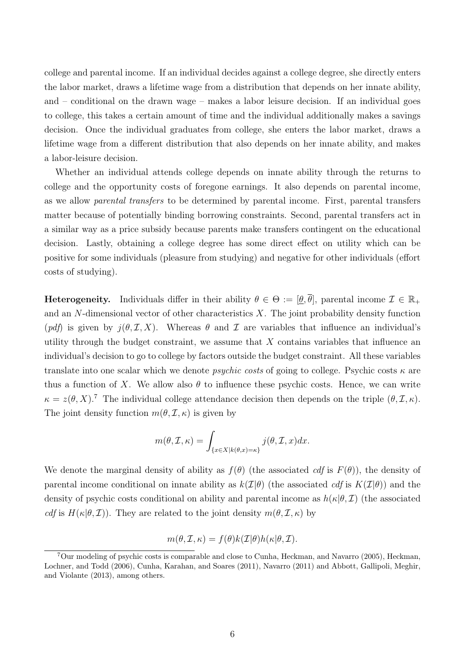college and parental income. If an individual decides against a college degree, she directly enters the labor market, draws a lifetime wage from a distribution that depends on her innate ability, and – conditional on the drawn wage – makes a labor leisure decision. If an individual goes to college, this takes a certain amount of time and the individual additionally makes a savings decision. Once the individual graduates from college, she enters the labor market, draws a lifetime wage from a different distribution that also depends on her innate ability, and makes a labor-leisure decision.

Whether an individual attends college depends on innate ability through the returns to college and the opportunity costs of foregone earnings. It also depends on parental income, as we allow parental transfers to be determined by parental income. First, parental transfers matter because of potentially binding borrowing constraints. Second, parental transfers act in a similar way as a price subsidy because parents make transfers contingent on the educational decision. Lastly, obtaining a college degree has some direct effect on utility which can be positive for some individuals (pleasure from studying) and negative for other individuals (effort costs of studying).

**Heterogeneity.** Individuals differ in their ability  $\theta \in \Theta := [\underline{\theta}, \overline{\theta}]$ , parental income  $\mathcal{I} \in \mathbb{R}_+$ and an N-dimensional vector of other characteristics  $X$ . The joint probability density function (pdf) is given by  $j(\theta, \mathcal{I}, X)$ . Whereas  $\theta$  and  $\mathcal{I}$  are variables that influence an individual's utility through the budget constraint, we assume that  $X$  contains variables that influence an individual's decision to go to college by factors outside the budget constraint. All these variables translate into one scalar which we denote *psychic costs* of going to college. Psychic costs  $\kappa$  are thus a function of X. We allow also  $\theta$  to influence these psychic costs. Hence, we can write  $\kappa = z(\theta, X)$ .<sup>7</sup> The individual college attendance decision then depends on the triple  $(\theta, \mathcal{I}, \kappa)$ . The joint density function  $m(\theta, \mathcal{I}, \kappa)$  is given by

$$
m(\theta, \mathcal{I}, \kappa) = \int_{\{x \in X | k(\theta, x) = \kappa\}} j(\theta, \mathcal{I}, x) dx.
$$

We denote the marginal density of ability as  $f(\theta)$  (the associated *cdf* is  $F(\theta)$ ), the density of parental income conditional on innate ability as  $k(\mathcal{I}|\theta)$  (the associated cdf is  $K(\mathcal{I}|\theta)$ ) and the density of psychic costs conditional on ability and parental income as  $h(\kappa|\theta, \mathcal{I})$  (the associated cdf is  $H(\kappa | \theta, \mathcal{I})$ . They are related to the joint density  $m(\theta, \mathcal{I}, \kappa)$  by

$$
m(\theta, \mathcal{I}, \kappa) = f(\theta)k(\mathcal{I}|\theta)h(\kappa|\theta, \mathcal{I}).
$$

<sup>7</sup>Our modeling of psychic costs is comparable and close to Cunha, Heckman, and Navarro (2005), Heckman, Lochner, and Todd (2006), Cunha, Karahan, and Soares (2011), Navarro (2011) and Abbott, Gallipoli, Meghir, and Violante (2013), among others.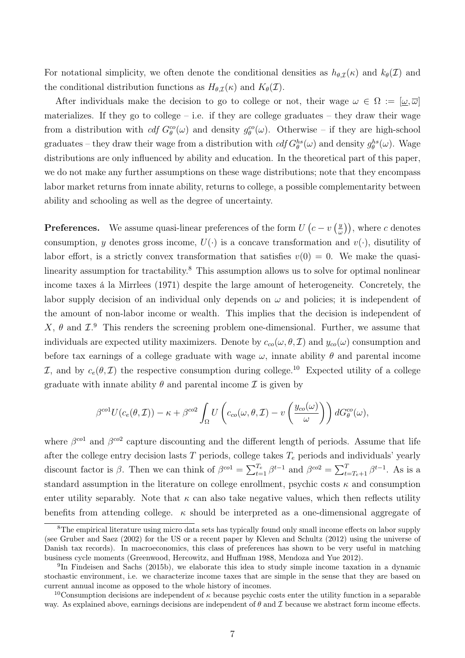For notational simplicity, we often denote the conditional densities as  $h_{\theta,\mathcal{I}}(\kappa)$  and  $k_{\theta}(\mathcal{I})$  and the conditional distribution functions as  $H_{\theta,\mathcal{I}}(\kappa)$  and  $K_{\theta}(\mathcal{I})$ .

After individuals make the decision to go to college or not, their wage  $\omega \in \Omega := [\omega, \overline{\omega}]$ materializes. If they go to college – i.e. if they are college graduates – they draw their wage from a distribution with  $cdf G^{\text{co}}_{\theta}(\omega)$  and density  $g^{\text{co}}_{\theta}(\omega)$ . Otherwise – if they are high-school graduates – they draw their wage from a distribution with  $cdf G^{hs}_{\theta}(\omega)$  and density  $g^{hs}_{\theta}(\omega)$ . Wage distributions are only influenced by ability and education. In the theoretical part of this paper, we do not make any further assumptions on these wage distributions; note that they encompass labor market returns from innate ability, returns to college, a possible complementarity between ability and schooling as well as the degree of uncertainty.

**Preferences.** We assume quasi-linear preferences of the form  $U\left(c - v\right)$  $(\frac{y}{\omega})$ , where c denotes consumption, y denotes gross income,  $U(\cdot)$  is a concave transformation and  $v(\cdot)$ , disutility of labor effort, is a strictly convex transformation that satisfies  $v(0) = 0$ . We make the quasilinearity assumption for tractability.<sup>8</sup> This assumption allows us to solve for optimal nonlinear income taxes á la Mirrlees (1971) despite the large amount of heterogeneity. Concretely, the labor supply decision of an individual only depends on  $\omega$  and policies; it is independent of the amount of non-labor income or wealth. This implies that the decision is independent of X,  $\theta$  and  $\mathcal{I}^{9}$ . This renders the screening problem one-dimensional. Further, we assume that individuals are expected utility maximizers. Denote by  $c_{co}(\omega, \theta, \mathcal{I})$  and  $y_{co}(\omega)$  consumption and before tax earnings of a college graduate with wage  $\omega$ , innate ability  $\theta$  and parental income I, and by  $c_e(\theta, \mathcal{I})$  the respective consumption during college.<sup>10</sup> Expected utility of a college graduate with innate ability  $\theta$  and parental income  $\mathcal I$  is given by

$$
\beta^{co1}U(c_e(\theta,\mathcal{I})) - \kappa + \beta^{co2} \int_{\Omega} U\left(c_{co}(\omega,\theta,\mathcal{I}) - v\left(\frac{y_{co}(\omega)}{\omega}\right)\right) dG_{\theta}^{co}(\omega),
$$

where  $\beta^{col}$  and  $\beta^{col}$  capture discounting and the different length of periods. Assume that life after the college entry decision lasts  $T$  periods, college takes  $T_e$  periods and individuals' yearly discount factor is  $\beta$ . Then we can think of  $\beta^{col} = \sum_{t=1}^{T_e} \beta^{t-1}$  and  $\beta^{col} = \sum_{t=T_e+1}^{T} \beta^{t-1}$ . As is a standard assumption in the literature on college enrollment, psychic costs  $\kappa$  and consumption enter utility separably. Note that  $\kappa$  can also take negative values, which then reflects utility benefits from attending college.  $\kappa$  should be interpreted as a one-dimensional aggregate of

<sup>&</sup>lt;sup>8</sup>The empirical literature using micro data sets has typically found only small income effects on labor supply (see Gruber and Saez (2002) for the US or a recent paper by Kleven and Schultz (2012) using the universe of Danish tax records). In macroeconomics, this class of preferences has shown to be very useful in matching business cycle moments (Greenwood, Hercowitz, and Huffman 1988, Mendoza and Yue 2012).

<sup>&</sup>lt;sup>9</sup>In Findeisen and Sachs (2015b), we elaborate this idea to study simple income taxation in a dynamic stochastic environment, i.e. we characterize income taxes that are simple in the sense that they are based on current annual income as opposed to the whole history of incomes.

<sup>&</sup>lt;sup>10</sup>Consumption decisions are independent of  $\kappa$  because psychic costs enter the utility function in a separable way. As explained above, earnings decisions are independent of  $\theta$  and  $\mathcal I$  because we abstract form income effects.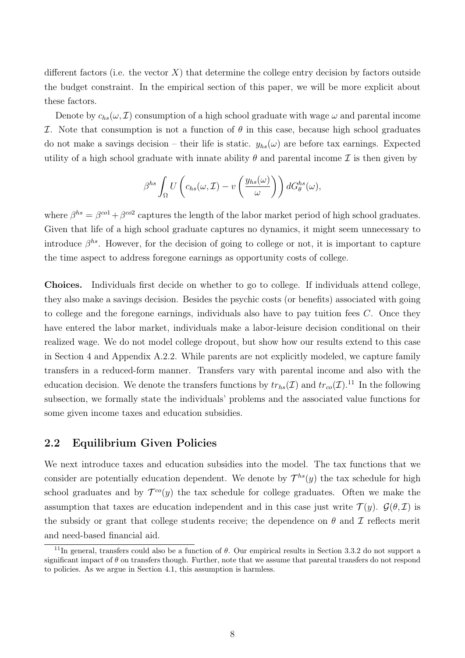different factors (i.e. the vector  $X$ ) that determine the college entry decision by factors outside the budget constraint. In the empirical section of this paper, we will be more explicit about these factors.

Denote by  $c_{hs}(\omega, \mathcal{I})$  consumption of a high school graduate with wage  $\omega$  and parental income I. Note that consumption is not a function of  $\theta$  in this case, because high school graduates do not make a savings decision – their life is static.  $y_{hs}(\omega)$  are before tax earnings. Expected utility of a high school graduate with innate ability  $\theta$  and parental income  $\mathcal I$  is then given by

$$
\beta^{hs} \int_{\Omega} U\left(c_{hs}(\omega,\mathcal{I}) - v\left(\frac{y_{hs}(\omega)}{\omega}\right)\right) dG_{\theta}^{hs}(\omega),
$$

where  $\beta^{hs} = \beta^{col} + \beta^{col}$  captures the length of the labor market period of high school graduates. Given that life of a high school graduate captures no dynamics, it might seem unnecessary to introduce  $\beta^{hs}$ . However, for the decision of going to college or not, it is important to capture the time aspect to address foregone earnings as opportunity costs of college.

Choices. Individuals first decide on whether to go to college. If individuals attend college, they also make a savings decision. Besides the psychic costs (or benefits) associated with going to college and the foregone earnings, individuals also have to pay tuition fees C. Once they have entered the labor market, individuals make a labor-leisure decision conditional on their realized wage. We do not model college dropout, but show how our results extend to this case in Section 4 and Appendix A.2.2. While parents are not explicitly modeled, we capture family transfers in a reduced-form manner. Transfers vary with parental income and also with the education decision. We denote the transfers functions by  $tr_{hs}(\mathcal{I})$  and  $tr_{co}(\mathcal{I})$ .<sup>11</sup> In the following subsection, we formally state the individuals' problems and the associated value functions for some given income taxes and education subsidies.

# 2.2 Equilibrium Given Policies

We next introduce taxes and education subsidies into the model. The tax functions that we consider are potentially education dependent. We denote by  $\mathcal{T}^{hs}(y)$  the tax schedule for high school graduates and by  $\mathcal{T}^{co}(y)$  the tax schedule for college graduates. Often we make the assumption that taxes are education independent and in this case just write  $\mathcal{T}(y)$ .  $\mathcal{G}(\theta, \mathcal{I})$  is the subsidy or grant that college students receive; the dependence on  $\theta$  and  $\mathcal I$  reflects merit and need-based financial aid.

 $11$ In general, transfers could also be a function of  $\theta$ . Our empirical results in Section 3.3.2 do not support a significant impact of  $\theta$  on transfers though. Further, note that we assume that parental transfers do not respond to policies. As we argue in Section 4.1, this assumption is harmless.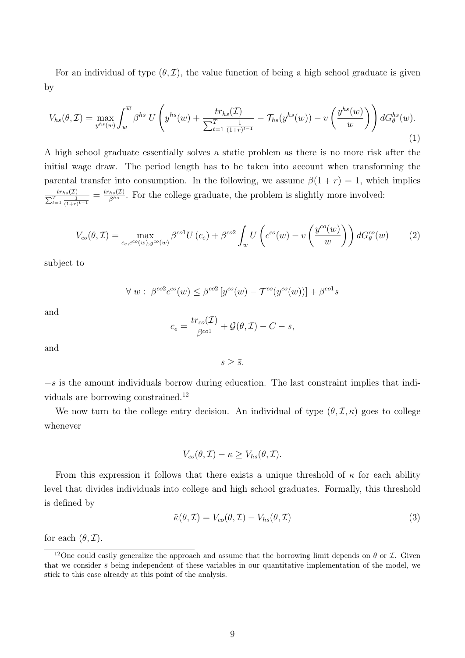For an individual of type  $(\theta, \mathcal{I})$ , the value function of being a high school graduate is given by

$$
V_{hs}(\theta,\mathcal{I}) = \max_{y^{hs}(w)} \int_{\underline{w}}^{\overline{w}} \beta^{hs} U\left(y^{hs}(w) + \frac{tr_{hs}(\mathcal{I})}{\sum_{t=1}^{T} \frac{1}{(1+r)^{t-1}}} - \mathcal{T}_{hs}(y^{hs}(w)) - v\left(\frac{y^{hs}(w)}{w}\right)\right) dG_{\theta}^{hs}(w).
$$
\n(1)

A high school graduate essentially solves a static problem as there is no more risk after the initial wage draw. The period length has to be taken into account when transforming the parental transfer into consumption. In the following, we assume  $\beta(1 + r) = 1$ , which implies  $tr_{hs}(\mathcal{I})$  $\frac{tr_{hs}(\mathcal{I})}{\sum_{t=1}^{T} \frac{1}{(1+r)^{t-1}}} = \frac{tr_{hs}(\mathcal{I})}{\beta^{hs}}$ . For the college graduate, the problem is slightly more involved:

$$
V_{co}(\theta, \mathcal{I}) = \max_{c_e, c^{co}(w), y^{co}(w)} \beta^{co1} U(c_e) + \beta^{co2} \int_w U\left(c^{co}(w) - v\left(\frac{y^{co}(w)}{w}\right)\right) dG_{\theta}^{co}(w)
$$
(2)

subject to

$$
\forall w: \beta^{co2}c^{co}(w) \leq \beta^{co2}[y^{co}(w) - \mathcal{T}^{co}(y^{co}(w))] + \beta^{co1}s
$$

and

$$
c_e = \frac{tr_{co}(\mathcal{I})}{\beta^{co1}} + \mathcal{G}(\theta, \mathcal{I}) - C - s,
$$

and

 $s \geq \bar{s}$ .

 $-s$  is the amount individuals borrow during education. The last constraint implies that individuals are borrowing constrained.<sup>12</sup>

We now turn to the college entry decision. An individual of type  $(\theta, \mathcal{I}, \kappa)$  goes to college whenever

 $V_{co}(\theta, \mathcal{I}) - \kappa > V_{hs}(\theta, \mathcal{I}).$ 

From this expression it follows that there exists a unique threshold of  $\kappa$  for each ability level that divides individuals into college and high school graduates. Formally, this threshold is defined by

$$
\tilde{\kappa}(\theta, \mathcal{I}) = V_{co}(\theta, \mathcal{I}) - V_{hs}(\theta, \mathcal{I})
$$
\n(3)

for each  $(\theta, \mathcal{I})$ .

<sup>&</sup>lt;sup>12</sup>One could easily generalize the approach and assume that the borrowing limit depends on  $\theta$  or  $\mathcal{I}$ . Given that we consider  $\bar{s}$  being independent of these variables in our quantitative implementation of the model, we stick to this case already at this point of the analysis.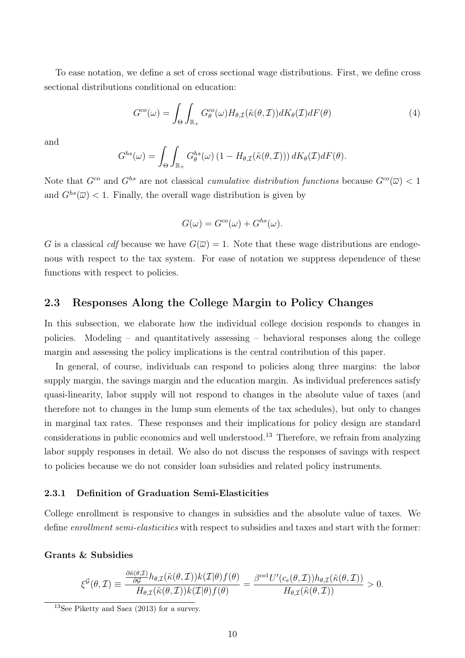To ease notation, we define a set of cross sectional wage distributions. First, we define cross sectional distributions conditional on education:

$$
G^{co}(\omega) = \int_{\Theta} \int_{\mathbb{R}_{+}} G_{\theta}^{co}(\omega) H_{\theta, \mathcal{I}}(\tilde{\kappa}(\theta, \mathcal{I})) dK_{\theta}(\mathcal{I}) dF(\theta)
$$
(4)

and

$$
G^{hs}(\omega) = \int_{\Theta} \int_{\mathbb{R}_+} G^{hs}_{\theta}(\omega) \left(1 - H_{\theta, \mathcal{I}}(\tilde{\kappa}(\theta, \mathcal{I}))\right) dK_{\theta}(\mathcal{I}) dF(\theta).
$$

Note that  $G^{co}$  and  $G^{hs}$  are not classical *cumulative distribution functions* because  $G^{co}(\overline{\omega}) < 1$ and  $G^{hs}(\overline{\omega})$  < 1. Finally, the overall wage distribution is given by

$$
G(\omega) = G^{co}(\omega) + G^{hs}(\omega).
$$

G is a classical cdf because we have  $G(\overline{\omega}) = 1$ . Note that these wage distributions are endogenous with respect to the tax system. For ease of notation we suppress dependence of these functions with respect to policies.

### 2.3 Responses Along the College Margin to Policy Changes

In this subsection, we elaborate how the individual college decision responds to changes in policies. Modeling – and quantitatively assessing – behavioral responses along the college margin and assessing the policy implications is the central contribution of this paper.

In general, of course, individuals can respond to policies along three margins: the labor supply margin, the savings margin and the education margin. As individual preferences satisfy quasi-linearity, labor supply will not respond to changes in the absolute value of taxes (and therefore not to changes in the lump sum elements of the tax schedules), but only to changes in marginal tax rates. These responses and their implications for policy design are standard considerations in public economics and well understood.<sup>13</sup> Therefore, we refrain from analyzing labor supply responses in detail. We also do not discuss the responses of savings with respect to policies because we do not consider loan subsidies and related policy instruments.

#### 2.3.1 Definition of Graduation Semi-Elasticities

College enrollment is responsive to changes in subsidies and the absolute value of taxes. We define enrollment semi-elasticities with respect to subsidies and taxes and start with the former:

#### Grants & Subsidies

$$
\xi^{\mathcal{G}}(\theta,\mathcal{I}) \equiv \frac{\frac{\partial \tilde{\kappa}(\theta,\mathcal{I})}{\partial \mathcal{G}} h_{\theta,\mathcal{I}}(\tilde{\kappa}(\theta,\mathcal{I}))k(\mathcal{I}|\theta)f(\theta)}{H_{\theta,\mathcal{I}}(\tilde{\kappa}(\theta,\mathcal{I}))k(\mathcal{I}|\theta)f(\theta)} = \frac{\beta^{col}U'(c_e(\theta,\mathcal{I}))h_{\theta,\mathcal{I}}(\tilde{\kappa}(\theta,\mathcal{I}))}{H_{\theta,\mathcal{I}}(\tilde{\kappa}(\theta,\mathcal{I}))} > 0.
$$

 $13$ See Piketty and Saez (2013) for a survey.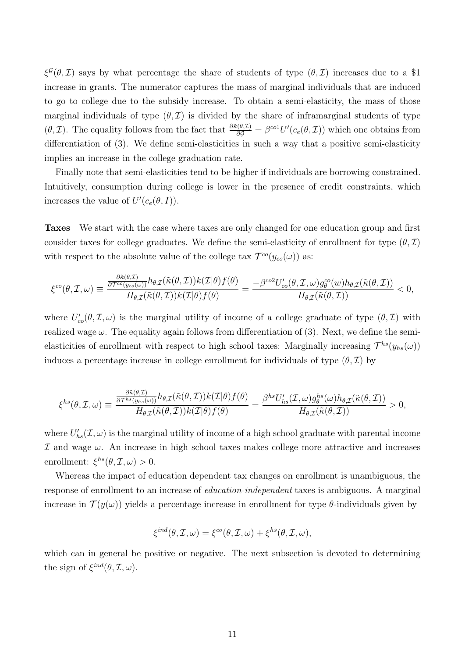$\xi^{\mathcal{G}}(\theta,\mathcal{I})$  says by what percentage the share of students of type  $(\theta,\mathcal{I})$  increases due to a \$1 increase in grants. The numerator captures the mass of marginal individuals that are induced to go to college due to the subsidy increase. To obtain a semi-elasticity, the mass of those marginal individuals of type  $(\theta, \mathcal{I})$  is divided by the share of inframarginal students of type  $(\theta, \mathcal{I})$ . The equality follows from the fact that  $\frac{\partial \tilde{\kappa}(\theta, \mathcal{I})}{\partial \mathcal{G}} = \beta^{col} U'(c_e(\theta, \mathcal{I}))$  which one obtains from differentiation of (3). We define semi-elasticities in such a way that a positive semi-elasticity implies an increase in the college graduation rate.

Finally note that semi-elasticities tend to be higher if individuals are borrowing constrained. Intuitively, consumption during college is lower in the presence of credit constraints, which increases the value of  $U'(c_e(\theta, I)).$ 

Taxes We start with the case where taxes are only changed for one education group and first consider taxes for college graduates. We define the semi-elasticity of enrollment for type  $(\theta, \mathcal{I})$ with respect to the absolute value of the college tax  $\mathcal{T}^{co}(y_{co}(\omega))$  as:

$$
\xi^{co}(\theta,\mathcal{I},\omega) \equiv \frac{\frac{\partial \tilde{\kappa}(\theta,\mathcal{I})}{\partial \mathcal{T}^{co}(y_{co}(\omega))} h_{\theta,\mathcal{I}}(\tilde{\kappa}(\theta,\mathcal{I})) k(\mathcal{I}|\theta) f(\theta)}{H_{\theta,\mathcal{I}}(\tilde{\kappa}(\theta,\mathcal{I})) k(\mathcal{I}|\theta) f(\theta)} = \frac{-\beta^{co2} U'_{co}(\theta,\mathcal{I},\omega) g_{\theta}^{co}(w) h_{\theta,\mathcal{I}}(\tilde{\kappa}(\theta,\mathcal{I}))}{H_{\theta,\mathcal{I}}(\tilde{\kappa}(\theta,\mathcal{I}))} < 0,
$$

where  $U'_{co}(\theta, \mathcal{I}, \omega)$  is the marginal utility of income of a college graduate of type  $(\theta, \mathcal{I})$  with realized wage  $\omega$ . The equality again follows from differentiation of (3). Next, we define the semielasticities of enrollment with respect to high school taxes: Marginally increasing  $\mathcal{T}^{hs}(y_{hs}(\omega))$ induces a percentage increase in college enrollment for individuals of type  $(\theta, \mathcal{I})$  by

$$
\xi^{hs}(\theta,\mathcal{I},\omega) \equiv \frac{\frac{\partial \tilde{\kappa}(\theta,\mathcal{I})}{\partial \mathcal{T}^{hs}(y_{hs}(\omega))} h_{\theta,\mathcal{I}}(\tilde{\kappa}(\theta,\mathcal{I})) k(\mathcal{I}|\theta) f(\theta)}{H_{\theta,\mathcal{I}}(\tilde{\kappa}(\theta,\mathcal{I})) k(\mathcal{I}|\theta) f(\theta)} = \frac{\beta^{hs} U'_{hs}(\mathcal{I},\omega) g_{\theta}^{hs}(\omega) h_{\theta,\mathcal{I}}(\tilde{\kappa}(\theta,\mathcal{I}))}{H_{\theta,\mathcal{I}}(\tilde{\kappa}(\theta,\mathcal{I}))} > 0,
$$

where  $U'_{hs}(\mathcal{I}, \omega)$  is the marginal utility of income of a high school graduate with parental income  $I$  and wage  $\omega$ . An increase in high school taxes makes college more attractive and increases enrollment:  $\xi^{hs}(\theta, \mathcal{I}, \omega) > 0.$ 

Whereas the impact of education dependent tax changes on enrollment is unambiguous, the response of enrollment to an increase of education-independent taxes is ambiguous. A marginal increase in  $\mathcal{T}(y(\omega))$  yields a percentage increase in enrollment for type  $\theta$ -individuals given by

$$
\xi^{ind}(\theta, \mathcal{I}, \omega) = \xi^{co}(\theta, \mathcal{I}, \omega) + \xi^{hs}(\theta, \mathcal{I}, \omega),
$$

which can in general be positive or negative. The next subsection is devoted to determining the sign of  $\xi^{ind}(\theta, \mathcal{I}, \omega)$ .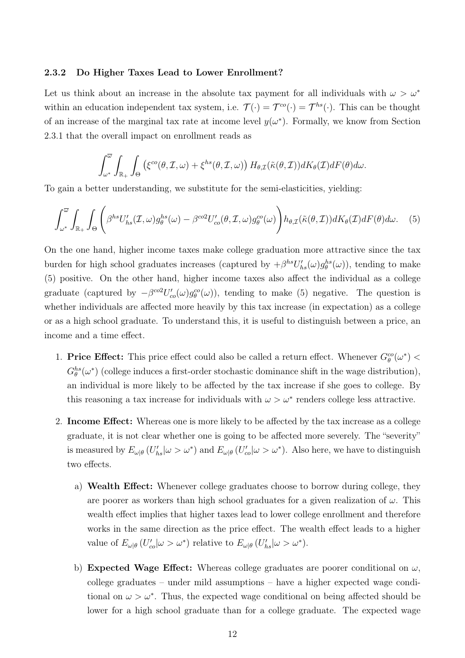### 2.3.2 Do Higher Taxes Lead to Lower Enrollment?

Let us think about an increase in the absolute tax payment for all individuals with  $\omega > \omega^*$ within an education independent tax system, i.e.  $\mathcal{T}(\cdot) = \mathcal{T}^{co}(\cdot) = \mathcal{T}^{hs}(\cdot)$ . This can be thought of an increase of the marginal tax rate at income level  $y(\omega^*)$ . Formally, we know from Section 2.3.1 that the overall impact on enrollment reads as

$$
\int_{\omega^*}^{\overline{\omega}} \int_{\mathbb{R}_+} \int_{\Theta} \left( \xi^{co}(\theta, \mathcal{I}, \omega) + \xi^{h s}(\theta, \mathcal{I}, \omega) \right) H_{\theta, \mathcal{I}}(\tilde{\kappa}(\theta, \mathcal{I})) dK_{\theta}(\mathcal{I}) dF(\theta) d\omega.
$$

To gain a better understanding, we substitute for the semi-elasticities, yielding:

$$
\int_{\omega^*}^{\overline{\omega}} \int_{\mathbb{R}_+} \int_{\Theta} \left( \beta^{hs} U'_{hs}(\mathcal{I}, \omega) g_{\theta}^{hs}(\omega) - \beta^{co2} U'_{co}(\theta, \mathcal{I}, \omega) g_{\theta}^{co}(\omega) \right) h_{\theta, \mathcal{I}}(\tilde{\kappa}(\theta, \mathcal{I})) dK_{\theta}(\mathcal{I}) dF(\theta) d\omega. \tag{5}
$$

On the one hand, higher income taxes make college graduation more attractive since the tax burden for high school graduates increases (captured by  $+\beta^{hs}U'_{hs}(\omega)g^{hs}_{\theta}(\omega)$ ), tending to make (5) positive. On the other hand, higher income taxes also affect the individual as a college graduate (captured by  $-\beta^{co2}U'_{co}(\omega)g_{\theta}^{co}(\omega)$ ), tending to make (5) negative. The question is whether individuals are affected more heavily by this tax increase (in expectation) as a college or as a high school graduate. To understand this, it is useful to distinguish between a price, an income and a time effect.

- 1. Price Effect: This price effect could also be called a return effect. Whenever  $G_{\theta}^{co}(\omega^*)$  <  $G_{\theta}^{hs}(\omega^*)$  (college induces a first-order stochastic dominance shift in the wage distribution), an individual is more likely to be affected by the tax increase if she goes to college. By this reasoning a tax increase for individuals with  $\omega > \omega^*$  renders college less attractive.
- 2. Income Effect: Whereas one is more likely to be affected by the tax increase as a college graduate, it is not clear whether one is going to be affected more severely. The "severity" is measured by  $E_{\omega|\theta} (U'_{hs}|\omega > \omega^*)$  and  $E_{\omega|\theta} (U'_{co}|\omega > \omega^*)$ . Also here, we have to distinguish two effects.
	- a) Wealth Effect: Whenever college graduates choose to borrow during college, they are poorer as workers than high school graduates for a given realization of  $\omega$ . This wealth effect implies that higher taxes lead to lower college enrollment and therefore works in the same direction as the price effect. The wealth effect leads to a higher value of  $E_{\omega|\theta}(U'_{co}|\omega > \omega^*)$  relative to  $E_{\omega|\theta}(U'_{hs}|\omega > \omega^*)$ .
	- b) Expected Wage Effect: Whereas college graduates are poorer conditional on  $\omega$ , college graduates – under mild assumptions – have a higher expected wage conditional on  $\omega > \omega^*$ . Thus, the expected wage conditional on being affected should be lower for a high school graduate than for a college graduate. The expected wage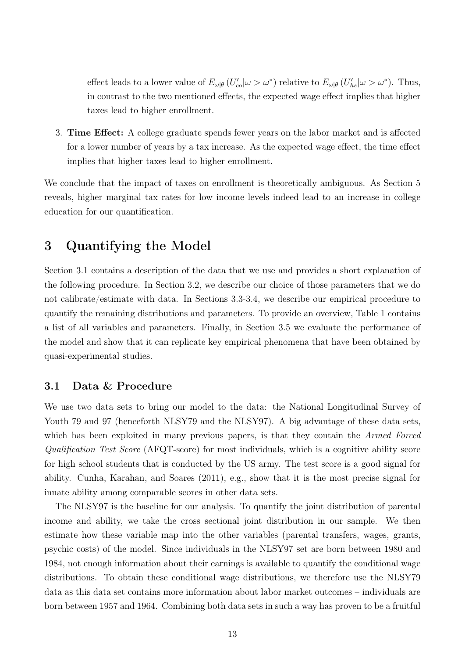effect leads to a lower value of  $E_{\omega|\theta}(U'_{co}|\omega > \omega^*)$  relative to  $E_{\omega|\theta}(U'_{hs}|\omega > \omega^*)$ . Thus, in contrast to the two mentioned effects, the expected wage effect implies that higher taxes lead to higher enrollment.

3. Time Effect: A college graduate spends fewer years on the labor market and is affected for a lower number of years by a tax increase. As the expected wage effect, the time effect implies that higher taxes lead to higher enrollment.

We conclude that the impact of taxes on enrollment is theoretically ambiguous. As Section 5 reveals, higher marginal tax rates for low income levels indeed lead to an increase in college education for our quantification.

# 3 Quantifying the Model

Section 3.1 contains a description of the data that we use and provides a short explanation of the following procedure. In Section 3.2, we describe our choice of those parameters that we do not calibrate/estimate with data. In Sections 3.3-3.4, we describe our empirical procedure to quantify the remaining distributions and parameters. To provide an overview, Table 1 contains a list of all variables and parameters. Finally, in Section 3.5 we evaluate the performance of the model and show that it can replicate key empirical phenomena that have been obtained by quasi-experimental studies.

# 3.1 Data & Procedure

We use two data sets to bring our model to the data: the National Longitudinal Survey of Youth 79 and 97 (henceforth NLSY79 and the NLSY97). A big advantage of these data sets, which has been exploited in many previous papers, is that they contain the *Armed Forced* Qualification Test Score (AFQT-score) for most individuals, which is a cognitive ability score for high school students that is conducted by the US army. The test score is a good signal for ability. Cunha, Karahan, and Soares (2011), e.g., show that it is the most precise signal for innate ability among comparable scores in other data sets.

The NLSY97 is the baseline for our analysis. To quantify the joint distribution of parental income and ability, we take the cross sectional joint distribution in our sample. We then estimate how these variable map into the other variables (parental transfers, wages, grants, psychic costs) of the model. Since individuals in the NLSY97 set are born between 1980 and 1984, not enough information about their earnings is available to quantify the conditional wage distributions. To obtain these conditional wage distributions, we therefore use the NLSY79 data as this data set contains more information about labor market outcomes – individuals are born between 1957 and 1964. Combining both data sets in such a way has proven to be a fruitful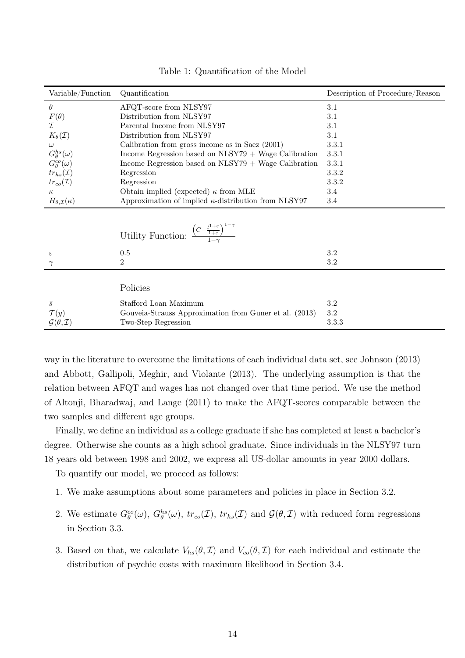| Variable/Function                  | Quantification                                                                                                      | Description of Procedure/Reason |
|------------------------------------|---------------------------------------------------------------------------------------------------------------------|---------------------------------|
| $\theta$                           | AFQT-score from NLSY97                                                                                              | 3.1                             |
| $F(\theta)$                        | Distribution from NLSY97                                                                                            | 3.1                             |
| I                                  | Parental Income from NLSY97                                                                                         | 3.1                             |
| $K_{\theta}(\mathcal{I})$          | Distribution from NLSY97                                                                                            | 3.1                             |
| $\omega$                           | Calibration from gross income as in Saez $(2001)$                                                                   | 3.3.1                           |
| $G^{hs}_{\theta}(\omega)$          | Income Regression based on $NLSY79 + Wage$ Calibration                                                              | 3.3.1                           |
| $G^{co}_{\theta}(\omega)$          | Income Regression based on $NLSY79 + Wage$ Calibration                                                              | 3.3.1                           |
| $tr_{hs}(\mathcal{I})$             | Regression                                                                                                          | 3.3.2                           |
| $tr_{co}(\mathcal{I})$             | Regression                                                                                                          | 3.3.2                           |
| $\kappa$                           | Obtain implied (expected) $\kappa$ from MLE                                                                         | 3.4                             |
| $H_{\theta,\mathcal{I}}(\kappa)$   | Approximation of implied $\kappa$ -distribution from NLSY97                                                         | 3.4                             |
|                                    | Utility Function: $\frac{\left(C - \frac{l^{1+\epsilon}}{1+\epsilon}\right)^{1-\gamma}}{\frac{1-\gamma}{1-\gamma}}$ |                                 |
| $\varepsilon$                      | 0.5                                                                                                                 | $3.2\,$                         |
|                                    | $\overline{2}$                                                                                                      | $3.2\,$                         |
|                                    |                                                                                                                     |                                 |
|                                    | Policies                                                                                                            |                                 |
| $\bar{s}$                          | Stafford Loan Maximum                                                                                               | $3.2\,$                         |
| $\mathcal{T}(y)$                   | Gouveia-Strauss Approximation from Guner et al. (2013)                                                              | $\!3.2\!$                       |
| $\mathcal{G}(\theta, \mathcal{I})$ | Two-Step Regression                                                                                                 | 3.3.3                           |

Table 1: Quantification of the Model

way in the literature to overcome the limitations of each individual data set, see Johnson (2013) and Abbott, Gallipoli, Meghir, and Violante (2013). The underlying assumption is that the relation between AFQT and wages has not changed over that time period. We use the method of Altonji, Bharadwaj, and Lange (2011) to make the AFQT-scores comparable between the two samples and different age groups.

Finally, we define an individual as a college graduate if she has completed at least a bachelor's degree. Otherwise she counts as a high school graduate. Since individuals in the NLSY97 turn 18 years old between 1998 and 2002, we express all US-dollar amounts in year 2000 dollars.

To quantify our model, we proceed as follows:

- 1. We make assumptions about some parameters and policies in place in Section 3.2.
- 2. We estimate  $G^{co}_{\theta}(\omega)$ ,  $G^{hs}_{\theta}(\omega)$ ,  $tr_{co}(\mathcal{I})$ ,  $tr_{hs}(\mathcal{I})$  and  $\mathcal{G}(\theta,\mathcal{I})$  with reduced form regressions in Section 3.3.
- 3. Based on that, we calculate  $V_{hs}(\theta, \mathcal{I})$  and  $V_{co}(\theta, \mathcal{I})$  for each individual and estimate the distribution of psychic costs with maximum likelihood in Section 3.4.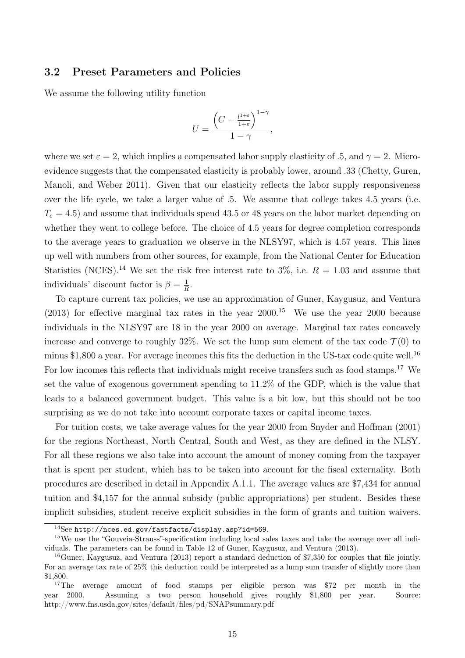### 3.2 Preset Parameters and Policies

We assume the following utility function

$$
U=\frac{\left(C-\frac{l^{1+\varepsilon}}{1+\varepsilon}\right)^{1-\gamma}}{1-\gamma},
$$

where we set  $\varepsilon = 2$ , which implies a compensated labor supply elasticity of .5, and  $\gamma = 2$ . Microevidence suggests that the compensated elasticity is probably lower, around .33 (Chetty, Guren, Manoli, and Weber 2011). Given that our elasticity reflects the labor supply responsiveness over the life cycle, we take a larger value of .5. We assume that college takes 4.5 years (i.e.  $T_e = 4.5$ ) and assume that individuals spend 43.5 or 48 years on the labor market depending on whether they went to college before. The choice of 4.5 years for degree completion corresponds to the average years to graduation we observe in the NLSY97, which is 4.57 years. This lines up well with numbers from other sources, for example, from the National Center for Education Statistics (NCES).<sup>14</sup> We set the risk free interest rate to 3\%, i.e.  $R = 1.03$  and assume that individuals' discount factor is  $\beta = \frac{1}{6}$  $\frac{1}{R}$ .

To capture current tax policies, we use an approximation of Guner, Kaygusuz, and Ventura  $(2013)$  for effective marginal tax rates in the year  $2000$ .<sup>15</sup> We use the year 2000 because individuals in the NLSY97 are 18 in the year 2000 on average. Marginal tax rates concavely increase and converge to roughly 32%. We set the lump sum element of the tax code  $\mathcal{T}(0)$  to minus \$1,800 a year. For average incomes this fits the deduction in the US-tax code quite well.<sup>16</sup> For low incomes this reflects that individuals might receive transfers such as food stamps.<sup>17</sup> We set the value of exogenous government spending to 11.2% of the GDP, which is the value that leads to a balanced government budget. This value is a bit low, but this should not be too surprising as we do not take into account corporate taxes or capital income taxes.

For tuition costs, we take average values for the year 2000 from Snyder and Hoffman (2001) for the regions Northeast, North Central, South and West, as they are defined in the NLSY. For all these regions we also take into account the amount of money coming from the taxpayer that is spent per student, which has to be taken into account for the fiscal externality. Both procedures are described in detail in Appendix A.1.1. The average values are \$7,434 for annual tuition and \$4,157 for the annual subsidy (public appropriations) per student. Besides these implicit subsidies, student receive explicit subsidies in the form of grants and tuition waivers.

<sup>14</sup>See http://nces.ed.gov/fastfacts/display.asp?id=569.

<sup>&</sup>lt;sup>15</sup>We use the "Gouveia-Strauss"-specification including local sales taxes and take the average over all individuals. The parameters can be found in Table 12 of Guner, Kaygusuz, and Ventura (2013).

<sup>&</sup>lt;sup>16</sup>Guner, Kaygusuz, and Ventura (2013) report a standard deduction of \$7,350 for couples that file jointly. For an average tax rate of 25% this deduction could be interpreted as a lump sum transfer of slightly more than \$1,800.

<sup>&</sup>lt;sup>17</sup>The average amount of food stamps per eligible person was \$72 per month in the year 2000. Assuming a two person household gives roughly \$1,800 per year. Source: http://www.fns.usda.gov/sites/default/files/pd/SNAPsummary.pdf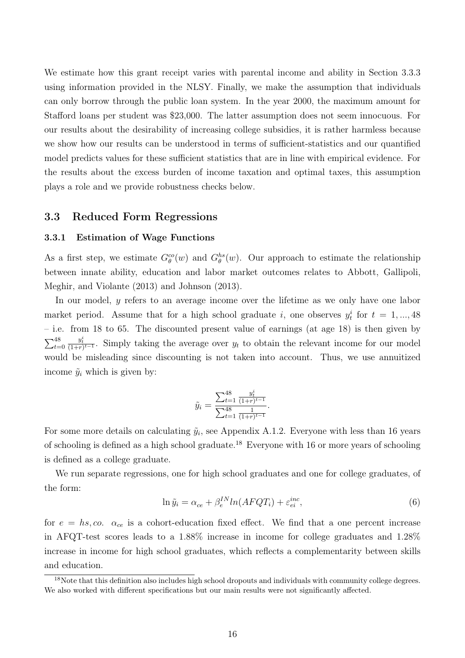We estimate how this grant receipt varies with parental income and ability in Section 3.3.3 using information provided in the NLSY. Finally, we make the assumption that individuals can only borrow through the public loan system. In the year 2000, the maximum amount for Stafford loans per student was \$23,000. The latter assumption does not seem innocuous. For our results about the desirability of increasing college subsidies, it is rather harmless because we show how our results can be understood in terms of sufficient-statistics and our quantified model predicts values for these sufficient statistics that are in line with empirical evidence. For the results about the excess burden of income taxation and optimal taxes, this assumption plays a role and we provide robustness checks below.

### 3.3 Reduced Form Regressions

#### 3.3.1 Estimation of Wage Functions

As a first step, we estimate  $G_{\theta}^{co}(w)$  and  $G_{\theta}^{hs}(w)$ . Our approach to estimate the relationship between innate ability, education and labor market outcomes relates to Abbott, Gallipoli, Meghir, and Violante (2013) and Johnson (2013).

In our model, y refers to an average income over the lifetime as we only have one labor market period. Assume that for a high school graduate i, one observes  $y_t^i$  for  $t = 1, ..., 48$ – i.e. from 18 to 65. The discounted present value of earnings (at age 18) is then given by  $\sum_{t=0}^{48}$  $\frac{y_t^i}{(1+r)^{t-1}}$ . Simply taking the average over  $y_t$  to obtain the relevant income for our model would be misleading since discounting is not taken into account. Thus, we use annuitized income  $\tilde{y}_i$  which is given by:

$$
\tilde{y}_i = \frac{\sum_{t=1}^{48} \frac{y_t^i}{(1+r)^{t-1}}}{\sum_{t=1}^{48} \frac{1}{(1+r)^{t-1}}}.
$$

For some more details on calculating  $\tilde{y}_i$ , see Appendix A.1.2. Everyone with less than 16 years of schooling is defined as a high school graduate.<sup>18</sup> Everyone with 16 or more years of schooling is defined as a college graduate.

We run separate regressions, one for high school graduates and one for college graduates, of the form:

$$
\ln \tilde{y}_i = \alpha_{ce} + \beta_e^{IN} ln(AFQT_i) + \varepsilon_{ei}^{inc},\tag{6}
$$

for  $e = hs, co.$   $\alpha_{ce}$  is a cohort-education fixed effect. We find that a one percent increase in AFQT-test scores leads to a 1.88% increase in income for college graduates and 1.28% increase in income for high school graduates, which reflects a complementarity between skills and education.

<sup>&</sup>lt;sup>18</sup>Note that this definition also includes high school dropouts and individuals with community college degrees. We also worked with different specifications but our main results were not significantly affected.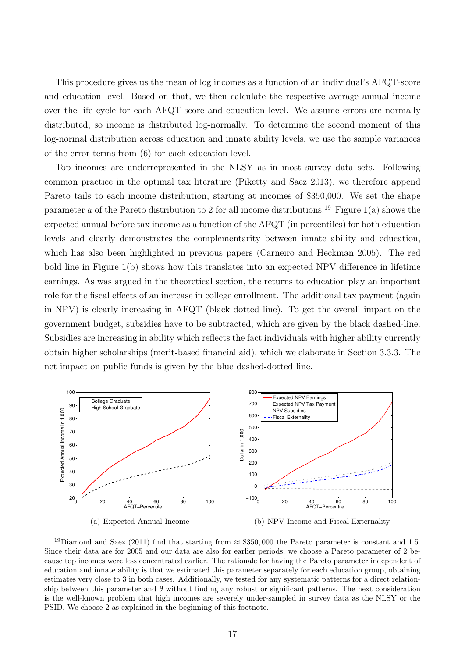This procedure gives us the mean of log incomes as a function of an individual's AFQT-score and education level. Based on that, we then calculate the respective average annual income over the life cycle for each AFQT-score and education level. We assume errors are normally distributed, so income is distributed log-normally. To determine the second moment of this log-normal distribution across education and innate ability levels, we use the sample variances of the error terms from (6) for each education level.

Top incomes are underrepresented in the NLSY as in most survey data sets. Following common practice in the optimal tax literature (Piketty and Saez 2013), we therefore append Pareto tails to each income distribution, starting at incomes of \$350,000. We set the shape parameter a of the Pareto distribution to 2 for all income distributions.<sup>19</sup> Figure 1(a) shows the expected annual before tax income as a function of the AFQT (in percentiles) for both education levels and clearly demonstrates the complementarity between innate ability and education, which has also been highlighted in previous papers (Carneiro and Heckman 2005). The red bold line in Figure 1(b) shows how this translates into an expected NPV difference in lifetime earnings. As was argued in the theoretical section, the returns to education play an important role for the fiscal effects of an increase in college enrollment. The additional tax payment (again in NPV) is clearly increasing in AFQT (black dotted line). To get the overall impact on the government budget, subsidies have to be subtracted, which are given by the black dashed-line. Subsidies are increasing in ability which reflects the fact individuals with higher ability currently obtain higher scholarships (merit-based financial aid), which we elaborate in Section 3.3.3. The net impact on public funds is given by the blue dashed-dotted line.



<sup>19</sup>Diamond and Saez (2011) find that starting from  $\approx$  \$350,000 the Pareto parameter is constant and 1.5. Since their data are for 2005 and our data are also for earlier periods, we choose a Pareto parameter of 2 because top incomes were less concentrated earlier. The rationale for having the Pareto parameter independent of education and innate ability is that we estimated this parameter separately for each education group, obtaining estimates very close to 3 in both cases. Additionally, we tested for any systematic patterns for a direct relationship between this parameter and  $\theta$  without finding any robust or significant patterns. The next consideration is the well-known problem that high incomes are severely under-sampled in survey data as the NLSY or the PSID. We choose 2 as explained in the beginning of this footnote.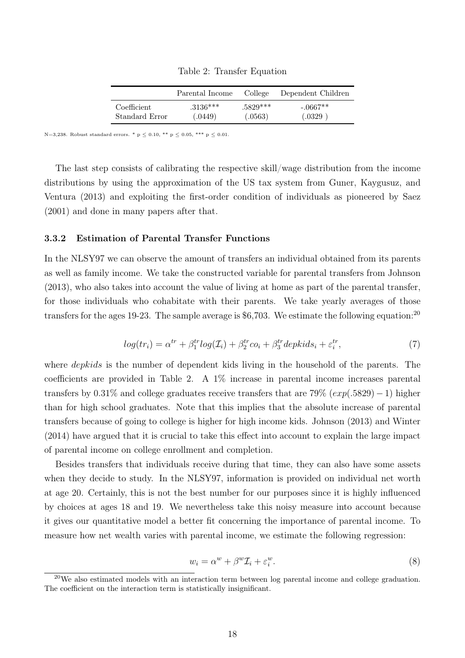Table 2: Transfer Equation

|                | Parental Income | College    | Dependent Children |
|----------------|-----------------|------------|--------------------|
| Coefficient    | $3136***$       | $.5829***$ | $-.0667**$         |
| Standard Error | (.0449)         | (.0563)    | (.0329)            |

N=3,238. Robust standard errors. \* p  $\leq$  0.10, \*\* p  $\leq$  0.05, \*\*\* p  $\leq$  0.01.

The last step consists of calibrating the respective skill/wage distribution from the income distributions by using the approximation of the US tax system from Guner, Kaygusuz, and Ventura (2013) and exploiting the first-order condition of individuals as pioneered by Saez (2001) and done in many papers after that.

### 3.3.2 Estimation of Parental Transfer Functions

In the NLSY97 we can observe the amount of transfers an individual obtained from its parents as well as family income. We take the constructed variable for parental transfers from Johnson (2013), who also takes into account the value of living at home as part of the parental transfer, for those individuals who cohabitate with their parents. We take yearly averages of those transfers for the ages 19-23. The sample average is \$6,703. We estimate the following equation:  $^{20}$ 

$$
log(tr_i) = \alpha^{tr} + \beta_1^{tr} log(\mathcal{I}_i) + \beta_2^{tr} co_i + \beta_3^{tr} depthids_i + \varepsilon_i^{tr}, \qquad (7)
$$

where *depkids* is the number of dependent kids living in the household of the parents. The coefficients are provided in Table 2. A 1% increase in parental income increases parental transfers by  $0.31\%$  and college graduates receive transfers that are 79%  $(exp(.5829) - 1)$  higher than for high school graduates. Note that this implies that the absolute increase of parental transfers because of going to college is higher for high income kids. Johnson (2013) and Winter (2014) have argued that it is crucial to take this effect into account to explain the large impact of parental income on college enrollment and completion.

Besides transfers that individuals receive during that time, they can also have some assets when they decide to study. In the NLSY97, information is provided on individual net worth at age 20. Certainly, this is not the best number for our purposes since it is highly influenced by choices at ages 18 and 19. We nevertheless take this noisy measure into account because it gives our quantitative model a better fit concerning the importance of parental income. To measure how net wealth varies with parental income, we estimate the following regression:

$$
w_i = \alpha^w + \beta^w \mathcal{I}_i + \varepsilon_i^w. \tag{8}
$$

<sup>20</sup>We also estimated models with an interaction term between log parental income and college graduation. The coefficient on the interaction term is statistically insignificant.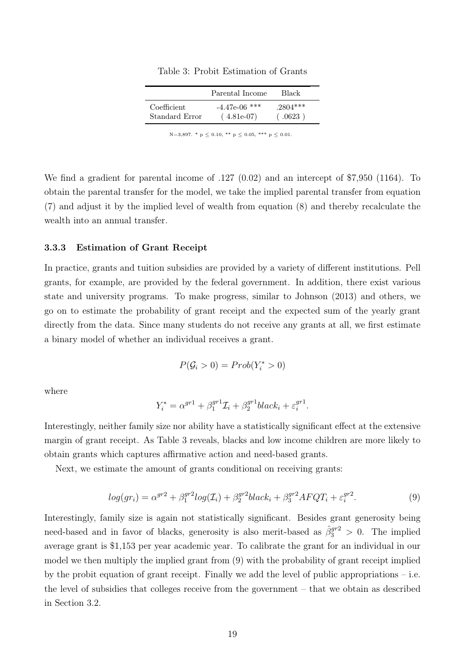|                | Parental Income | Black      |
|----------------|-----------------|------------|
| Coefficient    | $-4.47e-06$ *** | $.2804***$ |
| Standard Error | $(4.81e-07)$    | (.0623)    |

Table 3: Probit Estimation of Grants

N=3,897. \*  $p \le 0.10$ , \*\*  $p \le 0.05$ , \*\*\*  $p \le 0.01$ .

We find a gradient for parental income of .127 (0.02) and an intercept of \$7,950 (1164). To obtain the parental transfer for the model, we take the implied parental transfer from equation (7) and adjust it by the implied level of wealth from equation (8) and thereby recalculate the wealth into an annual transfer.

#### 3.3.3 Estimation of Grant Receipt

In practice, grants and tuition subsidies are provided by a variety of different institutions. Pell grants, for example, are provided by the federal government. In addition, there exist various state and university programs. To make progress, similar to Johnson (2013) and others, we go on to estimate the probability of grant receipt and the expected sum of the yearly grant directly from the data. Since many students do not receive any grants at all, we first estimate a binary model of whether an individual receives a grant.

$$
P(\mathcal{G}_i > 0) = Prob(Y_i^* > 0)
$$

where

$$
Y_i^* = \alpha^{gr1} + \beta_1^{gr1} \mathcal{I}_i + \beta_2^{gr1} black_i + \varepsilon_i^{gr1}.
$$

Interestingly, neither family size nor ability have a statistically significant effect at the extensive margin of grant receipt. As Table 3 reveals, blacks and low income children are more likely to obtain grants which captures affirmative action and need-based grants.

Next, we estimate the amount of grants conditional on receiving grants:

$$
log(gr_i) = \alpha^{gr2} + \beta_1^{gr2}log(\mathcal{I}_i) + \beta_2^{gr2}black_i + \beta_3^{gr2}AFQT_i + \varepsilon_i^{gr2}.
$$
\n(9)

Interestingly, family size is again not statistically significant. Besides grant generosity being need-based and in favor of blacks, generosity is also merit-based as  $\hat{\beta}_3^{gr2} > 0$ . The implied average grant is \$1,153 per year academic year. To calibrate the grant for an individual in our model we then multiply the implied grant from (9) with the probability of grant receipt implied by the probit equation of grant receipt. Finally we add the level of public appropriations  $-$  i.e. the level of subsidies that colleges receive from the government – that we obtain as described in Section 3.2.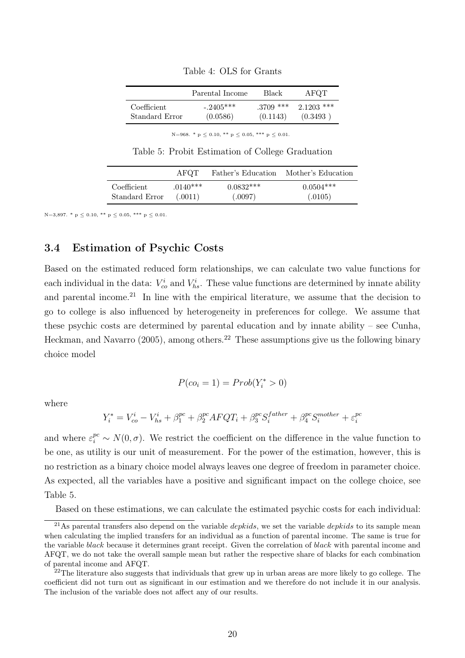|                | Parental Income | Black       | AFQT         |
|----------------|-----------------|-------------|--------------|
| Coefficient    | $-2405***$      | $.3709$ *** | $2.1203$ *** |
| Standard Error | (0.0586)        | (0.1143)    | (0.3493)     |

Table 4: OLS for Grants

N=968. \*  $p \le 0.10$ , \*\*  $p \le 0.05$ , \*\*\*  $p \le 0.01$ .

Table 5: Probit Estimation of College Graduation

|                | AFOT.      |             | Father's Education Mother's Education |
|----------------|------------|-------------|---------------------------------------|
| Coefficient    | $.0140***$ | $0.0832***$ | $0.0504***$                           |
| Standard Error | (.0011)    | (.0097)     | (.0105)                               |

N=3,897. \*  $p \le 0.10$ , \*\*  $p \le 0.05$ , \*\*\*  $p \le 0.01$ .

# 3.4 Estimation of Psychic Costs

Based on the estimated reduced form relationships, we can calculate two value functions for each individual in the data:  $V_{co}^i$  and  $V_{hs}^i$ . These value functions are determined by innate ability and parental income.<sup>21</sup> In line with the empirical literature, we assume that the decision to go to college is also influenced by heterogeneity in preferences for college. We assume that these psychic costs are determined by parental education and by innate ability – see Cunha, Heckman, and Navarro (2005), among others.<sup>22</sup> These assumptions give us the following binary choice model

$$
P(co_i=1)=Prob(Y^*_i>0)
$$

where

$$
Y_i^* = V_{co}^i - V_{hs}^i + \beta_1^{pc} + \beta_2^{pc} A F Q T_i + \beta_3^{pc} S_i^{father} + \beta_4^{pc} S_i^{mother} + \varepsilon_i^{pc}
$$

and where  $\varepsilon_i^{pc} \sim N(0, \sigma)$ . We restrict the coefficient on the difference in the value function to be one, as utility is our unit of measurement. For the power of the estimation, however, this is no restriction as a binary choice model always leaves one degree of freedom in parameter choice. As expected, all the variables have a positive and significant impact on the college choice, see Table 5.

Based on these estimations, we can calculate the estimated psychic costs for each individual:

<sup>&</sup>lt;sup>21</sup>As parental transfers also depend on the variable *depkids*, we set the variable *depkids* to its sample mean when calculating the implied transfers for an individual as a function of parental income. The same is true for the variable black because it determines grant receipt. Given the correlation of black with parental income and AFQT, we do not take the overall sample mean but rather the respective share of blacks for each combination of parental income and AFQT.

 $22$ The literature also suggests that individuals that grew up in urban areas are more likely to go college. The coefficient did not turn out as significant in our estimation and we therefore do not include it in our analysis. The inclusion of the variable does not affect any of our results.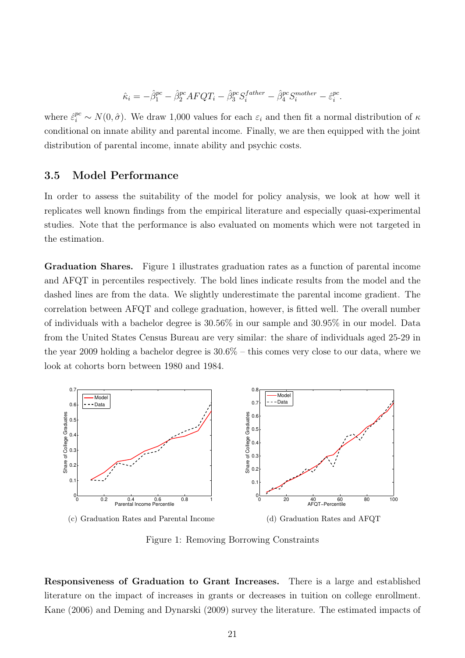$$
\hat{\kappa}_i = -\hat{\beta}_1^{pc} - \hat{\beta}_2^{pc} A F Q T_i - \hat{\beta}_3^{pc} S_i^{father} - \hat{\beta}_4^{pc} S_i^{mother} - \hat{\varepsilon}_i^{pc}.
$$

where  $\hat{\epsilon}_i^{pc} \sim N(0,\hat{\sigma})$ . We draw 1,000 values for each  $\epsilon_i$  and then fit a normal distribution of  $\kappa$ conditional on innate ability and parental income. Finally, we are then equipped with the joint distribution of parental income, innate ability and psychic costs.

### 3.5 Model Performance

In order to assess the suitability of the model for policy analysis, we look at how well it replicates well known findings from the empirical literature and especially quasi-experimental studies. Note that the performance is also evaluated on moments which were not targeted in the estimation.

Graduation Shares. Figure 1 illustrates graduation rates as a function of parental income and AFQT in percentiles respectively. The bold lines indicate results from the model and the dashed lines are from the data. We slightly underestimate the parental income gradient. The correlation between AFQT and college graduation, however, is fitted well. The overall number of individuals with a bachelor degree is 30.56% in our sample and 30.95% in our model. Data from the United States Census Bureau are very similar: the share of individuals aged 25-29 in the year 2009 holding a bachelor degree is 30.6% – this comes very close to our data, where we look at cohorts born between 1980 and 1984.



(d) Graduation Rates and AFQT

Figure 1: Removing Borrowing Constraints

Responsiveness of Graduation to Grant Increases. There is a large and established literature on the impact of increases in grants or decreases in tuition on college enrollment. Kane (2006) and Deming and Dynarski (2009) survey the literature. The estimated impacts of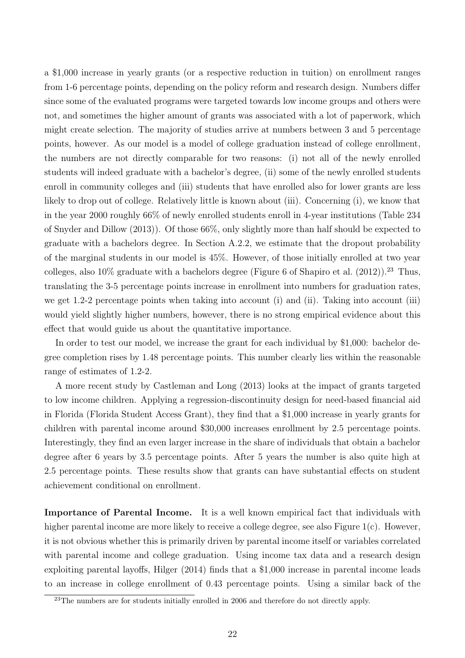a \$1,000 increase in yearly grants (or a respective reduction in tuition) on enrollment ranges from 1-6 percentage points, depending on the policy reform and research design. Numbers differ since some of the evaluated programs were targeted towards low income groups and others were not, and sometimes the higher amount of grants was associated with a lot of paperwork, which might create selection. The majority of studies arrive at numbers between 3 and 5 percentage points, however. As our model is a model of college graduation instead of college enrollment, the numbers are not directly comparable for two reasons: (i) not all of the newly enrolled students will indeed graduate with a bachelor's degree, (ii) some of the newly enrolled students enroll in community colleges and (iii) students that have enrolled also for lower grants are less likely to drop out of college. Relatively little is known about (iii). Concerning (i), we know that in the year 2000 roughly 66% of newly enrolled students enroll in 4-year institutions (Table 234 of Snyder and Dillow (2013)). Of those 66%, only slightly more than half should be expected to graduate with a bachelors degree. In Section A.2.2, we estimate that the dropout probability of the marginal students in our model is 45%. However, of those initially enrolled at two year colleges, also  $10\%$  graduate with a bachelors degree (Figure 6 of Shapiro et al. (2012)).<sup>23</sup> Thus, translating the 3-5 percentage points increase in enrollment into numbers for graduation rates, we get 1.2-2 percentage points when taking into account (i) and (ii). Taking into account (iii) would yield slightly higher numbers, however, there is no strong empirical evidence about this effect that would guide us about the quantitative importance.

In order to test our model, we increase the grant for each individual by \$1,000: bachelor degree completion rises by 1.48 percentage points. This number clearly lies within the reasonable range of estimates of 1.2-2.

A more recent study by Castleman and Long (2013) looks at the impact of grants targeted to low income children. Applying a regression-discontinuity design for need-based financial aid in Florida (Florida Student Access Grant), they find that a \$1,000 increase in yearly grants for children with parental income around \$30,000 increases enrollment by 2.5 percentage points. Interestingly, they find an even larger increase in the share of individuals that obtain a bachelor degree after 6 years by 3.5 percentage points. After 5 years the number is also quite high at 2.5 percentage points. These results show that grants can have substantial effects on student achievement conditional on enrollment.

Importance of Parental Income. It is a well known empirical fact that individuals with higher parental income are more likely to receive a college degree, see also Figure 1(c). However, it is not obvious whether this is primarily driven by parental income itself or variables correlated with parental income and college graduation. Using income tax data and a research design exploiting parental layoffs, Hilger (2014) finds that a \$1,000 increase in parental income leads to an increase in college enrollment of 0.43 percentage points. Using a similar back of the

 $23$ The numbers are for students initially enrolled in 2006 and therefore do not directly apply.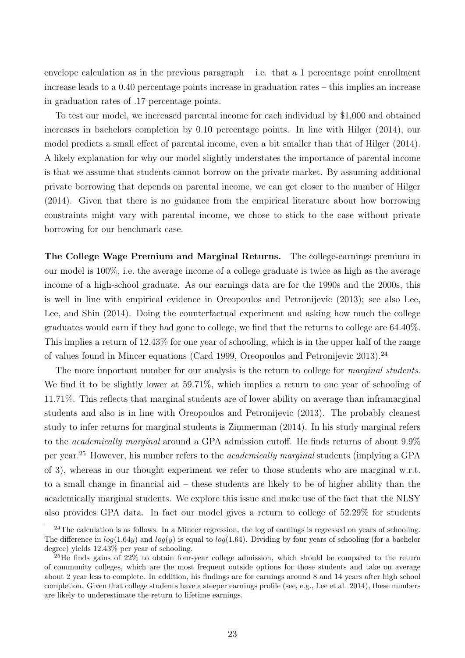envelope calculation as in the previous paragraph  $-$  i.e. that a 1 percentage point enrollment increase leads to a 0.40 percentage points increase in graduation rates – this implies an increase in graduation rates of .17 percentage points.

To test our model, we increased parental income for each individual by \$1,000 and obtained increases in bachelors completion by 0.10 percentage points. In line with Hilger (2014), our model predicts a small effect of parental income, even a bit smaller than that of Hilger (2014). A likely explanation for why our model slightly understates the importance of parental income is that we assume that students cannot borrow on the private market. By assuming additional private borrowing that depends on parental income, we can get closer to the number of Hilger (2014). Given that there is no guidance from the empirical literature about how borrowing constraints might vary with parental income, we chose to stick to the case without private borrowing for our benchmark case.

The College Wage Premium and Marginal Returns. The college-earnings premium in our model is 100%, i.e. the average income of a college graduate is twice as high as the average income of a high-school graduate. As our earnings data are for the 1990s and the 2000s, this is well in line with empirical evidence in Oreopoulos and Petronijevic (2013); see also Lee, Lee, and Shin (2014). Doing the counterfactual experiment and asking how much the college graduates would earn if they had gone to college, we find that the returns to college are 64.40%. This implies a return of 12.43% for one year of schooling, which is in the upper half of the range of values found in Mincer equations (Card 1999, Oreopoulos and Petronijevic 2013).<sup>24</sup>

The more important number for our analysis is the return to college for *marginal students*. We find it to be slightly lower at 59.71%, which implies a return to one year of schooling of 11.71%. This reflects that marginal students are of lower ability on average than inframarginal students and also is in line with Oreopoulos and Petronijevic (2013). The probably cleanest study to infer returns for marginal students is Zimmerman (2014). In his study marginal refers to the academically marginal around a GPA admission cutoff. He finds returns of about 9.9% per year.<sup>25</sup> However, his number refers to the academically marginal students (implying a GPA of 3), whereas in our thought experiment we refer to those students who are marginal w.r.t. to a small change in financial aid – these students are likely to be of higher ability than the academically marginal students. We explore this issue and make use of the fact that the NLSY also provides GPA data. In fact our model gives a return to college of 52.29% for students

 $24$ The calculation is as follows. In a Mincer regression, the log of earnings is regressed on years of schooling. The difference in  $log(1.64y)$  and  $log(y)$  is equal to  $log(1.64)$ . Dividing by four years of schooling (for a bachelor degree) yields 12.43% per year of schooling.

 $^{25}$ He finds gains of  $22\%$  to obtain four-year college admission, which should be compared to the return of community colleges, which are the most frequent outside options for those students and take on average about 2 year less to complete. In addition, his findings are for earnings around 8 and 14 years after high school completion. Given that college students have a steeper earnings profile (see, e.g., Lee et al. 2014), these numbers are likely to underestimate the return to lifetime earnings.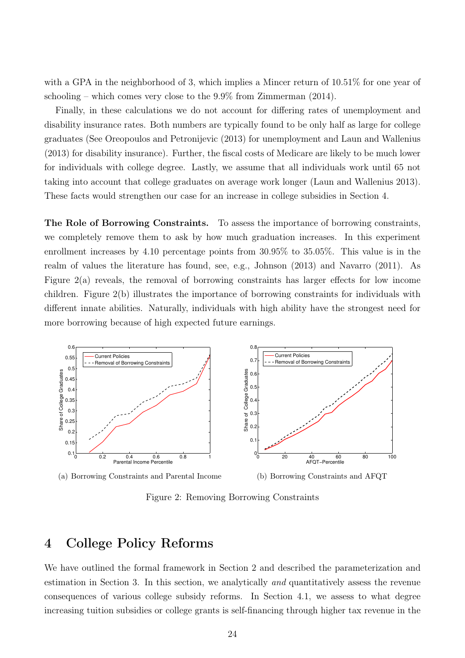with a GPA in the neighborhood of 3, which implies a Mincer return of  $10.51\%$  for one year of schooling – which comes very close to the 9.9% from Zimmerman (2014).

Finally, in these calculations we do not account for differing rates of unemployment and disability insurance rates. Both numbers are typically found to be only half as large for college graduates (See Oreopoulos and Petronijevic (2013) for unemployment and Laun and Wallenius (2013) for disability insurance). Further, the fiscal costs of Medicare are likely to be much lower for individuals with college degree. Lastly, we assume that all individuals work until 65 not taking into account that college graduates on average work longer (Laun and Wallenius 2013). These facts would strengthen our case for an increase in college subsidies in Section 4.

The Role of Borrowing Constraints. To assess the importance of borrowing constraints, we completely remove them to ask by how much graduation increases. In this experiment enrollment increases by 4.10 percentage points from 30.95% to 35.05%. This value is in the realm of values the literature has found, see, e.g., Johnson (2013) and Navarro (2011). As Figure 2(a) reveals, the removal of borrowing constraints has larger effects for low income children. Figure 2(b) illustrates the importance of borrowing constraints for individuals with different innate abilities. Naturally, individuals with high ability have the strongest need for more borrowing because of high expected future earnings.



(a) Borrowing Constraints and Parental Income

(b) Borrowing Constraints and AFQT

Figure 2: Removing Borrowing Constraints

# 4 College Policy Reforms

We have outlined the formal framework in Section 2 and described the parameterization and estimation in Section 3. In this section, we analytically and quantitatively assess the revenue consequences of various college subsidy reforms. In Section 4.1, we assess to what degree increasing tuition subsidies or college grants is self-financing through higher tax revenue in the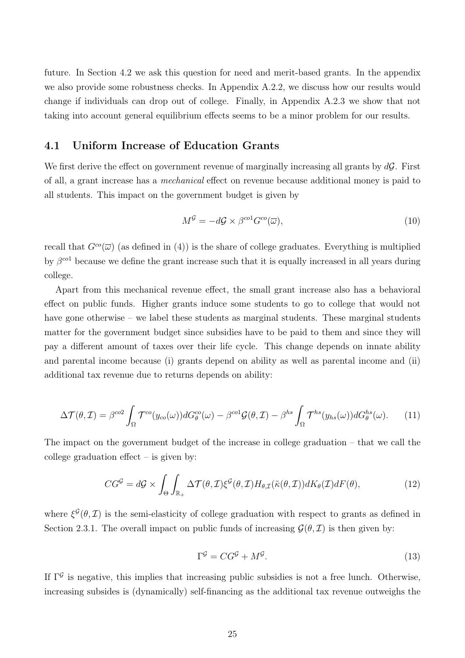future. In Section 4.2 we ask this question for need and merit-based grants. In the appendix we also provide some robustness checks. In Appendix A.2.2, we discuss how our results would change if individuals can drop out of college. Finally, in Appendix A.2.3 we show that not taking into account general equilibrium effects seems to be a minor problem for our results.

### 4.1 Uniform Increase of Education Grants

We first derive the effect on government revenue of marginally increasing all grants by  $d\mathcal{G}$ . First of all, a grant increase has a mechanical effect on revenue because additional money is paid to all students. This impact on the government budget is given by

$$
M^{\mathcal{G}} = -d\mathcal{G} \times \beta^{co1} G^{co}(\overline{\omega}), \qquad (10)
$$

recall that  $G^{\rm co}(\overline{\omega})$  (as defined in (4)) is the share of college graduates. Everything is multiplied by  $\beta^{col}$  because we define the grant increase such that it is equally increased in all years during college.

Apart from this mechanical revenue effect, the small grant increase also has a behavioral effect on public funds. Higher grants induce some students to go to college that would not have gone otherwise – we label these students as marginal students. These marginal students matter for the government budget since subsidies have to be paid to them and since they will pay a different amount of taxes over their life cycle. This change depends on innate ability and parental income because (i) grants depend on ability as well as parental income and (ii) additional tax revenue due to returns depends on ability:

$$
\Delta \mathcal{T}(\theta, \mathcal{I}) = \beta^{co2} \int_{\Omega} \mathcal{T}^{co}(y_{co}(\omega)) dG_{\theta}^{co}(\omega) - \beta^{co1} \mathcal{G}(\theta, \mathcal{I}) - \beta^{hs} \int_{\Omega} \mathcal{T}^{hs}(y_{hs}(\omega)) dG_{\theta}^{hs}(\omega).
$$
 (11)

The impact on the government budget of the increase in college graduation – that we call the college graduation effect  $-$  is given by:

$$
CG^{\mathcal{G}} = d\mathcal{G} \times \int_{\Theta} \int_{\mathbb{R}_+} \Delta \mathcal{T}(\theta, \mathcal{I}) \xi^{\mathcal{G}}(\theta, \mathcal{I}) H_{\theta, \mathcal{I}}(\tilde{\kappa}(\theta, \mathcal{I})) dK_{\theta}(\mathcal{I}) dF(\theta), \tag{12}
$$

where  $\xi^{\mathcal{G}}(\theta, \mathcal{I})$  is the semi-elasticity of college graduation with respect to grants as defined in Section 2.3.1. The overall impact on public funds of increasing  $\mathcal{G}(\theta,\mathcal{I})$  is then given by:

$$
\Gamma^{\mathcal{G}} = CG^{\mathcal{G}} + M^{\mathcal{G}}.\tag{13}
$$

If  $\Gamma^{\mathcal{G}}$  is negative, this implies that increasing public subsidies is not a free lunch. Otherwise, increasing subsides is (dynamically) self-financing as the additional tax revenue outweighs the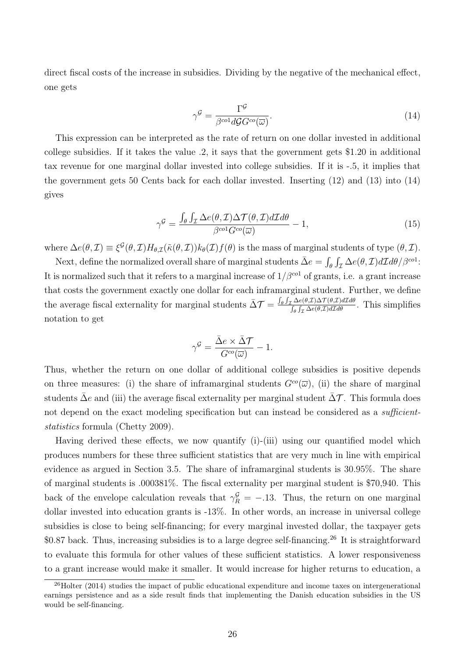direct fiscal costs of the increase in subsidies. Dividing by the negative of the mechanical effect, one gets

$$
\gamma^{\mathcal{G}} = \frac{\Gamma^{\mathcal{G}}}{\beta^{co1} d\mathcal{G} G^{co}(\overline{\omega})}.
$$
\n(14)

This expression can be interpreted as the rate of return on one dollar invested in additional college subsidies. If it takes the value .2, it says that the government gets \$1.20 in additional tax revenue for one marginal dollar invested into college subsidies. If it is -.5, it implies that the government gets 50 Cents back for each dollar invested. Inserting (12) and (13) into (14) gives

$$
\gamma^{\mathcal{G}} = \frac{\int_{\theta} \int_{\mathcal{I}} \Delta e(\theta, \mathcal{I}) \Delta \mathcal{T}(\theta, \mathcal{I}) d\mathcal{I} d\theta}{\beta^{co1} G^{co}(\overline{\omega})} - 1,\tag{15}
$$

where  $\Delta e(\theta, \mathcal{I}) \equiv \xi^{\mathcal{G}}(\theta, \mathcal{I}) H_{\theta, \mathcal{I}}(\tilde{\kappa}(\theta, \mathcal{I})) k_{\theta}(\mathcal{I}) f(\theta)$  is the mass of marginal students of type  $(\theta, \mathcal{I})$ .

Next, define the normalized overall share of marginal students  $\bar{\Delta}e = \int_{\theta} \int_{\mathcal{I}} \Delta e(\theta, \mathcal{I}) d\mathcal{I} d\theta / \beta^{col}$ : It is normalized such that it refers to a marginal increase of  $1/\beta^{col}$  of grants, i.e. a grant increase that costs the government exactly one dollar for each inframarginal student. Further, we define the average fiscal externality for marginal students  $\bar{\Delta}T = \frac{\int_{\theta} \int_{\mathcal{I}} \Delta e(\theta, \mathcal{I}) \Delta T(\theta, \mathcal{I}) d\mathcal{I} d\theta}{\int_{\theta} \int_{\mathcal{I}} \Delta e(\theta, \mathcal{I}) d\mathcal{I} d\theta}$ . This simplifies notation to get

$$
\gamma^{\mathcal{G}} = \frac{\bar{\Delta}e \times \bar{\Delta}\mathcal{T}}{G^{co}(\overline{\omega})} - 1.
$$

Thus, whether the return on one dollar of additional college subsidies is positive depends on three measures: (i) the share of inframarginal students  $G^{co}(\overline{\omega})$ , (ii) the share of marginal students  $\bar{\Delta}e$  and (iii) the average fiscal externality per marginal student  $\bar{\Delta}T$ . This formula does not depend on the exact modeling specification but can instead be considered as a sufficientstatistics formula (Chetty 2009).

Having derived these effects, we now quantify (i)-(iii) using our quantified model which produces numbers for these three sufficient statistics that are very much in line with empirical evidence as argued in Section 3.5. The share of inframarginal students is 30.95%. The share of marginal students is .000381%. The fiscal externality per marginal student is \$70,940. This back of the envelope calculation reveals that  $\gamma_R^{\mathcal{G}} = -.13$ . Thus, the return on one marginal dollar invested into education grants is -13%. In other words, an increase in universal college subsidies is close to being self-financing; for every marginal invested dollar, the taxpayer gets  $$0.87$  back. Thus, increasing subsidies is to a large degree self-financing.<sup>26</sup> It is straightforward to evaluate this formula for other values of these sufficient statistics. A lower responsiveness to a grant increase would make it smaller. It would increase for higher returns to education, a

 $^{26}$ Holter (2014) studies the impact of public educational expenditure and income taxes on intergenerational earnings persistence and as a side result finds that implementing the Danish education subsidies in the US would be self-financing.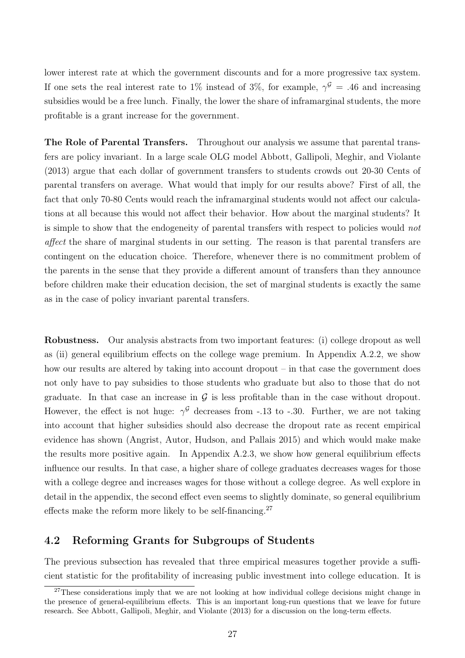lower interest rate at which the government discounts and for a more progressive tax system. If one sets the real interest rate to 1% instead of 3%, for example,  $\gamma^{\mathcal{G}} = .46$  and increasing subsidies would be a free lunch. Finally, the lower the share of inframarginal students, the more profitable is a grant increase for the government.

The Role of Parental Transfers. Throughout our analysis we assume that parental transfers are policy invariant. In a large scale OLG model Abbott, Gallipoli, Meghir, and Violante (2013) argue that each dollar of government transfers to students crowds out 20-30 Cents of parental transfers on average. What would that imply for our results above? First of all, the fact that only 70-80 Cents would reach the inframarginal students would not affect our calculations at all because this would not affect their behavior. How about the marginal students? It is simple to show that the endogeneity of parental transfers with respect to policies would not affect the share of marginal students in our setting. The reason is that parental transfers are contingent on the education choice. Therefore, whenever there is no commitment problem of the parents in the sense that they provide a different amount of transfers than they announce before children make their education decision, the set of marginal students is exactly the same as in the case of policy invariant parental transfers.

Robustness. Our analysis abstracts from two important features: (i) college dropout as well as (ii) general equilibrium effects on the college wage premium. In Appendix A.2.2, we show how our results are altered by taking into account dropout – in that case the government does not only have to pay subsidies to those students who graduate but also to those that do not graduate. In that case an increase in  $G$  is less profitable than in the case without dropout. However, the effect is not huge:  $\gamma^{\mathcal{G}}$  decreases from -.13 to -.30. Further, we are not taking into account that higher subsidies should also decrease the dropout rate as recent empirical evidence has shown (Angrist, Autor, Hudson, and Pallais 2015) and which would make make the results more positive again. In Appendix A.2.3, we show how general equilibrium effects influence our results. In that case, a higher share of college graduates decreases wages for those with a college degree and increases wages for those without a college degree. As well explore in detail in the appendix, the second effect even seems to slightly dominate, so general equilibrium effects make the reform more likely to be self-financing.<sup>27</sup>

### 4.2 Reforming Grants for Subgroups of Students

The previous subsection has revealed that three empirical measures together provide a sufficient statistic for the profitability of increasing public investment into college education. It is

 $27$ These considerations imply that we are not looking at how individual college decisions might change in the presence of general-equilibrium effects. This is an important long-run questions that we leave for future research. See Abbott, Gallipoli, Meghir, and Violante (2013) for a discussion on the long-term effects.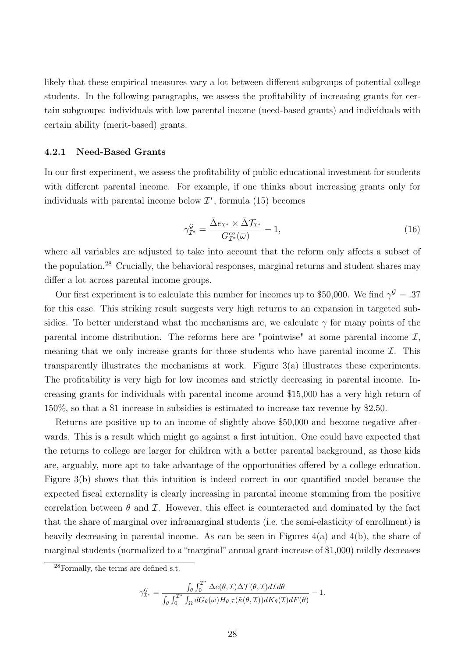likely that these empirical measures vary a lot between different subgroups of potential college students. In the following paragraphs, we assess the profitability of increasing grants for certain subgroups: individuals with low parental income (need-based grants) and individuals with certain ability (merit-based) grants.

### 4.2.1 Need-Based Grants

In our first experiment, we assess the profitability of public educational investment for students with different parental income. For example, if one thinks about increasing grants only for individuals with parental income below  $\mathcal{I}^*$ , formula (15) becomes

$$
\gamma_{\mathcal{I}^*}^{\mathcal{G}} = \frac{\bar{\Delta}e_{\mathcal{I}^*} \times \bar{\Delta}\mathcal{T}_{\mathcal{I}^*}}{G_{\mathcal{I}^*}^{co}(\bar{\omega})} - 1,\tag{16}
$$

where all variables are adjusted to take into account that the reform only affects a subset of the population.<sup>28</sup> Crucially, the behavioral responses, marginal returns and student shares may differ a lot across parental income groups.

Our first experiment is to calculate this number for incomes up to \$50,000. We find  $\gamma^{\mathcal{G}} = .37$ for this case. This striking result suggests very high returns to an expansion in targeted subsidies. To better understand what the mechanisms are, we calculate  $\gamma$  for many points of the parental income distribution. The reforms here are "pointwise" at some parental income  $\mathcal{I}$ , meaning that we only increase grants for those students who have parental income  $\mathcal{I}$ . This transparently illustrates the mechanisms at work. Figure 3(a) illustrates these experiments. The profitability is very high for low incomes and strictly decreasing in parental income. Increasing grants for individuals with parental income around \$15,000 has a very high return of 150%, so that a \$1 increase in subsidies is estimated to increase tax revenue by \$2.50.

Returns are positive up to an income of slightly above \$50,000 and become negative afterwards. This is a result which might go against a first intuition. One could have expected that the returns to college are larger for children with a better parental background, as those kids are, arguably, more apt to take advantage of the opportunities offered by a college education. Figure 3(b) shows that this intuition is indeed correct in our quantified model because the expected fiscal externality is clearly increasing in parental income stemming from the positive correlation between  $\theta$  and  $\mathcal{I}$ . However, this effect is counteracted and dominated by the fact that the share of marginal over inframarginal students (i.e. the semi-elasticity of enrollment) is heavily decreasing in parental income. As can be seen in Figures  $4(a)$  and  $4(b)$ , the share of marginal students (normalized to a "marginal" annual grant increase of \$1,000) mildly decreases

$$
\gamma_{\mathcal{I}^*}^{\mathcal{G}} = \frac{\int_{\theta} \int_0^{\mathcal{I}^*} \Delta e(\theta, \mathcal{I}) \Delta \mathcal{T}(\theta, \mathcal{I}) d\mathcal{I} d\theta}{\int_{\theta} \int_0^{\mathcal{I}^*} \int_{\Omega} dG_{\theta}(\omega) H_{\theta, \mathcal{I}}(\tilde{\kappa}(\theta, \mathcal{I})) dK_{\theta}(\mathcal{I}) dF(\theta)} - 1.
$$

<sup>28</sup>Formally, the terms are defined s.t.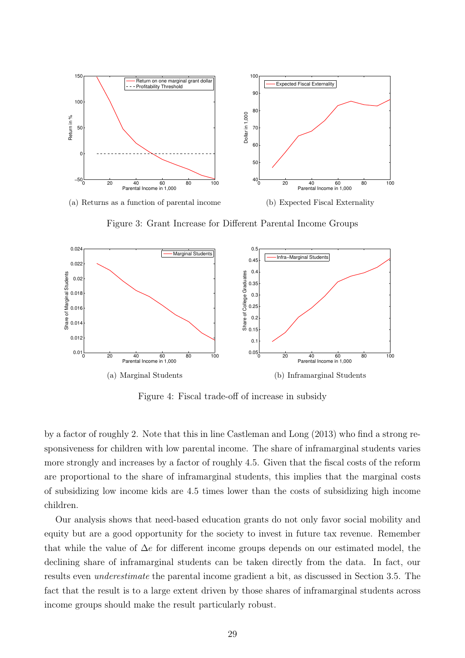

Figure 3: Grant Increase for Different Parental Income Groups



Figure 4: Fiscal trade-off of increase in subsidy

by a factor of roughly 2. Note that this in line Castleman and Long (2013) who find a strong responsiveness for children with low parental income. The share of inframarginal students varies more strongly and increases by a factor of roughly 4.5. Given that the fiscal costs of the reform are proportional to the share of inframarginal students, this implies that the marginal costs of subsidizing low income kids are 4.5 times lower than the costs of subsidizing high income children.

Our analysis shows that need-based education grants do not only favor social mobility and equity but are a good opportunity for the society to invest in future tax revenue. Remember that while the value of  $\Delta e$  for different income groups depends on our estimated model, the declining share of inframarginal students can be taken directly from the data. In fact, our results even underestimate the parental income gradient a bit, as discussed in Section 3.5. The fact that the result is to a large extent driven by those shares of inframarginal students across income groups should make the result particularly robust.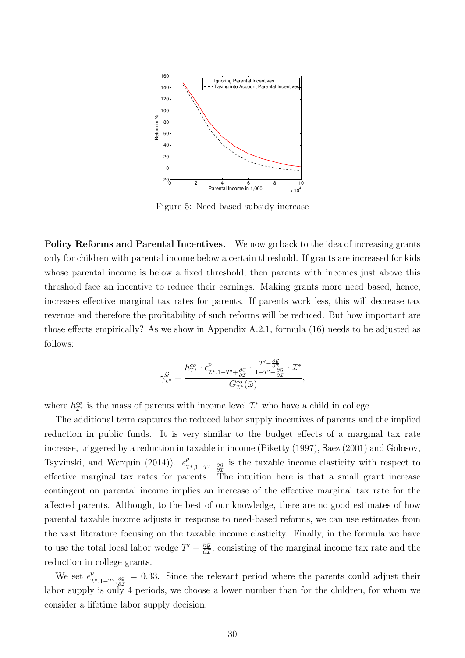

Figure 5: Need-based subsidy increase

Policy Reforms and Parental Incentives. We now go back to the idea of increasing grants only for children with parental income below a certain threshold. If grants are increased for kids whose parental income is below a fixed threshold, then parents with incomes just above this threshold face an incentive to reduce their earnings. Making grants more need based, hence, increases effective marginal tax rates for parents. If parents work less, this will decrease tax revenue and therefore the profitability of such reforms will be reduced. But how important are those effects empirically? As we show in Appendix A.2.1, formula (16) needs to be adjusted as follows:

$$
\gamma^{\mathcal{G}}_{\mathcal{I}^*}-\frac{h^{\mathcal{co}}_{\mathcal{I}^*}\cdot\epsilon^p_{\mathcal{I}^*,1-T'+\frac{\partial \mathcal{G}}{\partial \mathcal{I}}}\cdot \frac{T'-\frac{\partial \mathcal{G}}{\partial \mathcal{I}}}{1-T'+\frac{\partial \mathcal{G}}{\partial \mathcal{I}}}\cdot \mathcal{I}^*}{G^{\mathcal{co}}_{\mathcal{I}^*}(\bar{\omega})},
$$

where  $h_{\mathcal{I}^*}^{co}$  is the mass of parents with income level  $\mathcal{I}^*$  who have a child in college.

The additional term captures the reduced labor supply incentives of parents and the implied reduction in public funds. It is very similar to the budget effects of a marginal tax rate increase, triggered by a reduction in taxable in income (Piketty (1997), Saez (2001) and Golosov, Tsyvinski, and Werquin (2014)).  $\epsilon^p_{\tau}$  $\frac{p}{\mathcal{I}^*,1-T'+\frac{\partial \mathcal{G}}{\partial \mathcal{I}}}$  is the taxable income elasticity with respect to effective marginal tax rates for parents. The intuition here is that a small grant increase contingent on parental income implies an increase of the effective marginal tax rate for the affected parents. Although, to the best of our knowledge, there are no good estimates of how parental taxable income adjusts in response to need-based reforms, we can use estimates from the vast literature focusing on the taxable income elasticity. Finally, in the formula we have to use the total local labor wedge  $T' - \frac{\partial \mathcal{G}}{\partial \tau}$  $\frac{\partial \mathcal{G}}{\partial \mathcal{I}}$ , consisting of the marginal income tax rate and the reduction in college grants.

We set  $\epsilon^p_\tau$  $\frac{p}{L^*},_{1}-T',\frac{\partial \mathcal{G}}{\partial \mathcal{I}}}=0.33.$  Since the relevant period where the parents could adjust their labor supply is only 4 periods, we choose a lower number than for the children, for whom we consider a lifetime labor supply decision.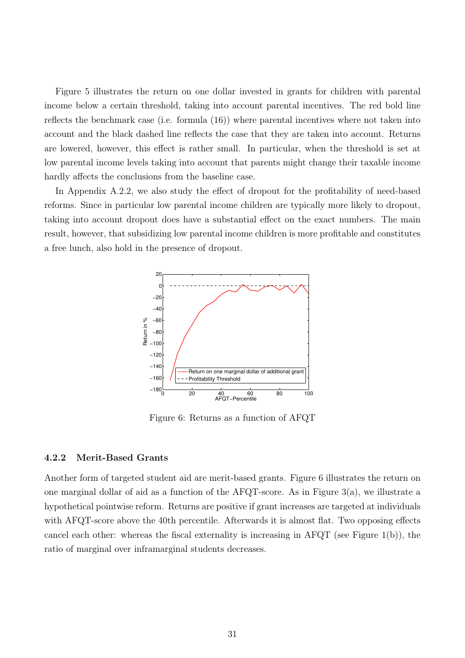Figure 5 illustrates the return on one dollar invested in grants for children with parental income below a certain threshold, taking into account parental incentives. The red bold line reflects the benchmark case (i.e. formula (16)) where parental incentives where not taken into account and the black dashed line reflects the case that they are taken into account. Returns are lowered, however, this effect is rather small. In particular, when the threshold is set at low parental income levels taking into account that parents might change their taxable income hardly affects the conclusions from the baseline case.

In Appendix A.2.2, we also study the effect of dropout for the profitability of need-based reforms. Since in particular low parental income children are typically more likely to dropout, taking into account dropout does have a substantial effect on the exact numbers. The main result, however, that subsidizing low parental income children is more profitable and constitutes a free lunch, also hold in the presence of dropout.



Figure 6: Returns as a function of AFQT

### 4.2.2 Merit-Based Grants

Another form of targeted student aid are merit-based grants. Figure 6 illustrates the return on one marginal dollar of aid as a function of the AFQT-score. As in Figure 3(a), we illustrate a hypothetical pointwise reform. Returns are positive if grant increases are targeted at individuals with AFQT-score above the 40th percentile. Afterwards it is almost flat. Two opposing effects cancel each other: whereas the fiscal externality is increasing in AFQT (see Figure 1(b)), the ratio of marginal over inframarginal students decreases.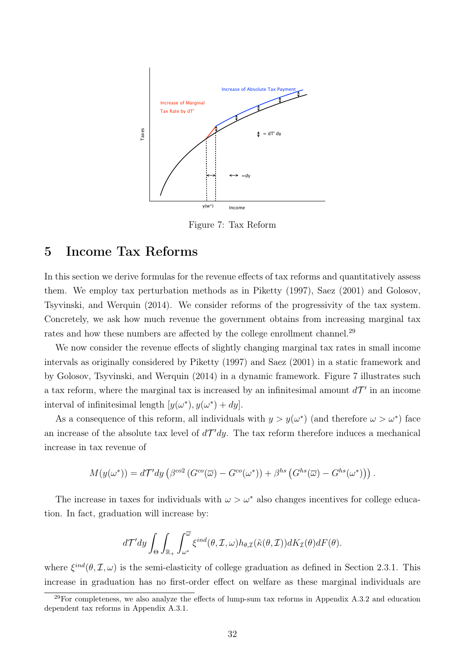

Figure 7: Tax Reform

# 5 Income Tax Reforms

In this section we derive formulas for the revenue effects of tax reforms and quantitatively assess them. We employ tax perturbation methods as in Piketty (1997), Saez (2001) and Golosov, Tsyvinski, and Werquin (2014). We consider reforms of the progressivity of the tax system. Concretely, we ask how much revenue the government obtains from increasing marginal tax rates and how these numbers are affected by the college enrollment channel.<sup>29</sup>

We now consider the revenue effects of slightly changing marginal tax rates in small income intervals as originally considered by Piketty (1997) and Saez (2001) in a static framework and by Golosov, Tsyvinski, and Werquin (2014) in a dynamic framework. Figure 7 illustrates such a tax reform, where the marginal tax is increased by an infinitesimal amount  $d\mathcal{T}'$  in an income interval of infinitesimal length  $[y(\omega^*), y(\omega^*) + dy]$ .

As a consequence of this reform, all individuals with  $y > y(\omega^*)$  (and therefore  $\omega > \omega^*$ ) face an increase of the absolute tax level of  $d\mathcal{T}' dy$ . The tax reform therefore induces a mechanical increase in tax revenue of

$$
M(y(\omega^*)) = d\mathcal{T}' dy \left( \beta^{\text{co2}} \left( G^{\text{co}}(\overline{\omega}) - G^{\text{co}}(\omega^*) \right) + \beta^{hs} \left( G^{hs}(\overline{\omega}) - G^{hs}(\omega^*) \right) \right).
$$

The increase in taxes for individuals with  $\omega > \omega^*$  also changes incentives for college education. In fact, graduation will increase by:

$$
d\mathcal{T}' dy \int_{\Theta} \int_{\mathbb{R}_+} \int_{\omega^*}^{\overline{\omega}} \xi^{ind}(\theta, \mathcal{I}, \omega) h_{\theta, \mathcal{I}}(\tilde{\kappa}(\theta, \mathcal{I})) dK_{\mathcal{I}}(\theta) dF(\theta).
$$

where  $\xi^{ind}(\theta, \mathcal{I}, \omega)$  is the semi-elasticity of college graduation as defined in Section 2.3.1. This increase in graduation has no first-order effect on welfare as these marginal individuals are

 $^{29}$ For completeness, we also analyze the effects of lump-sum tax reforms in Appendix A.3.2 and education dependent tax reforms in Appendix A.3.1.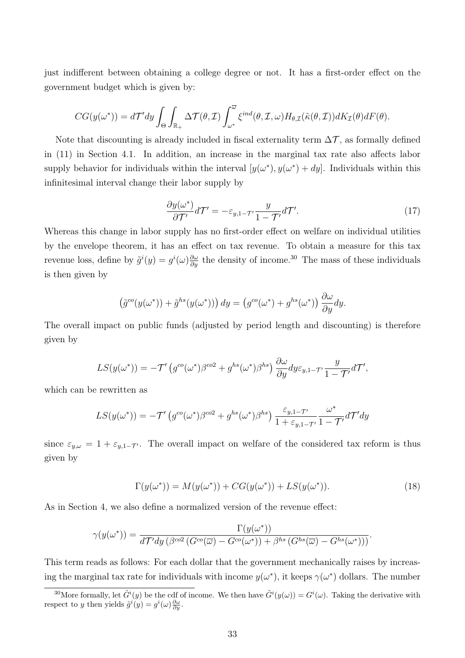just indifferent between obtaining a college degree or not. It has a first-order effect on the government budget which is given by:

$$
CG(y(\omega^*)) = d\mathcal{T}' dy \int_{\Theta} \int_{\mathbb{R}_+} \Delta \mathcal{T}(\theta, \mathcal{I}) \int_{\omega^*}^{\overline{\omega}} \xi^{ind}(\theta, \mathcal{I}, \omega) H_{\theta, \mathcal{I}}(\tilde{\kappa}(\theta, \mathcal{I})) dK_{\mathcal{I}}(\theta) dF(\theta).
$$

Note that discounting is already included in fiscal externality term  $\Delta \mathcal{T}$ , as formally defined in (11) in Section 4.1. In addition, an increase in the marginal tax rate also affects labor supply behavior for individuals within the interval  $[y(\omega^*), y(\omega^*) + dy]$ . Individuals within this infinitesimal interval change their labor supply by

$$
\frac{\partial y(\omega^*)}{\partial \mathcal{T}'} d\mathcal{T}' = -\varepsilon_{y,1} - \tau' \frac{y}{1 - \mathcal{T}'} d\mathcal{T}'.\tag{17}
$$

Whereas this change in labor supply has no first-order effect on welfare on individual utilities by the envelope theorem, it has an effect on tax revenue. To obtain a measure for this tax revenue loss, define by  $\tilde{g}^i(y) = g^i(\omega)\frac{\partial \omega}{\partial y}$  the density of income.<sup>30</sup> The mass of these individuals is then given by

$$
\left(\tilde{g}^{co}(y(\omega^*)) + \tilde{g}^{hs}(y(\omega^*))\right)dy = \left(g^{co}(\omega^*) + g^{hs}(\omega^*)\right)\frac{\partial\omega}{\partial y}dy.
$$

The overall impact on public funds (adjusted by period length and discounting) is therefore given by

$$
LS(y(\omega^*)) = -\mathcal{T}'\left(g^{co}(\omega^*)\beta^{co2} + g^{hs}(\omega^*)\beta^{hs}\right)\frac{\partial\omega}{\partial y}dy\varepsilon_{y,1} - \mathcal{T}'\frac{y}{1-\mathcal{T}'}d\mathcal{T}',
$$

which can be rewritten as

$$
LS(y(\omega^*)) = -\mathcal{T}'\left(g^{co}(\omega^*)\beta^{co2} + g^{hs}(\omega^*)\beta^{hs}\right) \frac{\varepsilon_{y,1-\mathcal{T}'} }{1+\varepsilon_{y,1-\mathcal{T}'}} \frac{\omega^*}{1+\mathcal{T}'} d\mathcal{T}' dy
$$

since  $\varepsilon_{y,\omega} = 1 + \varepsilon_{y,1-\mathcal{T}}$ . The overall impact on welfare of the considered tax reform is thus given by

$$
\Gamma(y(\omega^*)) = M(y(\omega^*)) + CG(y(\omega^*)) + LS(y(\omega^*)). \tag{18}
$$

As in Section 4, we also define a normalized version of the revenue effect:

$$
\gamma(y(\omega^*)) = \frac{\Gamma(y(\omega^*))}{d\mathcal{T}' dy \left(\beta^{co2} \left(G^{co}(\overline{\omega}) - G^{co}(\omega^*)\right) + \beta^{hs} \left(G^{hs}(\overline{\omega}) - G^{hs}(\omega^*)\right)\right)}.
$$

This term reads as follows: For each dollar that the government mechanically raises by increasing the marginal tax rate for individuals with income  $y(\omega^*)$ , it keeps  $\gamma(\omega^*)$  dollars. The number

<sup>&</sup>lt;sup>30</sup>More formally, let  $\tilde{G}^i(y)$  be the cdf of income. We then have  $\tilde{G}^i(y(\omega)) = G^i(\omega)$ . Taking the derivative with respect to y then yields  $\tilde{g}^i(y) = g^i(\omega) \frac{\partial \omega}{\partial y}$ .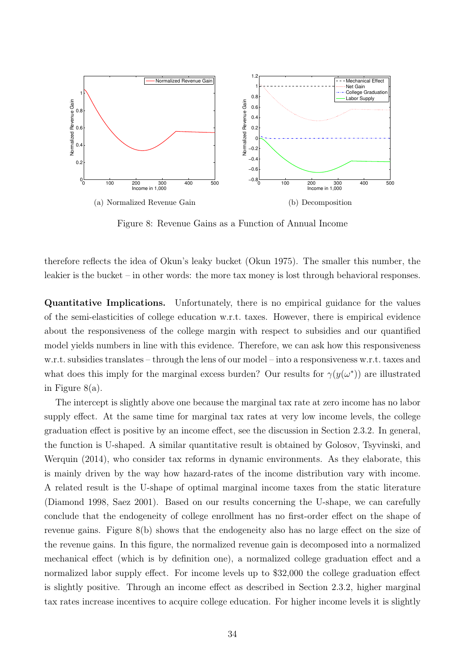

Figure 8: Revenue Gains as a Function of Annual Income

therefore reflects the idea of Okun's leaky bucket (Okun 1975). The smaller this number, the leakier is the bucket – in other words: the more tax money is lost through behavioral responses.

Quantitative Implications. Unfortunately, there is no empirical guidance for the values of the semi-elasticities of college education w.r.t. taxes. However, there is empirical evidence about the responsiveness of the college margin with respect to subsidies and our quantified model yields numbers in line with this evidence. Therefore, we can ask how this responsiveness w.r.t. subsidies translates – through the lens of our model – into a responsiveness w.r.t. taxes and what does this imply for the marginal excess burden? Our results for  $\gamma(y(\omega^*))$  are illustrated in Figure 8(a).

The intercept is slightly above one because the marginal tax rate at zero income has no labor supply effect. At the same time for marginal tax rates at very low income levels, the college graduation effect is positive by an income effect, see the discussion in Section 2.3.2. In general, the function is U-shaped. A similar quantitative result is obtained by Golosov, Tsyvinski, and Werquin (2014), who consider tax reforms in dynamic environments. As they elaborate, this is mainly driven by the way how hazard-rates of the income distribution vary with income. A related result is the U-shape of optimal marginal income taxes from the static literature (Diamond 1998, Saez 2001). Based on our results concerning the U-shape, we can carefully conclude that the endogeneity of college enrollment has no first-order effect on the shape of revenue gains. Figure 8(b) shows that the endogeneity also has no large effect on the size of the revenue gains. In this figure, the normalized revenue gain is decomposed into a normalized mechanical effect (which is by definition one), a normalized college graduation effect and a normalized labor supply effect. For income levels up to \$32,000 the college graduation effect is slightly positive. Through an income effect as described in Section 2.3.2, higher marginal tax rates increase incentives to acquire college education. For higher income levels it is slightly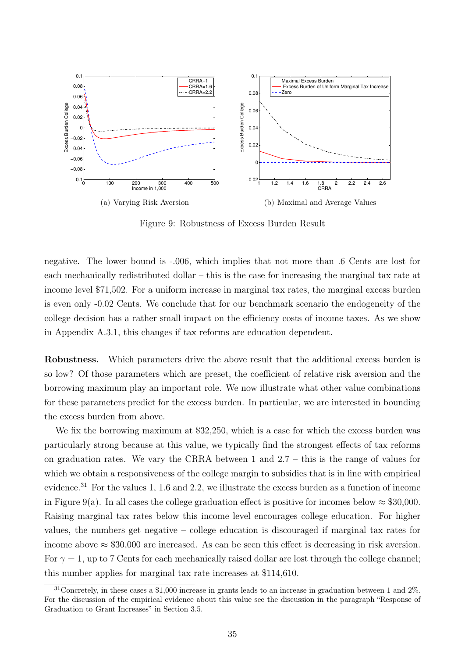

Figure 9: Robustness of Excess Burden Result

negative. The lower bound is -.006, which implies that not more than .6 Cents are lost for each mechanically redistributed dollar – this is the case for increasing the marginal tax rate at income level \$71,502. For a uniform increase in marginal tax rates, the marginal excess burden is even only -0.02 Cents. We conclude that for our benchmark scenario the endogeneity of the college decision has a rather small impact on the efficiency costs of income taxes. As we show in Appendix A.3.1, this changes if tax reforms are education dependent.

Robustness. Which parameters drive the above result that the additional excess burden is so low? Of those parameters which are preset, the coefficient of relative risk aversion and the borrowing maximum play an important role. We now illustrate what other value combinations for these parameters predict for the excess burden. In particular, we are interested in bounding the excess burden from above.

We fix the borrowing maximum at \$32,250, which is a case for which the excess burden was particularly strong because at this value, we typically find the strongest effects of tax reforms on graduation rates. We vary the CRRA between 1 and 2.7 – this is the range of values for which we obtain a responsiveness of the college margin to subsidies that is in line with empirical evidence.<sup>31</sup> For the values 1, 1.6 and 2.2, we illustrate the excess burden as a function of income in Figure 9(a). In all cases the college graduation effect is positive for incomes below  $\approx$  \$30,000. Raising marginal tax rates below this income level encourages college education. For higher values, the numbers get negative – college education is discouraged if marginal tax rates for income above  $\approx$  \$30,000 are increased. As can be seen this effect is decreasing in risk aversion. For  $\gamma = 1$ , up to 7 Cents for each mechanically raised dollar are lost through the college channel; this number applies for marginal tax rate increases at \$114,610.

 $31$ Concretely, in these cases a \$1,000 increase in grants leads to an increase in graduation between 1 and 2%. For the discussion of the empirical evidence about this value see the discussion in the paragraph "Response of Graduation to Grant Increases" in Section 3.5.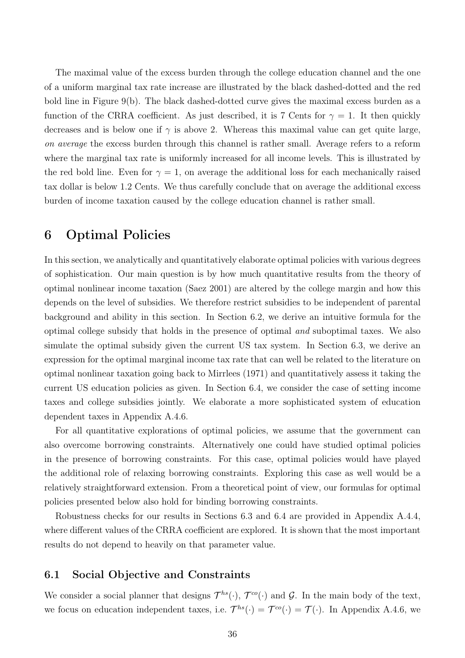The maximal value of the excess burden through the college education channel and the one of a uniform marginal tax rate increase are illustrated by the black dashed-dotted and the red bold line in Figure 9(b). The black dashed-dotted curve gives the maximal excess burden as a function of the CRRA coefficient. As just described, it is 7 Cents for  $\gamma = 1$ . It then quickly decreases and is below one if  $\gamma$  is above 2. Whereas this maximal value can get quite large, on average the excess burden through this channel is rather small. Average refers to a reform where the marginal tax rate is uniformly increased for all income levels. This is illustrated by the red bold line. Even for  $\gamma = 1$ , on average the additional loss for each mechanically raised tax dollar is below 1.2 Cents. We thus carefully conclude that on average the additional excess burden of income taxation caused by the college education channel is rather small.

# 6 Optimal Policies

In this section, we analytically and quantitatively elaborate optimal policies with various degrees of sophistication. Our main question is by how much quantitative results from the theory of optimal nonlinear income taxation (Saez 2001) are altered by the college margin and how this depends on the level of subsidies. We therefore restrict subsidies to be independent of parental background and ability in this section. In Section 6.2, we derive an intuitive formula for the optimal college subsidy that holds in the presence of optimal and suboptimal taxes. We also simulate the optimal subsidy given the current US tax system. In Section 6.3, we derive an expression for the optimal marginal income tax rate that can well be related to the literature on optimal nonlinear taxation going back to Mirrlees (1971) and quantitatively assess it taking the current US education policies as given. In Section 6.4, we consider the case of setting income taxes and college subsidies jointly. We elaborate a more sophisticated system of education dependent taxes in Appendix A.4.6.

For all quantitative explorations of optimal policies, we assume that the government can also overcome borrowing constraints. Alternatively one could have studied optimal policies in the presence of borrowing constraints. For this case, optimal policies would have played the additional role of relaxing borrowing constraints. Exploring this case as well would be a relatively straightforward extension. From a theoretical point of view, our formulas for optimal policies presented below also hold for binding borrowing constraints.

Robustness checks for our results in Sections 6.3 and 6.4 are provided in Appendix A.4.4, where different values of the CRRA coefficient are explored. It is shown that the most important results do not depend to heavily on that parameter value.

### 6.1 Social Objective and Constraints

We consider a social planner that designs  $\mathcal{T}^{hs}(\cdot), \mathcal{T}^{co}(\cdot)$  and  $\mathcal{G}$ . In the main body of the text, we focus on education independent taxes, i.e.  $\mathcal{T}^{hs}(\cdot) = \mathcal{T}^{co}(\cdot) = \mathcal{T}(\cdot)$ . In Appendix A.4.6, we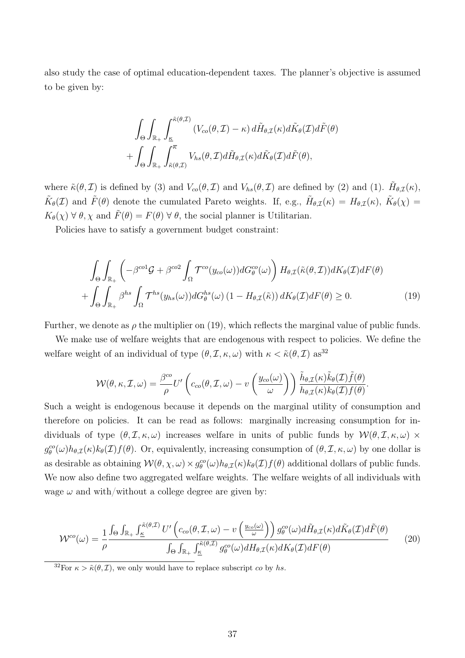also study the case of optimal education-dependent taxes. The planner's objective is assumed to be given by:

$$
\int_{\Theta} \int_{\mathbb{R}_+} \int_{\underline{\kappa}}^{\tilde{\kappa}(\theta,\mathcal{I})} (V_{co}(\theta,\mathcal{I}) - \kappa) d\tilde{H}_{\theta,\mathcal{I}}(\kappa) d\tilde{K}_{\theta}(\mathcal{I}) d\tilde{F}(\theta) \n+ \int_{\Theta} \int_{\mathbb{R}_+} \int_{\tilde{\kappa}(\theta,\mathcal{I})}^{\overline{\kappa}} V_{hs}(\theta,\mathcal{I}) d\tilde{H}_{\theta,\mathcal{I}}(\kappa) d\tilde{K}_{\theta}(\mathcal{I}) d\tilde{F}(\theta),
$$

where  $\tilde{\kappa}(\theta, \mathcal{I})$  is defined by (3) and  $V_{co}(\theta, \mathcal{I})$  and  $V_{hs}(\theta, \mathcal{I})$  are defined by (2) and (1).  $\tilde{H}_{\theta, \mathcal{I}}(\kappa)$ ,  $\tilde{K}_{\theta}(\mathcal{I})$  and  $\tilde{F}(\theta)$  denote the cumulated Pareto weights. If, e.g.,  $\tilde{H}_{\theta,\mathcal{I}}(\kappa) = H_{\theta,\mathcal{I}}(\kappa)$ ,  $\tilde{K}_{\theta}(\chi) =$  $K_{\theta}(\chi) \,\forall \,\theta, \chi$  and  $\tilde{F}(\theta) = F(\theta) \,\forall \,\theta$ , the social planner is Utilitarian.

Policies have to satisfy a government budget constraint:

$$
\int_{\Theta} \int_{\mathbb{R}_+} \left( -\beta^{co1} \mathcal{G} + \beta^{co2} \int_{\Omega} \mathcal{T}^{co}(y_{co}(\omega)) dG_{\theta}^{co}(\omega) \right) H_{\theta, \mathcal{I}}(\tilde{\kappa}(\theta, \mathcal{I})) dK_{\theta}(\mathcal{I}) dF(\theta) + \int_{\Theta} \int_{\mathbb{R}_+} \beta^{hs} \int_{\Omega} \mathcal{T}^{hs}(y_{hs}(\omega)) dG_{\theta}^{hs}(\omega) (1 - H_{\theta, \mathcal{I}}(\tilde{\kappa})) dK_{\theta}(\mathcal{I}) dF(\theta) \ge 0.
$$
\n(19)

Further, we denote as  $\rho$  the multiplier on (19), which reflects the marginal value of public funds.

We make use of welfare weights that are endogenous with respect to policies. We define the welfare weight of an individual of type  $(\theta, \mathcal{I}, \kappa, \omega)$  with  $\kappa < \tilde{\kappa}(\theta, \mathcal{I})$  as<sup>32</sup>

$$
\mathcal{W}(\theta,\kappa,\mathcal{I},\omega) = \frac{\beta^{co}}{\rho} U' \left( c_{co}(\theta,\mathcal{I},\omega) - v \left( \frac{y_{co}(\omega)}{\omega} \right) \right) \frac{\tilde{h}_{\theta,\mathcal{I}}(\kappa)\tilde{k}_{\theta}(\mathcal{I})\tilde{f}(\theta)}{h_{\theta,\mathcal{I}}(\kappa)k_{\theta}(\mathcal{I})f(\theta)}.
$$

Such a weight is endogenous because it depends on the marginal utility of consumption and therefore on policies. It can be read as follows: marginally increasing consumption for individuals of type  $(\theta, \mathcal{I}, \kappa, \omega)$  increases welfare in units of public funds by  $\mathcal{W}(\theta, \mathcal{I}, \kappa, \omega) \times$  $g_{\theta}^{co}(\omega)h_{\theta,\mathcal{I}}(\kappa)k_{\theta}(\mathcal{I})f(\theta)$ . Or, equivalently, increasing consumption of  $(\theta,\mathcal{I},\kappa,\omega)$  by one dollar is as desirable as obtaining  $W(\theta, \chi, \omega) \times g_{\theta}^{co}(\omega) h_{\theta, \mathcal{I}}(\kappa) k_{\theta}(\mathcal{I}) f(\theta)$  additional dollars of public funds. We now also define two aggregated welfare weights. The welfare weights of all individuals with wage  $\omega$  and with/without a college degree are given by:

$$
W^{co}(\omega) = \frac{1}{\rho} \frac{\int_{\Theta} \int_{\mathbb{R}_{+}} \int_{\underline{\kappa}}^{\tilde{\kappa}(\theta,\mathcal{I})} U'\left(c_{co}(\theta,\mathcal{I},\omega) - v\left(\frac{y_{co}(\omega)}{\omega}\right)\right) g_{\theta}^{co}(\omega) d\tilde{H}_{\theta,\mathcal{I}}(\kappa) d\tilde{K}_{\theta}(\mathcal{I}) d\tilde{F}(\theta)}{\int_{\Theta} \int_{\mathbb{R}_{+}} \int_{\underline{\kappa}}^{\tilde{\kappa}(\theta,\mathcal{I})} g_{\theta}^{co}(\omega) dH_{\theta,\mathcal{I}}(\kappa) dK_{\theta}(\mathcal{I}) dF(\theta)}\tag{20}
$$

<sup>32</sup>For  $\kappa > \tilde{\kappa}(\theta, \mathcal{I})$ , we only would have to replace subscript co by hs.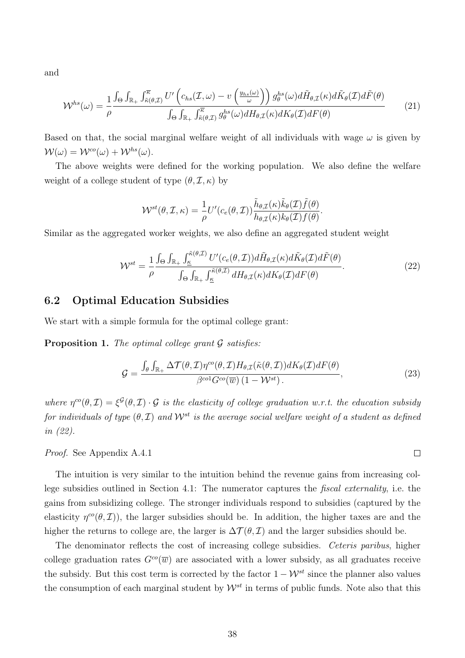and

$$
\mathcal{W}^{hs}(\omega) = \frac{1}{\rho} \frac{\int_{\Theta} \int_{\mathbb{R}_{+}} \int_{\tilde{\kappa}(\theta,\mathcal{I})}^{\overline{\kappa}} U' \left( c_{hs}(\mathcal{I},\omega) - v \left( \frac{y_{hs}(\omega)}{\omega} \right) \right) g_{\theta}^{hs}(\omega) d\tilde{H}_{\theta,\mathcal{I}}(\kappa) d\tilde{K}_{\theta}(\mathcal{I}) d\tilde{F}(\theta)}{\int_{\Theta} \int_{\mathbb{R}_{+}} \int_{\tilde{\kappa}(\theta,\mathcal{I})}^{\overline{\kappa}} g_{\theta}^{hs}(\omega) dH_{\theta,\mathcal{I}}(\kappa) dK_{\theta}(\mathcal{I}) dF(\theta)} \tag{21}
$$

Based on that, the social marginal welfare weight of all individuals with wage  $\omega$  is given by  $\mathcal{W}(\omega) = \mathcal{W}^{co}(\omega) + \mathcal{W}^{hs}(\omega).$ 

The above weights were defined for the working population. We also define the welfare weight of a college student of type  $(\theta, \mathcal{I}, \kappa)$  by

$$
\mathcal{W}^{st}(\theta, \mathcal{I}, \kappa) = \frac{1}{\rho} U'(c_e(\theta, \mathcal{I})) \frac{\tilde{h}_{\theta, \mathcal{I}}(\kappa) \tilde{k}_{\theta}(\mathcal{I}) \tilde{f}(\theta)}{h_{\theta, \mathcal{I}}(\kappa) k_{\theta}(\mathcal{I}) f(\theta)}.
$$

Similar as the aggregated worker weights, we also define an aggregated student weight

$$
\mathcal{W}^{st} = \frac{1}{\rho} \frac{\int_{\Theta} \int_{\mathbb{R}_+} \int_{\underline{\kappa}}^{\tilde{\kappa}(\theta,\mathcal{I})} U'(c_e(\theta,\mathcal{I})) d\tilde{H}_{\theta,\mathcal{I}}(\kappa) d\tilde{K}_{\theta}(\mathcal{I}) d\tilde{F}(\theta)}{\int_{\Theta} \int_{\mathbb{R}_+} \int_{\underline{\kappa}}^{\tilde{\kappa}(\theta,\mathcal{I})} dH_{\theta,\mathcal{I}}(\kappa) dK_{\theta}(\mathcal{I}) dF(\theta)}.
$$
(22)

### 6.2 Optimal Education Subsidies

We start with a simple formula for the optimal college grant:

**Proposition 1.** The optimal college grant  $\mathcal G$  satisfies:

$$
\mathcal{G} = \frac{\int_{\theta} \int_{\mathbb{R}_{+}} \Delta \mathcal{T}(\theta, \mathcal{I}) \eta^{co}(\theta, \mathcal{I}) H_{\theta, \mathcal{I}}(\tilde{\kappa}(\theta, \mathcal{I})) dK_{\theta}(\mathcal{I}) dF(\theta)}{\beta^{co1} G^{co}(\overline{w}) \left(1 - \mathcal{W}^{st}\right).}
$$
\n(23)

where  $\eta^{\circ\circ}(\theta,\mathcal{I})=\xi^{\mathcal{G}}(\theta,\mathcal{I})\cdot\mathcal{G}$  is the elasticity of college graduation w.r.t. the education subsidy for individuals of type  $(\theta, \mathcal{I})$  and  $\mathcal{W}^{st}$  is the average social welfare weight of a student as defined in (22).

Proof. See Appendix A.4.1

The intuition is very similar to the intuition behind the revenue gains from increasing college subsidies outlined in Section 4.1: The numerator captures the fiscal externality, i.e. the gains from subsidizing college. The stronger individuals respond to subsidies (captured by the elasticity  $\eta^{co}(\theta, \mathcal{I})$ , the larger subsidies should be. In addition, the higher taxes are and the higher the returns to college are, the larger is  $\Delta \mathcal{T}(\theta, \mathcal{I})$  and the larger subsidies should be.

The denominator reflects the cost of increasing college subsidies. Ceteris paribus, higher college graduation rates  $G^{co}(\overline{w})$  are associated with a lower subsidy, as all graduates receive the subsidy. But this cost term is corrected by the factor  $1 - \mathcal{W}^{st}$  since the planner also values the consumption of each marginal student by  $\mathcal{W}^{st}$  in terms of public funds. Note also that this

 $\Box$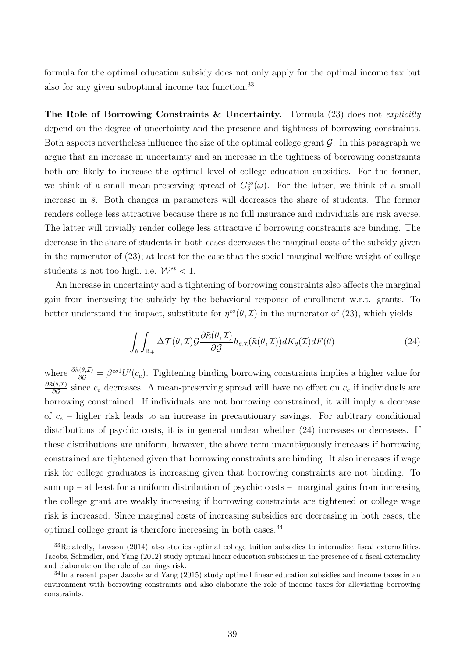formula for the optimal education subsidy does not only apply for the optimal income tax but also for any given suboptimal income tax function.<sup>33</sup>

The Role of Borrowing Constraints & Uncertainty. Formula (23) does not explicitly depend on the degree of uncertainty and the presence and tightness of borrowing constraints. Both aspects nevertheless influence the size of the optimal college grant  $\mathcal G$ . In this paragraph we argue that an increase in uncertainty and an increase in the tightness of borrowing constraints both are likely to increase the optimal level of college education subsidies. For the former, we think of a small mean-preserving spread of  $G_{\theta}^{co}(\omega)$ . For the latter, we think of a small increase in  $\bar{s}$ . Both changes in parameters will decreases the share of students. The former renders college less attractive because there is no full insurance and individuals are risk averse. The latter will trivially render college less attractive if borrowing constraints are binding. The decrease in the share of students in both cases decreases the marginal costs of the subsidy given in the numerator of (23); at least for the case that the social marginal welfare weight of college students is not too high, i.e.  $\mathcal{W}^{st} < 1$ .

An increase in uncertainty and a tightening of borrowing constraints also affects the marginal gain from increasing the subsidy by the behavioral response of enrollment w.r.t. grants. To better understand the impact, substitute for  $\eta^{co}(\theta, \mathcal{I})$  in the numerator of (23), which yields

$$
\int_{\theta} \int_{\mathbb{R}_{+}} \Delta \mathcal{T}(\theta, \mathcal{I}) \mathcal{G} \frac{\partial \tilde{\kappa}(\theta, \mathcal{I})}{\partial \mathcal{G}} h_{\theta, \mathcal{I}}(\tilde{\kappa}(\theta, \mathcal{I})) dK_{\theta}(\mathcal{I}) dF(\theta)
$$
\n(24)

where  $\frac{\partial \hat{\kappa}(\theta,\mathcal{I})}{\partial \mathcal{G}} = \beta^{co1} U'(c_e)$ . Tightening binding borrowing constraints implies a higher value for  $\partial \tilde{\kappa}(\theta,\mathcal{I})$  $\frac{\partial G}{\partial G}$  since  $c_e$  decreases. A mean-preserving spread will have no effect on  $c_e$  if individuals are borrowing constrained. If individuals are not borrowing constrained, it will imply a decrease of  $c_e$  – higher risk leads to an increase in precautionary savings. For arbitrary conditional distributions of psychic costs, it is in general unclear whether  $(24)$  increases or decreases. If these distributions are uniform, however, the above term unambiguously increases if borrowing constrained are tightened given that borrowing constraints are binding. It also increases if wage risk for college graduates is increasing given that borrowing constraints are not binding. To sum up – at least for a uniform distribution of psychic costs – marginal gains from increasing the college grant are weakly increasing if borrowing constraints are tightened or college wage risk is increased. Since marginal costs of increasing subsidies are decreasing in both cases, the optimal college grant is therefore increasing in both cases.  $34$ 

<sup>33</sup>Relatedly, Lawson (2014) also studies optimal college tuition subsidies to internalize fiscal externalities. Jacobs, Schindler, and Yang (2012) study optimal linear education subsidies in the presence of a fiscal externality and elaborate on the role of earnings risk.

 $34$ In a recent paper Jacobs and Yang (2015) study optimal linear education subsidies and income taxes in an environment with borrowing constraints and also elaborate the role of income taxes for alleviating borrowing constraints.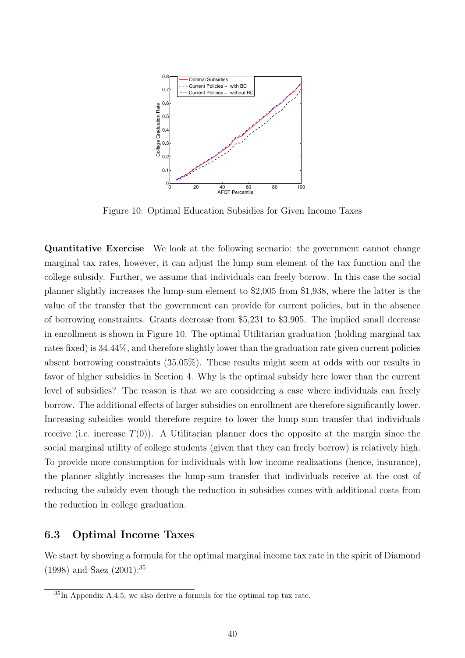

Figure 10: Optimal Education Subsidies for Given Income Taxes

Quantitative Exercise We look at the following scenario: the government cannot change marginal tax rates, however, it can adjust the lump sum element of the tax function and the college subsidy. Further, we assume that individuals can freely borrow. In this case the social planner slightly increases the lump-sum element to \$2,005 from \$1,938, where the latter is the value of the transfer that the government can provide for current policies, but in the absence of borrowing constraints. Grants decrease from \$5,231 to \$3,905. The implied small decrease in enrollment is shown in Figure 10. The optimal Utilitarian graduation (holding marginal tax rates fixed) is 34.44%, and therefore slightly lower than the graduation rate given current policies absent borrowing constraints (35.05%). These results might seem at odds with our results in favor of higher subsidies in Section 4. Why is the optimal subsidy here lower than the current level of subsidies? The reason is that we are considering a case where individuals can freely borrow. The additional effects of larger subsidies on enrollment are therefore significantly lower. Increasing subsidies would therefore require to lower the lump sum transfer that individuals receive (i.e. increase  $T(0)$ ). A Utilitarian planner does the opposite at the margin since the social marginal utility of college students (given that they can freely borrow) is relatively high. To provide more consumption for individuals with low income realizations (hence, insurance), the planner slightly increases the lump-sum transfer that individuals receive at the cost of reducing the subsidy even though the reduction in subsidies comes with additional costs from the reduction in college graduation.

# 6.3 Optimal Income Taxes

We start by showing a formula for the optimal marginal income tax rate in the spirit of Diamond (1998) and Saez (2001):<sup>35</sup>

 ${}^{35}$ In Appendix A.4.5, we also derive a formula for the optimal top tax rate.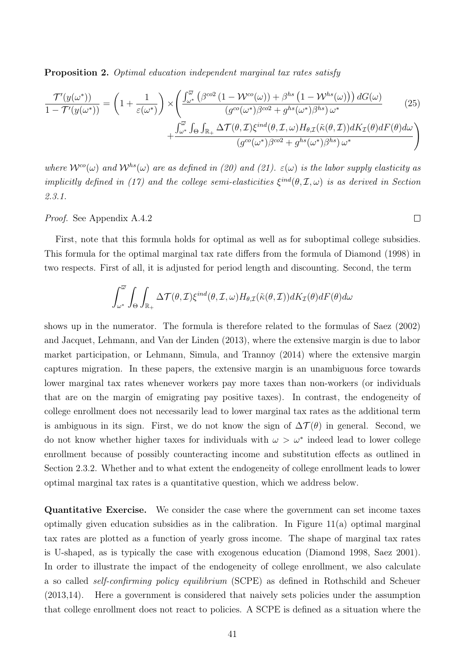Proposition 2. Optimal education independent marginal tax rates satisfy

$$
\frac{\mathcal{T}'(y(\omega^*))}{1 - \mathcal{T}'(y(\omega^*))} = \left(1 + \frac{1}{\varepsilon(\omega^*)}\right) \times \left(\frac{\int_{\omega^*}^{\overline{\omega}} \left(\beta^{co2} \left(1 - \mathcal{W}^{co}(\omega)\right) + \beta^{hs} \left(1 - \mathcal{W}^{hs}(\omega)\right)\right) dG(\omega)}{\left(g^{co}(\omega^*)\beta^{co2} + g^{hs}(\omega^*)\beta^{hs}\right)\omega^*} + \frac{\int_{\omega^*}^{\overline{\omega}} \int_{\Theta} \int_{\mathbb{R}_+} \Delta \mathcal{T}(\theta, \mathcal{I}) \xi^{ind}(\theta, \mathcal{I}, \omega) H_{\theta, \mathcal{I}}(\tilde{\kappa}(\theta, \mathcal{I})) dK_{\mathcal{I}}(\theta) dF(\theta) d\omega}{\left(g^{co}(\omega^*)\beta^{co2} + g^{hs}(\omega^*)\beta^{hs}\right)\omega^*}\right)
$$
\n(25)

where  $W^{co}(\omega)$  and  $W^{bs}(\omega)$  are as defined in (20) and (21).  $\varepsilon(\omega)$  is the labor supply elasticity as implicitly defined in (17) and the college semi-elasticities  $\xi^{ind}(\theta, \mathcal{I}, \omega)$  is as derived in Section 2.3.1.

 $\Box$ 

Proof. See Appendix A.4.2

First, note that this formula holds for optimal as well as for suboptimal college subsidies. This formula for the optimal marginal tax rate differs from the formula of Diamond (1998) in two respects. First of all, it is adjusted for period length and discounting. Second, the term

$$
\int_{\omega^*}^{\overline{\omega}} \int_{\Theta} \int_{\mathbb{R}_+} \Delta \mathcal{T}(\theta, \mathcal{I}) \xi^{ind}(\theta, \mathcal{I}, \omega) H_{\theta, \mathcal{I}}(\tilde{\kappa}(\theta, \mathcal{I})) dK_{\mathcal{I}}(\theta) dF(\theta) d\omega
$$

shows up in the numerator. The formula is therefore related to the formulas of Saez (2002) and Jacquet, Lehmann, and Van der Linden (2013), where the extensive margin is due to labor market participation, or Lehmann, Simula, and Trannoy (2014) where the extensive margin captures migration. In these papers, the extensive margin is an unambiguous force towards lower marginal tax rates whenever workers pay more taxes than non-workers (or individuals that are on the margin of emigrating pay positive taxes). In contrast, the endogeneity of college enrollment does not necessarily lead to lower marginal tax rates as the additional term is ambiguous in its sign. First, we do not know the sign of  $\Delta \mathcal{T}(\theta)$  in general. Second, we do not know whether higher taxes for individuals with  $\omega > \omega^*$  indeed lead to lower college enrollment because of possibly counteracting income and substitution effects as outlined in Section 2.3.2. Whether and to what extent the endogeneity of college enrollment leads to lower optimal marginal tax rates is a quantitative question, which we address below.

Quantitative Exercise. We consider the case where the government can set income taxes optimally given education subsidies as in the calibration. In Figure 11(a) optimal marginal tax rates are plotted as a function of yearly gross income. The shape of marginal tax rates is U-shaped, as is typically the case with exogenous education (Diamond 1998, Saez 2001). In order to illustrate the impact of the endogeneity of college enrollment, we also calculate a so called self-confirming policy equilibrium (SCPE) as defined in Rothschild and Scheuer (2013,14). Here a government is considered that naively sets policies under the assumption that college enrollment does not react to policies. A SCPE is defined as a situation where the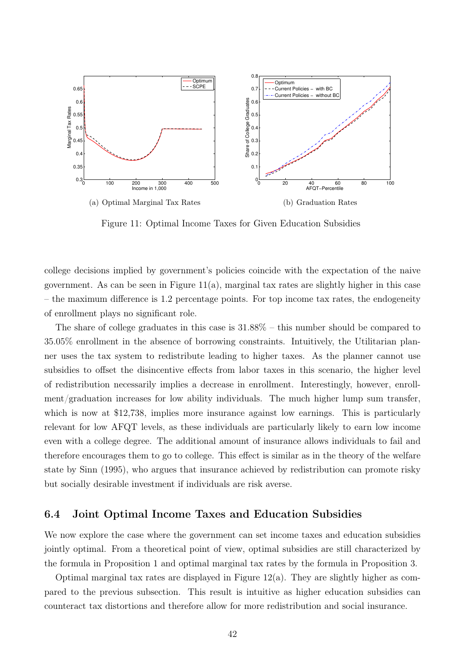

Figure 11: Optimal Income Taxes for Given Education Subsidies

college decisions implied by government's policies coincide with the expectation of the naive government. As can be seen in Figure  $11(a)$ , marginal tax rates are slightly higher in this case – the maximum difference is 1.2 percentage points. For top income tax rates, the endogeneity of enrollment plays no significant role.

The share of college graduates in this case is 31.88% – this number should be compared to 35.05% enrollment in the absence of borrowing constraints. Intuitively, the Utilitarian planner uses the tax system to redistribute leading to higher taxes. As the planner cannot use subsidies to offset the disincentive effects from labor taxes in this scenario, the higher level of redistribution necessarily implies a decrease in enrollment. Interestingly, however, enrollment/graduation increases for low ability individuals. The much higher lump sum transfer, which is now at \$12,738, implies more insurance against low earnings. This is particularly relevant for low AFQT levels, as these individuals are particularly likely to earn low income even with a college degree. The additional amount of insurance allows individuals to fail and therefore encourages them to go to college. This effect is similar as in the theory of the welfare state by Sinn (1995), who argues that insurance achieved by redistribution can promote risky but socially desirable investment if individuals are risk averse.

# 6.4 Joint Optimal Income Taxes and Education Subsidies

We now explore the case where the government can set income taxes and education subsidies jointly optimal. From a theoretical point of view, optimal subsidies are still characterized by the formula in Proposition 1 and optimal marginal tax rates by the formula in Proposition 3.

Optimal marginal tax rates are displayed in Figure 12(a). They are slightly higher as compared to the previous subsection. This result is intuitive as higher education subsidies can counteract tax distortions and therefore allow for more redistribution and social insurance.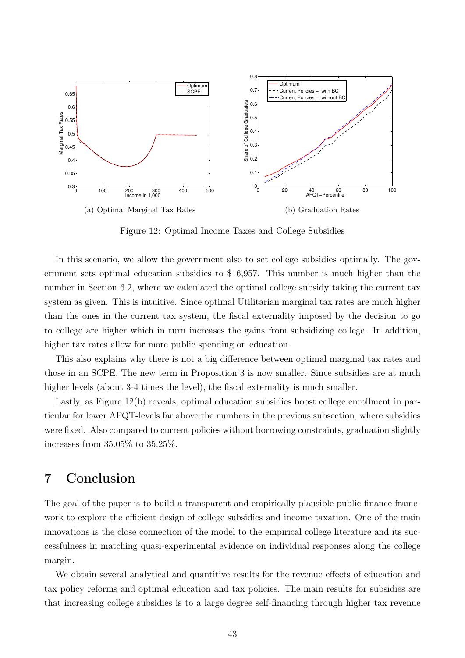

Figure 12: Optimal Income Taxes and College Subsidies

In this scenario, we allow the government also to set college subsidies optimally. The government sets optimal education subsidies to \$16,957. This number is much higher than the number in Section 6.2, where we calculated the optimal college subsidy taking the current tax system as given. This is intuitive. Since optimal Utilitarian marginal tax rates are much higher than the ones in the current tax system, the fiscal externality imposed by the decision to go to college are higher which in turn increases the gains from subsidizing college. In addition, higher tax rates allow for more public spending on education.

This also explains why there is not a big difference between optimal marginal tax rates and those in an SCPE. The new term in Proposition 3 is now smaller. Since subsidies are at much higher levels (about 3-4 times the level), the fiscal externality is much smaller.

Lastly, as Figure 12(b) reveals, optimal education subsidies boost college enrollment in particular for lower AFQT-levels far above the numbers in the previous subsection, where subsidies were fixed. Also compared to current policies without borrowing constraints, graduation slightly increases from 35.05% to 35.25%.

# 7 Conclusion

The goal of the paper is to build a transparent and empirically plausible public finance framework to explore the efficient design of college subsidies and income taxation. One of the main innovations is the close connection of the model to the empirical college literature and its successfulness in matching quasi-experimental evidence on individual responses along the college margin.

We obtain several analytical and quantitive results for the revenue effects of education and tax policy reforms and optimal education and tax policies. The main results for subsidies are that increasing college subsidies is to a large degree self-financing through higher tax revenue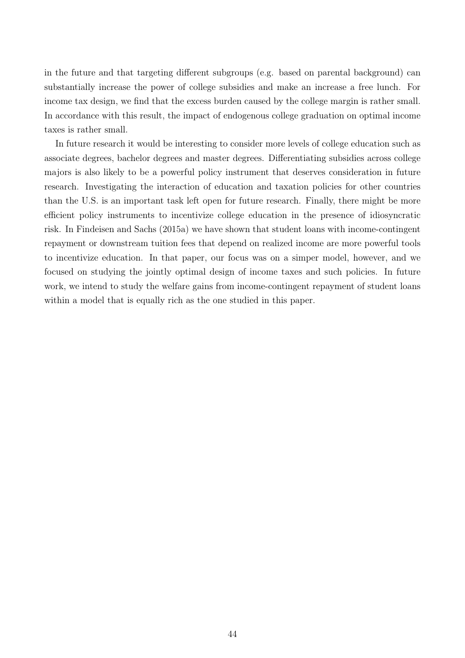in the future and that targeting different subgroups (e.g. based on parental background) can substantially increase the power of college subsidies and make an increase a free lunch. For income tax design, we find that the excess burden caused by the college margin is rather small. In accordance with this result, the impact of endogenous college graduation on optimal income taxes is rather small.

In future research it would be interesting to consider more levels of college education such as associate degrees, bachelor degrees and master degrees. Differentiating subsidies across college majors is also likely to be a powerful policy instrument that deserves consideration in future research. Investigating the interaction of education and taxation policies for other countries than the U.S. is an important task left open for future research. Finally, there might be more efficient policy instruments to incentivize college education in the presence of idiosyncratic risk. In Findeisen and Sachs (2015a) we have shown that student loans with income-contingent repayment or downstream tuition fees that depend on realized income are more powerful tools to incentivize education. In that paper, our focus was on a simper model, however, and we focused on studying the jointly optimal design of income taxes and such policies. In future work, we intend to study the welfare gains from income-contingent repayment of student loans within a model that is equally rich as the one studied in this paper.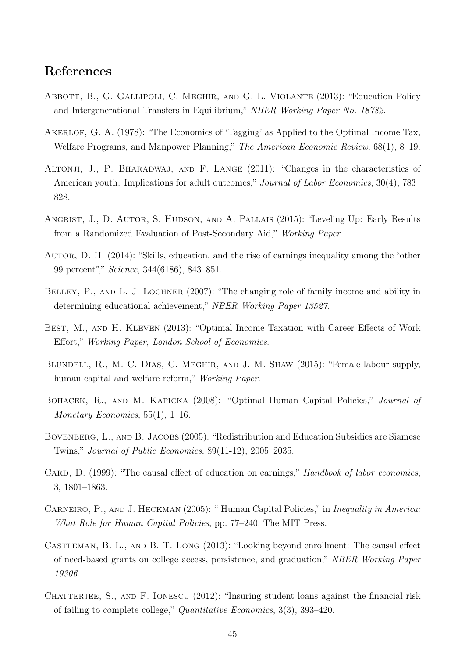# References

- Abbott, B., G. Gallipoli, C. Meghir, and G. L. Violante (2013): "Education Policy and Intergenerational Transfers in Equilibrium," NBER Working Paper No. 18782.
- AKERLOF, G. A. (1978): "The Economics of 'Tagging' as Applied to the Optimal Income Tax, Welfare Programs, and Manpower Planning," The American Economic Review, 68(1), 8–19.
- Altonji, J., P. Bharadwaj, and F. Lange (2011): "Changes in the characteristics of American youth: Implications for adult outcomes," *Journal of Labor Economics*, 30(4), 783– 828.
- Angrist, J., D. Autor, S. Hudson, and A. Pallais (2015): "Leveling Up: Early Results from a Randomized Evaluation of Post-Secondary Aid," Working Paper.
- Autor, D. H. (2014): "Skills, education, and the rise of earnings inequality among the "other 99 percent"," Science, 344(6186), 843–851.
- BELLEY, P., AND L. J. LOCHNER (2007): "The changing role of family income and ability in determining educational achievement," NBER Working Paper 13527.
- BEST, M., AND H. KLEVEN (2013): "Optimal Income Taxation with Career Effects of Work Effort," Working Paper, London School of Economics.
- Blundell, R., M. C. Dias, C. Meghir, and J. M. Shaw (2015): "Female labour supply, human capital and welfare reform," *Working Paper.*
- BOHACEK, R., AND M. KAPICKA (2008): "Optimal Human Capital Policies," Journal of Monetary Economics,  $55(1)$ , 1–16.
- BOVENBERG, L., AND B. JACOBS (2005): "Redistribution and Education Subsidies are Siamese Twins," Journal of Public Economics, 89(11-12), 2005–2035.
- CARD, D. (1999): "The causal effect of education on earnings," Handbook of labor economics, 3, 1801–1863.
- CARNEIRO, P., AND J. HECKMAN (2005): "Human Capital Policies," in *Inequality in America*: What Role for Human Capital Policies, pp. 77–240. The MIT Press.
- Castleman, B. L., and B. T. Long (2013): "Looking beyond enrollment: The causal effect of need-based grants on college access, persistence, and graduation," NBER Working Paper 19306.
- CHATTERJEE, S., AND F. IONESCU  $(2012)$ : "Insuring student loans against the financial risk of failing to complete college," Quantitative Economics, 3(3), 393–420.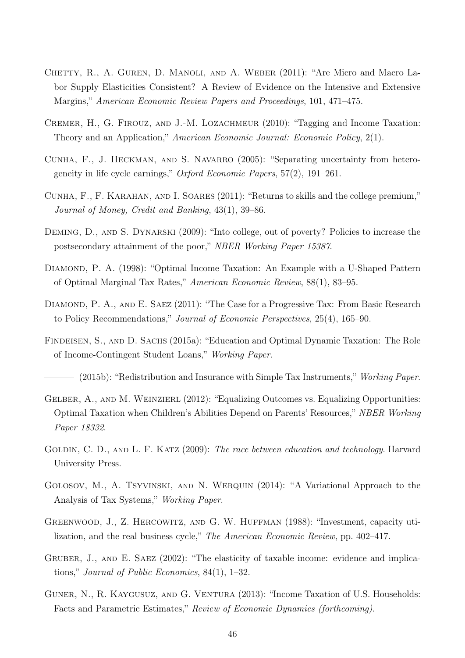- CHETTY, R., A. GUREN, D. MANOLI, AND A. WEBER (2011): "Are Micro and Macro Labor Supply Elasticities Consistent? A Review of Evidence on the Intensive and Extensive Margins," American Economic Review Papers and Proceedings, 101, 471–475.
- Cremer, H., G. Firouz, and J.-M. Lozachmeur (2010): "Tagging and Income Taxation: Theory and an Application," American Economic Journal: Economic Policy, 2(1).
- Cunha, F., J. Heckman, and S. Navarro (2005): "Separating uncertainty from heterogeneity in life cycle earnings," Oxford Economic Papers, 57(2), 191–261.
- Cunha, F., F. Karahan, and I. Soares (2011): "Returns to skills and the college premium," Journal of Money, Credit and Banking, 43(1), 39–86.
- DEMING, D., AND S. DYNARSKI (2009): "Into college, out of poverty? Policies to increase the postsecondary attainment of the poor," NBER Working Paper 15387.
- DIAMOND, P. A. (1998): "Optimal Income Taxation: An Example with a U-Shaped Pattern of Optimal Marginal Tax Rates," American Economic Review, 88(1), 83–95.
- DIAMOND, P. A., AND E. SAEZ (2011): "The Case for a Progressive Tax: From Basic Research to Policy Recommendations," Journal of Economic Perspectives, 25(4), 165–90.
- Findeisen, S., and D. Sachs (2015a): "Education and Optimal Dynamic Taxation: The Role of Income-Contingent Student Loans," Working Paper.
- (2015b): "Redistribution and Insurance with Simple Tax Instruments," Working Paper.
- GELBER, A., AND M. WEINZIERL (2012): "Equalizing Outcomes vs. Equalizing Opportunities: Optimal Taxation when Children's Abilities Depend on Parents' Resources," NBER Working Paper 18332.
- GOLDIN, C. D., AND L. F. KATZ (2009): The race between education and technology. Harvard University Press.
- GOLOSOV, M., A. TSYVINSKI, AND N. WERQUIN (2014): "A Variational Approach to the Analysis of Tax Systems," Working Paper.
- Greenwood, J., Z. Hercowitz, and G. W. Huffman (1988): "Investment, capacity utilization, and the real business cycle," The American Economic Review, pp. 402–417.
- GRUBER, J., AND E. SAEZ (2002): "The elasticity of taxable income: evidence and implications," Journal of Public Economics, 84(1), 1–32.
- GUNER, N., R. KAYGUSUZ, AND G. VENTURA (2013): "Income Taxation of U.S. Households: Facts and Parametric Estimates," Review of Economic Dynamics (forthcoming).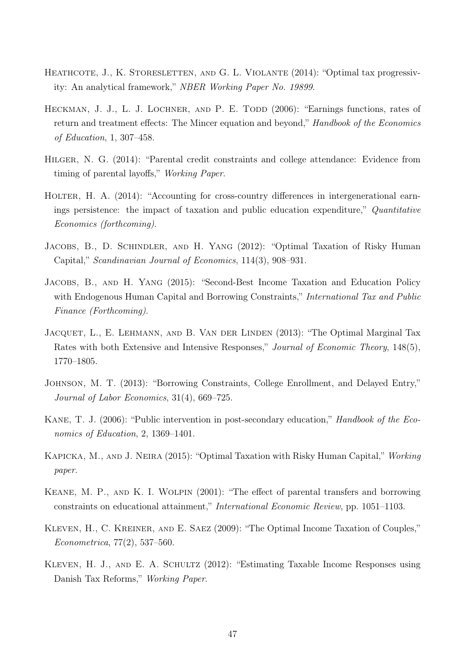- HEATHCOTE, J., K. STORESLETTEN, AND G. L. VIOLANTE (2014): "Optimal tax progressivity: An analytical framework," NBER Working Paper No. 19899.
- HECKMAN, J. J., L. J. LOCHNER, AND P. E. TODD (2006): "Earnings functions, rates of return and treatment effects: The Mincer equation and beyond," Handbook of the Economics of Education, 1, 307–458.
- Hilger, N. G. (2014): "Parental credit constraints and college attendance: Evidence from timing of parental layoffs," Working Paper.
- HOLTER, H. A. (2014): "Accounting for cross-country differences in intergenerational earnings persistence: the impact of taxation and public education expenditure," Quantitative Economics (forthcoming).
- JACOBS, B., D. SCHINDLER, AND H. YANG (2012): "Optimal Taxation of Risky Human Capital," Scandinavian Journal of Economics, 114(3), 908–931.
- Jacobs, B., and H. Yang (2015): "Second-Best Income Taxation and Education Policy with Endogenous Human Capital and Borrowing Constraints," *International Tax and Public* Finance (Forthcoming).
- JACQUET, L., E. LEHMANN, AND B. VAN DER LINDEN (2013): "The Optimal Marginal Tax Rates with both Extensive and Intensive Responses," Journal of Economic Theory, 148(5), 1770–1805.
- Johnson, M. T. (2013): "Borrowing Constraints, College Enrollment, and Delayed Entry," Journal of Labor Economics, 31(4), 669–725.
- KANE, T. J. (2006): "Public intervention in post-secondary education," *Handbook of the Eco*nomics of Education, 2, 1369–1401.
- Kapicka, M., and J. Neira (2015): "Optimal Taxation with Risky Human Capital," Working paper.
- Keane, M. P., and K. I. Wolpin (2001): "The effect of parental transfers and borrowing constraints on educational attainment," International Economic Review, pp. 1051–1103.
- Kleven, H., C. Kreiner, and E. Saez (2009): "The Optimal Income Taxation of Couples," Econometrica, 77(2), 537–560.
- Kleven, H. J., and E. A. Schultz (2012): "Estimating Taxable Income Responses using Danish Tax Reforms," Working Paper.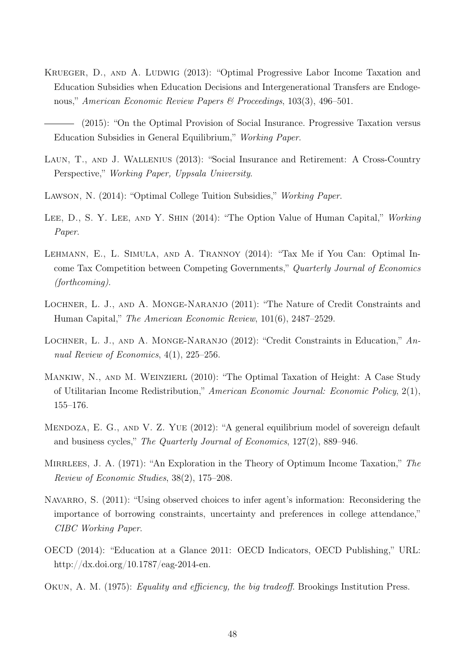- KRUEGER, D., AND A. LUDWIG (2013): "Optimal Progressive Labor Income Taxation and Education Subsidies when Education Decisions and Intergenerational Transfers are Endogenous," American Economic Review Papers & Proceedings, 103(3), 496–501.
- (2015): "On the Optimal Provision of Social Insurance. Progressive Taxation versus Education Subsidies in General Equilibrium," Working Paper.
- Laun, T., and J. Wallenius (2013): "Social Insurance and Retirement: A Cross-Country Perspective," Working Paper, Uppsala University.
- Lawson, N. (2014): "Optimal College Tuition Subsidies," Working Paper.
- LEE, D., S. Y. LEE, AND Y. SHIN (2014): "The Option Value of Human Capital," Working Paper.
- Lehmann, E., L. Simula, and A. Trannoy (2014): "Tax Me if You Can: Optimal Income Tax Competition between Competing Governments," Quarterly Journal of Economics (forthcoming).
- LOCHNER, L. J., AND A. MONGE-NARANJO (2011): "The Nature of Credit Constraints and Human Capital," The American Economic Review, 101(6), 2487–2529.
- LOCHNER, L. J., AND A. MONGE-NARANJO (2012): "Credit Constraints in Education," Annual Review of Economics, 4(1), 225–256.
- MANKIW, N., AND M. WEINZIERL (2010): "The Optimal Taxation of Height: A Case Study of Utilitarian Income Redistribution," American Economic Journal: Economic Policy, 2(1), 155–176.
- MENDOZA, E. G., AND V. Z. YUE (2012): "A general equilibrium model of sovereign default and business cycles," The Quarterly Journal of Economics, 127(2), 889–946.
- MIRRLEES, J. A. (1971): "An Exploration in the Theory of Optimum Income Taxation," The Review of Economic Studies, 38(2), 175–208.
- NAVARRO, S. (2011): "Using observed choices to infer agent's information: Reconsidering the importance of borrowing constraints, uncertainty and preferences in college attendance," CIBC Working Paper.
- OECD (2014): "Education at a Glance 2011: OECD Indicators, OECD Publishing," URL: http://dx.doi.org/10.1787/eag-2014-en.
- Okun, A. M. (1975): Equality and efficiency, the big tradeoff. Brookings Institution Press.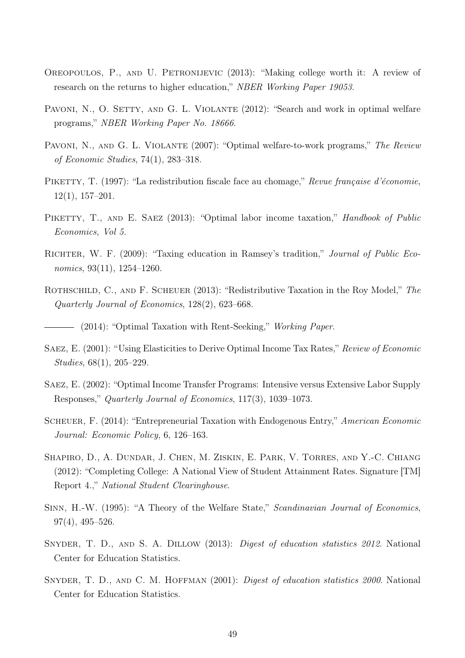- Oreopoulos, P., and U. Petronijevic (2013): "Making college worth it: A review of research on the returns to higher education," NBER Working Paper 19053.
- PAVONI, N., O. SETTY, AND G. L. VIOLANTE (2012): "Search and work in optimal welfare programs," NBER Working Paper No. 18666.
- PAVONI, N., AND G. L. VIOLANTE (2007): "Optimal welfare-to-work programs," The Review of Economic Studies, 74(1), 283–318.
- PIKETTY, T. (1997): "La redistribution fiscale face au chomage," Revue française d'économie, 12(1), 157–201.
- PIKETTY, T., AND E. SAEZ (2013): "Optimal labor income taxation," *Handbook of Public* Economics, Vol 5.
- RICHTER, W. F. (2009): "Taxing education in Ramsey's tradition," *Journal of Public Eco*nomics, 93(11), 1254–1260.
- ROTHSCHILD, C., AND F. SCHEUER (2013): "Redistributive Taxation in the Roy Model," The Quarterly Journal of Economics, 128(2), 623–668.
	- (2014): "Optimal Taxation with Rent-Seeking," Working Paper.
- Saez, E. (2001): "Using Elasticities to Derive Optimal Income Tax Rates," Review of Economic Studies, 68(1), 205–229.
- Saez, E. (2002): "Optimal Income Transfer Programs: Intensive versus Extensive Labor Supply Responses," Quarterly Journal of Economics, 117(3), 1039–1073.
- SCHEUER, F. (2014): "Entrepreneurial Taxation with Endogenous Entry," American Economic Journal: Economic Policy, 6, 126–163.
- SHAPIRO, D., A. DUNDAR, J. CHEN, M. ZISKIN, E. PARK, V. TORRES, AND Y.-C. CHIANG (2012): "Completing College: A National View of Student Attainment Rates. Signature [TM] Report 4.," National Student Clearinghouse.
- SINN, H.-W. (1995): "A Theory of the Welfare State," Scandinavian Journal of Economics, 97(4), 495–526.
- SNYDER, T. D., AND S. A. DILLOW (2013): Digest of education statistics 2012. National Center for Education Statistics.
- SNYDER, T. D., AND C. M. HOFFMAN (2001): Digest of education statistics 2000. National Center for Education Statistics.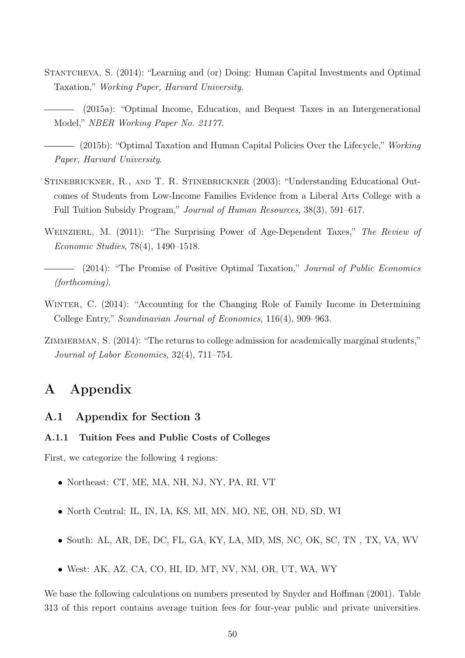- STANTCHEVA, S. (2014): "Learning and (or) Doing: Human Capital Investments and Optimal Taxation," Working Paper, Harvard University.
- (2015a): "Optimal Income, Education, and Bequest Taxes in an Intergenerational Model," NBER Working Paper No. 21177.
- $-$  (2015b): "Optimal Taxation and Human Capital Policies Over the Lifecycle," Working Paper, Harvard University.
- Stinebrickner, R., and T. R. Stinebrickner (2003): "Understanding Educational Outcomes of Students from Low-Income Families Evidence from a Liberal Arts College with a Full Tuition Subsidy Program," Journal of Human Resources, 38(3), 591–617.
- WEINZIERL, M. (2011): "The Surprising Power of Age-Dependent Taxes," The Review of Economic Studies, 78(4), 1490–1518.
- (2014): "The Promise of Positive Optimal Taxation," Journal of Public Economics (forthcoming).
- WINTER, C. (2014): "Accounting for the Changing Role of Family Income in Determining College Entry," Scandinavian Journal of Economics, 116(4), 909–963.
- ZIMMERMAN, S. (2014): "The returns to college admission for academically marginal students," Journal of Labor Economics, 32(4), 711–754.

# A Appendix

# A.1 Appendix for Section 3

### A.1.1 Tuition Fees and Public Costs of Colleges

First, we categorize the following 4 regions:

- Northeast: CT, ME, MA, NH, NJ, NY, PA, RI, VT
- North Central: IL, IN, IA, KS, MI, MN, MO, NE, OH, ND, SD, WI
- South: AL, AR, DE, DC, FL, GA, KY, LA, MD, MS, NC, OK, SC, TN , TX, VA, WV
- West: AK, AZ, CA, CO, HI, ID, MT, NV, NM, OR, UT, WA, WY

We base the following calculations on numbers presented by Snyder and Hoffman (2001). Table 313 of this report contains average tuition fees for four-year public and private universities.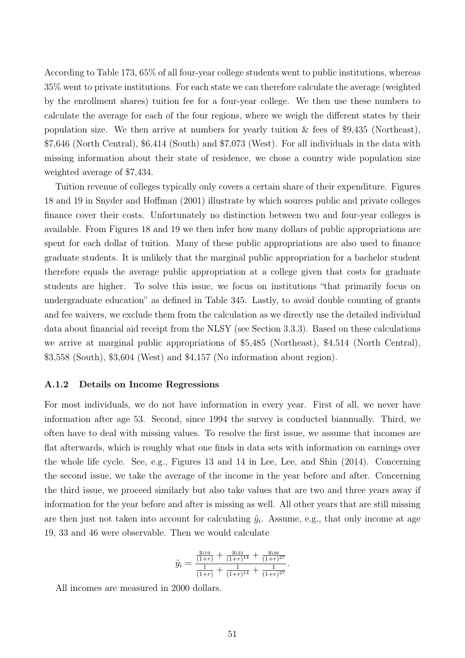According to Table 173, 65% of all four-year college students went to public institutions, whereas 35% went to private institutions. For each state we can therefore calculate the average (weighted by the enrollment shares) tuition fee for a four-year college. We then use these numbers to calculate the average for each of the four regions, where we weigh the different states by their population size. We then arrive at numbers for yearly tuition  $\&$  fees of \$9,435 (Northeast), \$7,646 (North Central), \$6,414 (South) and \$7,073 (West). For all individuals in the data with missing information about their state of residence, we chose a country wide population size weighted average of \$7,434.

Tuition revenue of colleges typically only covers a certain share of their expenditure. Figures 18 and 19 in Snyder and Hoffman (2001) illustrate by which sources public and private colleges finance cover their costs. Unfortunately no distinction between two and four-year colleges is available. From Figures 18 and 19 we then infer how many dollars of public appropriations are spent for each dollar of tuition. Many of these public appropriations are also used to finance graduate students. It is unlikely that the marginal public appropriation for a bachelor student therefore equals the average public appropriation at a college given that costs for graduate students are higher. To solve this issue, we focus on institutions "that primarily focus on undergraduate education" as defined in Table 345. Lastly, to avoid double counting of grants and fee waivers, we exclude them from the calculation as we directly use the detailed individual data about financial aid receipt from the NLSY (see Section 3.3.3). Based on these calculations we arrive at marginal public appropriations of \$5,485 (Northeast), \$4,514 (North Central), \$3,558 (South), \$3,604 (West) and \$4,157 (No information about region).

#### A.1.2 Details on Income Regressions

For most individuals, we do not have information in every year. First of all, we never have information after age 53. Second, since 1994 the survey is conducted biannually. Third, we often have to deal with missing values. To resolve the first issue, we assume that incomes are flat afterwards, which is roughly what one finds in data sets with information on earnings over the whole life cycle. See, e.g., Figures 13 and 14 in Lee, Lee, and Shin (2014). Concerning the second issue, we take the average of the income in the year before and after. Concerning the third issue, we proceed similarly but also take values that are two and three years away if information for the year before and after is missing as well. All other years that are still missing are then just not taken into account for calculating  $\tilde{y}_i$ . Assume, e.g., that only income at age 19, 33 and 46 were observable. Then we would calculate

$$
\tilde{y}_i = \frac{\frac{y_{i19}}{(1+r)} + \frac{y_{i33}}{(1+r)^{14}} + \frac{y_{i46}}{(1+r)^{27}}}{\frac{1}{(1+r)} + \frac{1}{(1+r)^{14}} + \frac{1}{(1+r)^{27}}}.
$$

All incomes are measured in 2000 dollars.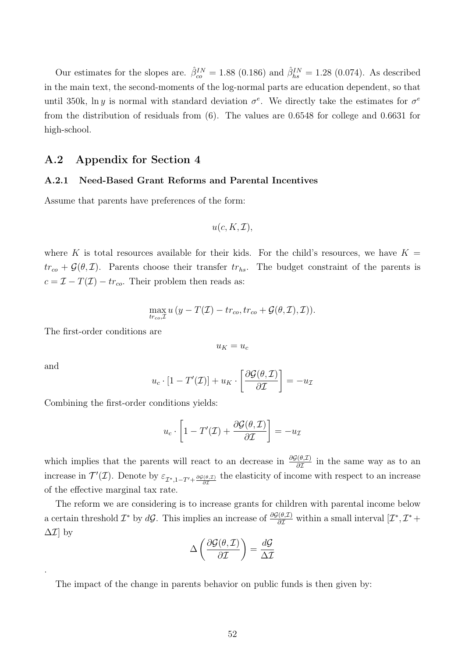Our estimates for the slopes are.  $\hat{\beta}_{co}^{IN} = 1.88$  (0.186) and  $\hat{\beta}_{hs}^{IN} = 1.28$  (0.074). As described in the main text, the second-moments of the log-normal parts are education dependent, so that until 350k, ln y is normal with standard deviation  $\sigma^e$ . We directly take the estimates for  $\sigma^e$ from the distribution of residuals from (6). The values are 0.6548 for college and 0.6631 for high-school.

### A.2 Appendix for Section 4

### A.2.1 Need-Based Grant Reforms and Parental Incentives

Assume that parents have preferences of the form:

$$
u(c, K, \mathcal{I}),
$$

where K is total resources available for their kids. For the child's resources, we have  $K =$  $tr_{co} + \mathcal{G}(\theta, \mathcal{I})$ . Parents choose their transfer  $tr_{hs}$ . The budget constraint of the parents is  $c = \mathcal{I} - T(\mathcal{I}) - tr_{co}$ . Their problem then reads as:

$$
\max_{tr_{co},\mathcal{I}} u\left(y - T(\mathcal{I}) - tr_{co}, tr_{co} + \mathcal{G}(\theta, \mathcal{I}), \mathcal{I})\right).
$$

The first-order conditions are

 $u_K = u_c$ 

and

.

$$
u_c \cdot [1 - T'(\mathcal{I})] + u_K \cdot \left[ \frac{\partial \mathcal{G}(\theta, \mathcal{I})}{\partial \mathcal{I}} \right] = -u_{\mathcal{I}}
$$

Combining the first-order conditions yields:

$$
u_c \cdot \left[1 - T'(\mathcal{I}) + \frac{\partial \mathcal{G}(\theta, \mathcal{I})}{\partial \mathcal{I}}\right] = -u_{\mathcal{I}}
$$

which implies that the parents will react to an decrease in  $\frac{\partial \mathcal{G}(\theta,\mathcal{I})}{\partial \mathcal{I}}$  in the same way as to an increase in  $\mathcal{T}'(\mathcal{I})$ . Denote by  $\varepsilon_{\mathcal{I}^*,1-T'+\frac{\partial\mathcal{G}(\theta,\mathcal{I})}{\partial\mathcal{I}}}$  the elasticity of income with respect to an increase of the effective marginal tax rate.

The reform we are considering is to increase grants for children with parental income below a certain threshold  $\mathcal{I}^*$  by  $d\mathcal{G}$ . This implies an increase of  $\frac{\partial \mathcal{G}(\theta,\mathcal{I})}{\partial \mathcal{I}}$  within a small interval  $[\mathcal{I}^*, \mathcal{I}^*$ +  $\Delta \mathcal{I}$  by

$$
\Delta \left( \frac{\partial \mathcal{G}(\theta, \mathcal{I})}{\partial \mathcal{I}} \right) = \frac{d\mathcal{G}}{\Delta \mathcal{I}}
$$

The impact of the change in parents behavior on public funds is then given by: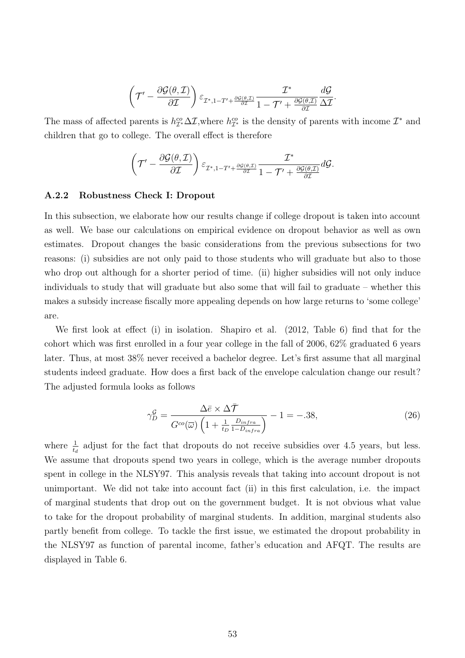$$
\left(\mathcal{T}'-\frac{\partial \mathcal{G}(\theta,\mathcal{I})}{\partial \mathcal{I}}\right)\varepsilon_{\mathcal{I}^*,1-T'+\frac{\partial \mathcal{G}(\theta,\mathcal{I})}{\partial \mathcal{I}}} \frac{\mathcal{I}^*}{1-\mathcal{T}'+\frac{\partial \mathcal{G}(\theta,\mathcal{I})}{\partial \mathcal{I}}}\frac{d\mathcal{G}}{\Delta \mathcal{I}}.
$$

The mass of affected parents is  $h_{\mathcal{I}^*}^{co}\Delta \mathcal{I}$ , where  $h_{\mathcal{I}^*}^{co}$  is the density of parents with income  $\mathcal{I}^*$  and children that go to college. The overall effect is therefore

$$
\left(\mathcal{T}'-\frac{\partial \mathcal{G}(\theta,\mathcal{I})}{\partial \mathcal{I}}\right)\varepsilon_{\mathcal{I}^*,1-T'+\frac{\partial \mathcal{G}(\theta,\mathcal{I})}{\partial \mathcal{I}}} \frac{\mathcal{I}^*}{1-\mathcal{T}'+\frac{\partial \mathcal{G}(\theta,\mathcal{I})}{\partial \mathcal{I}}}d\mathcal{G}.
$$

#### A.2.2 Robustness Check I: Dropout

In this subsection, we elaborate how our results change if college dropout is taken into account as well. We base our calculations on empirical evidence on dropout behavior as well as own estimates. Dropout changes the basic considerations from the previous subsections for two reasons: (i) subsidies are not only paid to those students who will graduate but also to those who drop out although for a shorter period of time. (ii) higher subsidies will not only induce individuals to study that will graduate but also some that will fail to graduate – whether this makes a subsidy increase fiscally more appealing depends on how large returns to 'some college' are.

We first look at effect (i) in isolation. Shapiro et al. (2012, Table 6) find that for the cohort which was first enrolled in a four year college in the fall of 2006, 62% graduated 6 years later. Thus, at most 38% never received a bachelor degree. Let's first assume that all marginal students indeed graduate. How does a first back of the envelope calculation change our result? The adjusted formula looks as follows

$$
\gamma_D^{\mathcal{G}} = \frac{\Delta \bar{e} \times \Delta \bar{\mathcal{T}}}{G^{co}(\bar{\omega}) \left(1 + \frac{1}{t_D} \frac{D_{infra}}{1 - D_{infra}}\right)} - 1 = -.38,\tag{26}
$$

where  $\frac{1}{t_d}$  adjust for the fact that dropouts do not receive subsidies over 4.5 years, but less. We assume that dropouts spend two years in college, which is the average number dropouts spent in college in the NLSY97. This analysis reveals that taking into account dropout is not unimportant. We did not take into account fact (ii) in this first calculation, i.e. the impact of marginal students that drop out on the government budget. It is not obvious what value to take for the dropout probability of marginal students. In addition, marginal students also partly benefit from college. To tackle the first issue, we estimated the dropout probability in the NLSY97 as function of parental income, father's education and AFQT. The results are displayed in Table 6.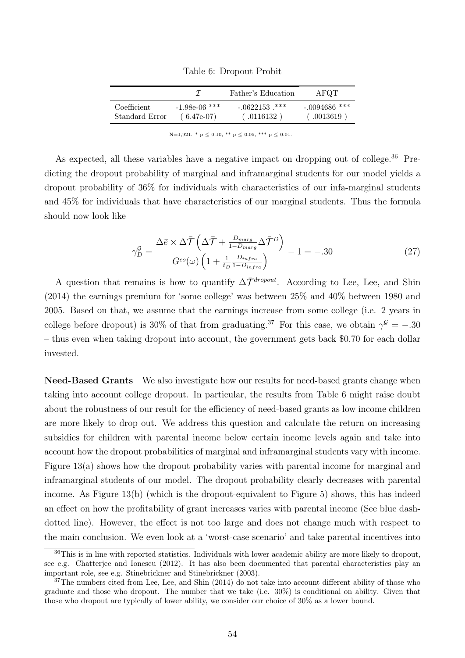Table 6: Dropout Probit

|                |                 | Father's Education | AFOT            |
|----------------|-----------------|--------------------|-----------------|
| Coefficient    | $-1.98e-06$ *** | $-.0622153$ ***    | $-.0094686$ *** |
| Standard Error | $(6.47e-07)$    | (0.116132)         | (.0013619)      |

N=1,921. \* p  $\leq$  0.10, \*\* p  $\leq$  0.05, \*\*\* p  $\leq$  0.01.

As expected, all these variables have a negative impact on dropping out of college.<sup>36</sup> Predicting the dropout probability of marginal and inframarginal students for our model yields a dropout probability of 36% for individuals with characteristics of our infa-marginal students and 45% for individuals that have characteristics of our marginal students. Thus the formula should now look like

$$
\gamma_D^{\mathcal{G}} = \frac{\Delta \bar{e} \times \Delta \bar{\mathcal{T}} \left( \Delta \bar{\mathcal{T}} + \frac{D_{marg}}{1 - D_{marg}} \Delta \bar{\mathcal{T}}^D \right)}{G^{co}(\bar{\omega}) \left( 1 + \frac{1}{t_D} \frac{D_{intra}}{1 - D_{intra}} \right)} - 1 = -.30
$$
\n(27)

A question that remains is how to quantify  $\Delta \bar{\mathcal{T}}^{dropout}$ . According to Lee, Lee, and Shin (2014) the earnings premium for 'some college' was between 25% and 40% between 1980 and 2005. Based on that, we assume that the earnings increase from some college (i.e. 2 years in college before dropout) is 30% of that from graduating.<sup>37</sup> For this case, we obtain  $\gamma^{\mathcal{G}} = -.30$ – thus even when taking dropout into account, the government gets back \$0.70 for each dollar invested.

Need-Based Grants We also investigate how our results for need-based grants change when taking into account college dropout. In particular, the results from Table 6 might raise doubt about the robustness of our result for the efficiency of need-based grants as low income children are more likely to drop out. We address this question and calculate the return on increasing subsidies for children with parental income below certain income levels again and take into account how the dropout probabilities of marginal and inframarginal students vary with income. Figure 13(a) shows how the dropout probability varies with parental income for marginal and inframarginal students of our model. The dropout probability clearly decreases with parental income. As Figure 13(b) (which is the dropout-equivalent to Figure 5) shows, this has indeed an effect on how the profitability of grant increases varies with parental income (See blue dashdotted line). However, the effect is not too large and does not change much with respect to the main conclusion. We even look at a 'worst-case scenario' and take parental incentives into

 $36$ This is in line with reported statistics. Individuals with lower academic ability are more likely to dropout. see e.g. Chatterjee and Ionescu (2012). It has also been documented that parental characteristics play an important role, see e.g. Stinebrickner and Stinebrickner (2003).

 $37$ The numbers cited from Lee, Lee, and Shin (2014) do not take into account different ability of those who graduate and those who dropout. The number that we take (i.e. 30%) is conditional on ability. Given that those who dropout are typically of lower ability, we consider our choice of 30% as a lower bound.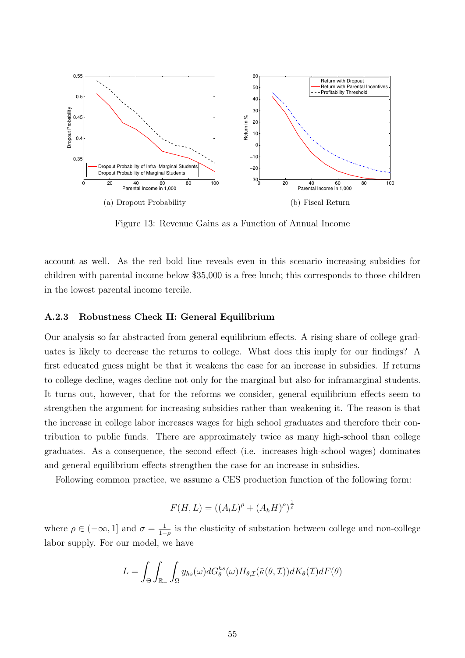

Figure 13: Revenue Gains as a Function of Annual Income

account as well. As the red bold line reveals even in this scenario increasing subsidies for children with parental income below \$35,000 is a free lunch; this corresponds to those children in the lowest parental income tercile.

#### A.2.3 Robustness Check II: General Equilibrium

Our analysis so far abstracted from general equilibrium effects. A rising share of college graduates is likely to decrease the returns to college. What does this imply for our findings? A first educated guess might be that it weakens the case for an increase in subsidies. If returns to college decline, wages decline not only for the marginal but also for inframarginal students. It turns out, however, that for the reforms we consider, general equilibrium effects seem to strengthen the argument for increasing subsidies rather than weakening it. The reason is that the increase in college labor increases wages for high school graduates and therefore their contribution to public funds. There are approximately twice as many high-school than college graduates. As a consequence, the second effect (i.e. increases high-school wages) dominates and general equilibrium effects strengthen the case for an increase in subsidies.

Following common practice, we assume a CES production function of the following form:

$$
F(H, L) = ((A_l L)^{\rho} + (A_h H)^{\rho})^{\frac{1}{\rho}}
$$

where  $\rho \in (-\infty, 1]$  and  $\sigma = \frac{1}{1}$  $\frac{1}{1-\rho}$  is the elasticity of substation between college and non-college labor supply. For our model, we have

$$
L = \int_{\Theta} \int_{\mathbb{R}_+} \int_{\Omega} y_{hs}(\omega) dG_{\theta}^{hs}(\omega) H_{\theta, \mathcal{I}}(\tilde{\kappa}(\theta, \mathcal{I})) dK_{\theta}(\mathcal{I}) dF(\theta)
$$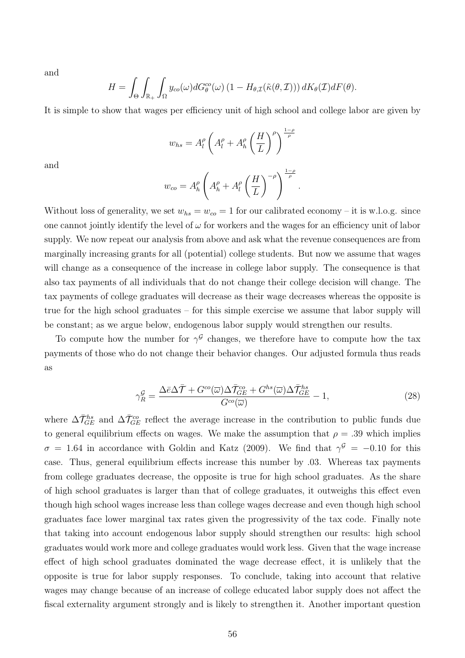and

$$
H = \int_{\Theta} \int_{\mathbb{R}_+} \int_{\Omega} y_{co}(\omega) dG_{\theta}^{co}(\omega) (1 - H_{\theta, \mathcal{I}}(\tilde{\kappa}(\theta, \mathcal{I}))) dK_{\theta}(\mathcal{I}) dF(\theta).
$$

It is simple to show that wages per efficiency unit of high school and college labor are given by

$$
w_{hs} = A_l^{\rho} \left( A_l^{\rho} + A_h^{\rho} \left( \frac{H}{L} \right)^{\rho} \right)^{\frac{1-\rho}{\rho}}
$$

and

$$
w_{co} = A_h^{\rho} \left( A_h^{\rho} + A_l^{\rho} \left( \frac{H}{L} \right)^{-\rho} \right)^{\frac{1-\rho}{\rho}}.
$$

Without loss of generality, we set  $w_{hs} = w_{co} = 1$  for our calibrated economy – it is w.l.o.g. since one cannot jointly identify the level of  $\omega$  for workers and the wages for an efficiency unit of labor supply. We now repeat our analysis from above and ask what the revenue consequences are from marginally increasing grants for all (potential) college students. But now we assume that wages will change as a consequence of the increase in college labor supply. The consequence is that also tax payments of all individuals that do not change their college decision will change. The tax payments of college graduates will decrease as their wage decreases whereas the opposite is true for the high school graduates – for this simple exercise we assume that labor supply will be constant; as we argue below, endogenous labor supply would strengthen our results.

To compute how the number for  $\gamma^{\mathcal{G}}$  changes, we therefore have to compute how the tax payments of those who do not change their behavior changes. Our adjusted formula thus reads as

$$
\gamma_R^{\mathcal{G}} = \frac{\Delta \bar{\epsilon} \Delta \bar{\mathcal{T}} + G^{co}(\bar{\omega}) \Delta \bar{\mathcal{T}}_{GE}^{co} + G^{hs}(\bar{\omega}) \Delta \bar{\mathcal{T}}_{GE}^{hs}}{G^{co}(\bar{\omega})} - 1, \tag{28}
$$

where  $\Delta \bar{\mathcal{T}}_{GE}^{hs}$  and  $\Delta \bar{\mathcal{T}}_{GE}^{co}$  reflect the average increase in the contribution to public funds due to general equilibrium effects on wages. We make the assumption that  $\rho = .39$  which implies  $\sigma = 1.64$  in accordance with Goldin and Katz (2009). We find that  $\gamma^{\mathcal{G}} = -0.10$  for this case. Thus, general equilibrium effects increase this number by .03. Whereas tax payments from college graduates decrease, the opposite is true for high school graduates. As the share of high school graduates is larger than that of college graduates, it outweighs this effect even though high school wages increase less than college wages decrease and even though high school graduates face lower marginal tax rates given the progressivity of the tax code. Finally note that taking into account endogenous labor supply should strengthen our results: high school graduates would work more and college graduates would work less. Given that the wage increase effect of high school graduates dominated the wage decrease effect, it is unlikely that the opposite is true for labor supply responses. To conclude, taking into account that relative wages may change because of an increase of college educated labor supply does not affect the fiscal externality argument strongly and is likely to strengthen it. Another important question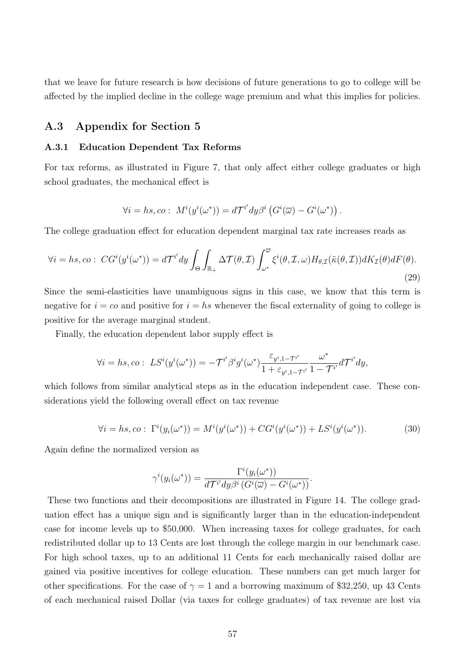that we leave for future research is how decisions of future generations to go to college will be affected by the implied decline in the college wage premium and what this implies for policies.

# A.3 Appendix for Section 5

#### A.3.1 Education Dependent Tax Reforms

For tax reforms, as illustrated in Figure 7, that only affect either college graduates or high school graduates, the mechanical effect is

$$
\forall i = hs, co: M^{i}(y^{i}(\omega^{*})) = d\mathcal{T}^{i'} dy \beta^{i} (G^{i}(\overline{\omega}) - G^{i}(\omega^{*})) .
$$

The college graduation effect for education dependent marginal tax rate increases reads as

$$
\forall i = hs, co: CG^i(y^i(\omega^*)) = d\mathcal{T}^{i'}dy \int_{\Theta} \int_{\mathbb{R}_+} \Delta \mathcal{T}(\theta, \mathcal{I}) \int_{\omega^*}^{\overline{\omega}} \xi^i(\theta, \mathcal{I}, \omega) H_{\theta, \mathcal{I}}(\tilde{\kappa}(\theta, \mathcal{I})) dK_{\mathcal{I}}(\theta) dF(\theta).
$$
\n(29)

Since the semi-elasticities have unambiguous signs in this case, we know that this term is negative for  $i = c$  and positive for  $i = hs$  whenever the fiscal externality of going to college is positive for the average marginal student.

Finally, the education dependent labor supply effect is

$$
\forall i = hs, co: \ LS^{i}(y^{i}(\omega^{*})) = -\mathcal{T}^{i'}\beta^{i}g^{i}(\omega^{*}) \frac{\varepsilon_{y^{i},1} - \tau^{i'}}{1 + \varepsilon_{y^{i},1} - \tau^{i'}} \frac{\omega^{*}}{1 - \mathcal{T}^{i'}} d\mathcal{T}^{i'} dy,
$$

which follows from similar analytical steps as in the education independent case. These considerations yield the following overall effect on tax revenue

$$
\forall i = hs, co: \ \Gamma^i(y_i(\omega^*)) = M^i(y^i(\omega^*)) + CG^i(y^i(\omega^*)) + LS^i(y^i(\omega^*)). \tag{30}
$$

Again define the normalized version as

$$
\gamma^{i}(y_{i}(\omega^{*})) = \frac{\Gamma^{i}(y_{i}(\omega^{*}))}{d\mathcal{T}^{i'}dy\beta^{i}(G^{i}(\overline{\omega}) - G^{i}(\omega^{*}))}.
$$

These two functions and their decompositions are illustrated in Figure 14. The college graduation effect has a unique sign and is significantly larger than in the education-independent case for income levels up to \$50,000. When increasing taxes for college graduates, for each redistributed dollar up to 13 Cents are lost through the college margin in our benchmark case. For high school taxes, up to an additional 11 Cents for each mechanically raised dollar are gained via positive incentives for college education. These numbers can get much larger for other specifications. For the case of  $\gamma = 1$  and a borrowing maximum of \$32,250, up 43 Cents of each mechanical raised Dollar (via taxes for college graduates) of tax revenue are lost via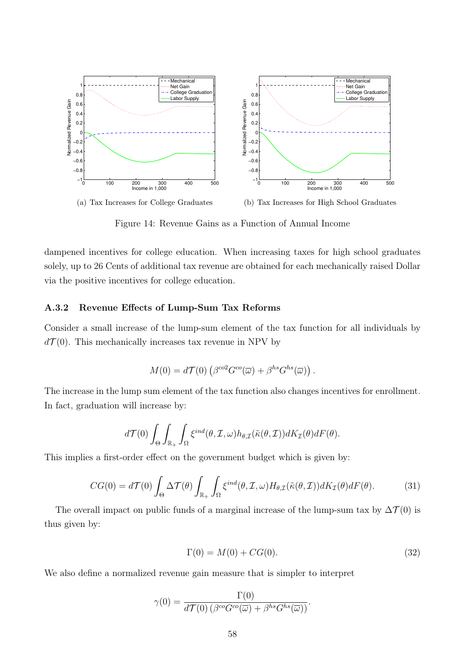

(a) Tax Increases for College Graduates (b) Tax Increases for High School Graduates

Figure 14: Revenue Gains as a Function of Annual Income

dampened incentives for college education. When increasing taxes for high school graduates solely, up to 26 Cents of additional tax revenue are obtained for each mechanically raised Dollar via the positive incentives for college education.

### A.3.2 Revenue Effects of Lump-Sum Tax Reforms

Consider a small increase of the lump-sum element of the tax function for all individuals by  $d\mathcal{T}(0)$ . This mechanically increases tax revenue in NPV by

$$
M(0) = d\mathcal{T}(0) \left( \beta^{co2} G^{co}(\overline{\omega}) + \beta^{hs} G^{hs}(\overline{\omega}) \right).
$$

The increase in the lump sum element of the tax function also changes incentives for enrollment. In fact, graduation will increase by:

$$
d\mathcal{T}(0)\int_{\Theta}\int_{\mathbb{R}_+}\int_{\Omega}\xi^{ind}(\theta,\mathcal{I},\omega)h_{\theta,\mathcal{I}}(\tilde{\kappa}(\theta,\mathcal{I}))dK_{\mathcal{I}}(\theta)dF(\theta).
$$

This implies a first-order effect on the government budget which is given by:

$$
CG(0) = d\mathcal{T}(0) \int_{\Theta} \Delta \mathcal{T}(\theta) \int_{\mathbb{R}_+} \int_{\Omega} \xi^{ind}(\theta, \mathcal{I}, \omega) H_{\theta, \mathcal{I}}(\tilde{\kappa}(\theta, \mathcal{I})) dK_{\mathcal{I}}(\theta) dF(\theta).
$$
 (31)

The overall impact on public funds of a marginal increase of the lump-sum tax by  $\Delta \mathcal{T}(0)$  is thus given by:

$$
\Gamma(0) = M(0) + CG(0). \tag{32}
$$

We also define a normalized revenue gain measure that is simpler to interpret

$$
\gamma(0) = \frac{\Gamma(0)}{d\mathcal{T}(0) \left(\beta^{co} G^{co}(\overline{\omega}) + \beta^{hs} G^{hs}(\overline{\omega})\right)}.
$$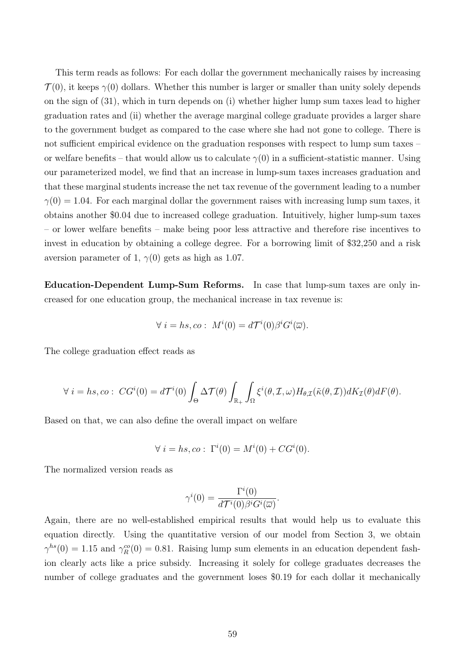This term reads as follows: For each dollar the government mechanically raises by increasing  $\mathcal{T}(0)$ , it keeps  $\gamma(0)$  dollars. Whether this number is larger or smaller than unity solely depends on the sign of (31), which in turn depends on (i) whether higher lump sum taxes lead to higher graduation rates and (ii) whether the average marginal college graduate provides a larger share to the government budget as compared to the case where she had not gone to college. There is not sufficient empirical evidence on the graduation responses with respect to lump sum taxes – or welfare benefits – that would allow us to calculate  $\gamma(0)$  in a sufficient-statistic manner. Using our parameterized model, we find that an increase in lump-sum taxes increases graduation and that these marginal students increase the net tax revenue of the government leading to a number  $\gamma(0) = 1.04$ . For each marginal dollar the government raises with increasing lump sum taxes, it obtains another \$0.04 due to increased college graduation. Intuitively, higher lump-sum taxes – or lower welfare benefits – make being poor less attractive and therefore rise incentives to invest in education by obtaining a college degree. For a borrowing limit of \$32,250 and a risk aversion parameter of 1,  $\gamma(0)$  gets as high as 1.07.

Education-Dependent Lump-Sum Reforms. In case that lump-sum taxes are only increased for one education group, the mechanical increase in tax revenue is:

$$
\forall i = hs, co: M^{i}(0) = d\mathcal{T}^{i}(0)\beta^{i}G^{i}(\overline{\omega}).
$$

The college graduation effect reads as

$$
\forall i = hs, co: CG^{i}(0) = d\mathcal{T}^{i}(0) \int_{\Theta} \Delta \mathcal{T}(\theta) \int_{\mathbb{R}_{+}} \int_{\Omega} \xi^{i}(\theta, \mathcal{I}, \omega) H_{\theta, \mathcal{I}}(\tilde{\kappa}(\theta, \mathcal{I})) dK_{\mathcal{I}}(\theta) dF(\theta).
$$

Based on that, we can also define the overall impact on welfare

$$
\forall i = hs, co: \ \Gamma^i(0) = M^i(0) + CG^i(0).
$$

The normalized version reads as

$$
\gamma^{i}(0) = \frac{\Gamma^{i}(0)}{d\mathcal{T}^{i}(0)\beta^{i}G^{i}(\overline{\omega})}.
$$

Again, there are no well-established empirical results that would help us to evaluate this equation directly. Using the quantitative version of our model from Section 3, we obtain  $\gamma^{hs}(0) = 1.15$  and  $\gamma_R^{co}(0) = 0.81$ . Raising lump sum elements in an education dependent fashion clearly acts like a price subsidy. Increasing it solely for college graduates decreases the number of college graduates and the government loses \$0.19 for each dollar it mechanically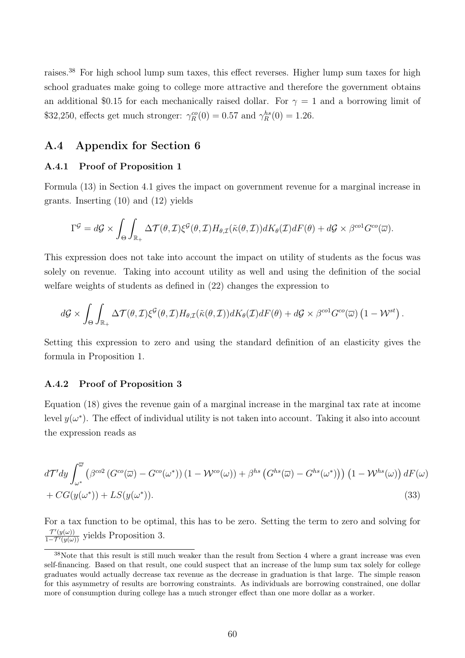raises.<sup>38</sup> For high school lump sum taxes, this effect reverses. Higher lump sum taxes for high school graduates make going to college more attractive and therefore the government obtains an additional \$0.15 for each mechanically raised dollar. For  $\gamma = 1$  and a borrowing limit of \$32,250, effects get much stronger:  $\gamma_R^{co}(0) = 0.57$  and  $\gamma_R^{hs}(0) = 1.26$ .

### A.4 Appendix for Section 6

### A.4.1 Proof of Proposition 1

Formula (13) in Section 4.1 gives the impact on government revenue for a marginal increase in grants. Inserting (10) and (12) yields

$$
\Gamma^{\mathcal{G}} = d\mathcal{G} \times \int_{\Theta} \int_{\mathbb{R}_+} \Delta \mathcal{T}(\theta, \mathcal{I}) \xi^{\mathcal{G}}(\theta, \mathcal{I}) H_{\theta, \mathcal{I}}(\tilde{\kappa}(\theta, \mathcal{I})) dK_{\theta}(\mathcal{I}) dF(\theta) + d\mathcal{G} \times \beta^{co1} G^{co}(\overline{\omega}).
$$

This expression does not take into account the impact on utility of students as the focus was solely on revenue. Taking into account utility as well and using the definition of the social welfare weights of students as defined in (22) changes the expression to

$$
d\mathcal{G} \times \int_{\Theta} \int_{\mathbb{R}_+} \Delta \mathcal{T}(\theta, \mathcal{I}) \xi^{\mathcal{G}}(\theta, \mathcal{I}) H_{\theta, \mathcal{I}}(\tilde{\kappa}(\theta, \mathcal{I})) dK_{\theta}(\mathcal{I}) dF(\theta) + d\mathcal{G} \times \beta^{co1} G^{co}(\overline{\omega}) \left(1 - \mathcal{W}^{st}\right).
$$

Setting this expression to zero and using the standard definition of an elasticity gives the formula in Proposition 1.

### A.4.2 Proof of Proposition 3

Equation (18) gives the revenue gain of a marginal increase in the marginal tax rate at income level  $y(\omega^*)$ . The effect of individual utility is not taken into account. Taking it also into account the expression reads as

$$
d\mathcal{T}' dy \int_{\omega^*}^{\overline{\omega}} \left( \beta^{\text{co2}} \left( G^{\text{co}} (\overline{\omega}) - G^{\text{co}} (\omega^*) \right) (1 - \mathcal{W}^{\text{co}} (\omega)) + \beta^{hs} \left( G^{\text{hs}} (\overline{\omega}) - G^{\text{hs}} (\omega^*) \right) \right) \left( 1 - \mathcal{W}^{\text{hs}} (\omega) \right) dF(\omega)
$$
  
+  $CG(y(\omega^*)) + LS(y(\omega^*)).$  (33)

For a tax function to be optimal, this has to be zero. Setting the term to zero and solving for  $\frac{\mathcal{T}'(y(\omega))}{1-\mathcal{T}'(y(\omega))}$  yields Proposition 3.

<sup>&</sup>lt;sup>38</sup>Note that this result is still much weaker than the result from Section 4 where a grant increase was even self-financing. Based on that result, one could suspect that an increase of the lump sum tax solely for college graduates would actually decrease tax revenue as the decrease in graduation is that large. The simple reason for this asymmetry of results are borrowing constraints. As individuals are borrowing constrained, one dollar more of consumption during college has a much stronger effect than one more dollar as a worker.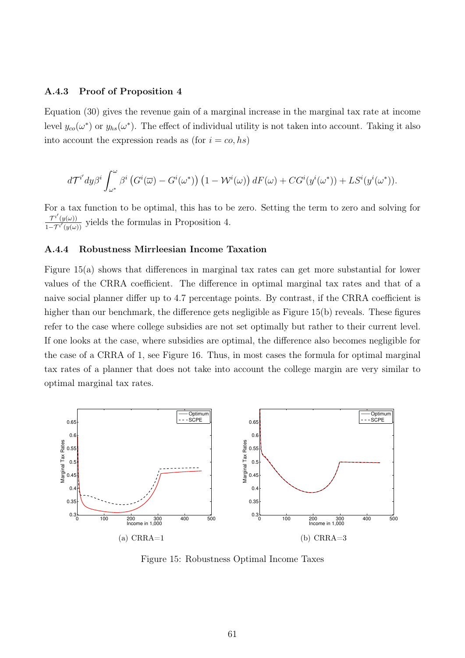#### A.4.3 Proof of Proposition 4

Equation (30) gives the revenue gain of a marginal increase in the marginal tax rate at income level  $y_{co}(\omega^*)$  or  $y_{hs}(\omega^*)$ . The effect of individual utility is not taken into account. Taking it also into account the expression reads as (for  $i = co, hs$ )

$$
d\mathcal{T}^{i'}dy\beta^{i}\int_{\omega^{*}}^{\omega}\beta^{i}\left(G^{i}(\overline{\omega})-G^{i}(\omega^{*})\right)\left(1-\mathcal{W}^{i}(\omega)\right)dF(\omega)+CG^{i}(y^{i}(\omega^{*}))+LS^{i}(y^{i}(\omega^{*})).
$$

For a tax function to be optimal, this has to be zero. Setting the term to zero and solving for  $\mathcal{T}^{i'}(y(\omega))$  $\frac{1 - \tau^i(y(\omega))}{1 - \tau^i(y(\omega))}$  yields the formulas in Proposition 4.

#### A.4.4 Robustness Mirrleesian Income Taxation

Figure 15(a) shows that differences in marginal tax rates can get more substantial for lower values of the CRRA coefficient. The difference in optimal marginal tax rates and that of a naive social planner differ up to 4.7 percentage points. By contrast, if the CRRA coefficient is higher than our benchmark, the difference gets negligible as Figure 15(b) reveals. These figures refer to the case where college subsidies are not set optimally but rather to their current level. If one looks at the case, where subsidies are optimal, the difference also becomes negligible for the case of a CRRA of 1, see Figure 16. Thus, in most cases the formula for optimal marginal tax rates of a planner that does not take into account the college margin are very similar to optimal marginal tax rates.



Figure 15: Robustness Optimal Income Taxes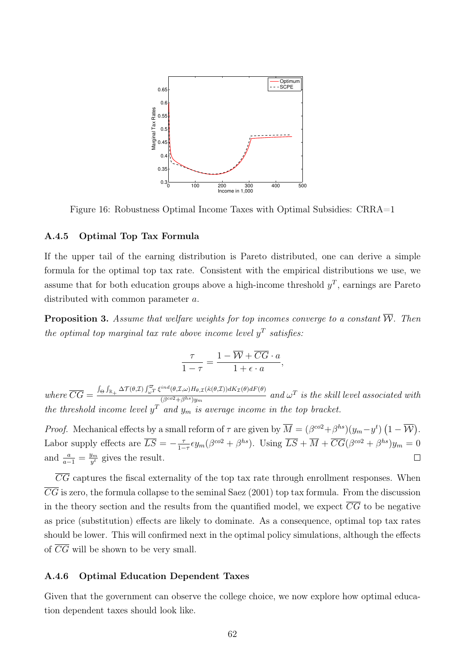

Figure 16: Robustness Optimal Income Taxes with Optimal Subsidies: CRRA=1

### A.4.5 Optimal Top Tax Formula

If the upper tail of the earning distribution is Pareto distributed, one can derive a simple formula for the optimal top tax rate. Consistent with the empirical distributions we use, we assume that for both education groups above a high-income threshold  $y<sup>T</sup>$ , earnings are Pareto distributed with common parameter a.

**Proposition 3.** Assume that welfare weights for top incomes converge to a constant  $\overline{W}$ . Then the optimal top marginal tax rate above income level  $y^T$  satisfies:

$$
\frac{\tau}{1-\tau} = \frac{1-\overline{\mathcal{W}} + \overline{CG} \cdot a}{1+\epsilon \cdot a},
$$

 $where \ \overline{CG} = \frac{\int_{\Theta} \int_{\mathbb{R}_+} \Delta \mathcal{T}(\theta, \mathcal{I}) \int_{\omega}^{\overline{\omega}} \xi^{ind}(\theta, \mathcal{I}, \omega) H_{\theta, \mathcal{I}}(\tilde{\kappa}(\theta, \mathcal{I})) dK_{\mathcal{I}}(\theta) dF(\theta)}{(\beta^{co2} + \beta^{hs})_{ii}}$  $\frac{\partial^{\left(\mathcal{O},2,\omega\right)\mu_{\theta, L}(n(\omega,z))\mu_{\theta, L}(n(\omega,z))\mu_{\theta, L}(n(\omega,z))\mu_{\theta, L}(n(\omega,z))\mu_{\theta, L}(n(\omega,z))\mu_{\theta, L}(n(\omega,z))\mu_{\theta, L}(n(\omega,z))\mu_{\theta, L}(n(\omega,z))\mu_{\theta, L}(n(\omega,z))\mu_{\theta, L}(n(\omega,z))\mu_{\theta, L}(n(\omega,z))\mu_{\theta, L}(n(\omega,z))\mu_{\theta, L}(n(\omega,z))\mu_{\theta, L}(n(\omega,z))\mu_{\theta, L}(n(\omega,z))\mu_{\theta, L$ the threshold income level  $y^T$  and  $y_m$  is average income in the top bracket.

*Proof.* Mechanical effects by a small reform of  $\tau$  are given by  $\overline{M} = (\beta^{\omega 2} + \beta^{h s})(y_m - y^t) (1 - \overline{W})$ . Labor supply effects are  $\overline{LS} = -\frac{\tau}{1-\tau}$  $\frac{\tau}{1-\tau} \epsilon y_m(\beta^{co2} + \beta^{hs}).$  Using  $\overline{LS} + \overline{M} + \overline{CG}(\beta^{co2} + \beta^{hs})y_m = 0$ and  $\frac{a}{a-1} = \frac{y_m}{y^t}$  $\frac{y_m}{y^t}$  gives the result.  $\Box$ 

 $\overline{CG}$  captures the fiscal externality of the top tax rate through enrollment responses. When  $\overline{CG}$  is zero, the formula collapse to the seminal Saez (2001) top tax formula. From the discussion in the theory section and the results from the quantified model, we expect  $\overline{CG}$  to be negative as price (substitution) effects are likely to dominate. As a consequence, optimal top tax rates should be lower. This will confirmed next in the optimal policy simulations, although the effects of  $\overline{CG}$  will be shown to be very small.

### A.4.6 Optimal Education Dependent Taxes

Given that the government can observe the college choice, we now explore how optimal education dependent taxes should look like.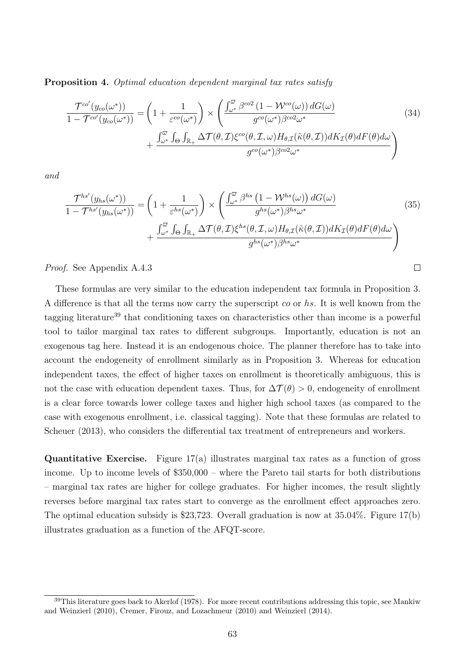Proposition 4. Optimal education dependent marginal tax rates satisfy

$$
\frac{\mathcal{T}^{co'}(y_{co}(\omega^{*}))}{1 - \mathcal{T}^{co'}(y_{co}(\omega^{*}))} = \left(1 + \frac{1}{\varepsilon^{co}(\omega^{*})}\right) \times \left(\frac{\int_{\omega^{*}}^{\overline{\omega}} \beta^{co2} (1 - \mathcal{W}^{co}(\omega)) dG(\omega)}{g^{co}(\omega^{*}) \beta^{co2} \omega^{*}} + \frac{\int_{\omega^{*}}^{\overline{\omega}} \int_{\Theta} \int_{\mathbb{R}_{+}} \Delta \mathcal{T}(\theta, \mathcal{I}) \xi^{co}(\theta, \mathcal{I}, \omega) H_{\theta, \mathcal{I}}(\tilde{\kappa}(\theta, \mathcal{I})) dK_{\mathcal{I}}(\theta) dF(\theta) d\omega}{g^{co}(\omega^{*}) \beta^{co2} \omega^{*}}\right)
$$
\n(34)

and

$$
\frac{\mathcal{T}^{hs'}(y_{hs}(\omega^*))}{1 - \mathcal{T}^{hs'}(y_{hs}(\omega^*))} = \left(1 + \frac{1}{\varepsilon^{hs}(\omega^*)}\right) \times \left(\frac{\int_{\omega^*}^{\overline{\omega}} \beta^{hs} (1 - \mathcal{W}^{hs}(\omega)) dG(\omega)}{g^{hs}(\omega^*) \beta^{hs} \omega^*} + \frac{\int_{\omega^*}^{\overline{\omega}} \int_{\Theta} \int_{\mathbb{R}_+} \Delta \mathcal{T}(\theta, \mathcal{I}) \xi^{hs}(\theta, \mathcal{I}, \omega) H_{\theta, \mathcal{I}}(\tilde{\kappa}(\theta, \mathcal{I})) dK_{\mathcal{I}}(\theta) dF(\theta) d\omega}{g^{hs}(\omega^*) \beta^{hs} \omega^*}\right)
$$
\n(35)

 $\Box$ 

Proof. See Appendix A.4.3

These formulas are very similar to the education independent tax formula in Proposition 3. A difference is that all the terms now carry the superscript co or hs. It is well known from the tagging literature<sup>39</sup> that conditioning taxes on characteristics other than income is a powerful tool to tailor marginal tax rates to different subgroups. Importantly, education is not an exogenous tag here. Instead it is an endogenous choice. The planner therefore has to take into account the endogeneity of enrollment similarly as in Proposition 3. Whereas for education independent taxes, the effect of higher taxes on enrollment is theoretically ambiguous, this is not the case with education dependent taxes. Thus, for  $\Delta \mathcal{T}(\theta) > 0$ , endogeneity of enrollment is a clear force towards lower college taxes and higher high school taxes (as compared to the case with exogenous enrollment, i.e. classical tagging). Note that these formulas are related to Scheuer (2013), who considers the differential tax treatment of entrepreneurs and workers.

**Quantitative Exercise.** Figure  $17(a)$  illustrates marginal tax rates as a function of gross income. Up to income levels of \$350,000 – where the Pareto tail starts for both distributions – marginal tax rates are higher for college graduates. For higher incomes, the result slightly reverses before marginal tax rates start to converge as the enrollment effect approaches zero. The optimal education subsidy is \$23,723. Overall graduation is now at 35.04%. Figure 17(b) illustrates graduation as a function of the AFQT-score.

 $39$ This literature goes back to Akerlof (1978). For more recent contributions addressing this topic, see Mankiw and Weinzierl (2010), Cremer, Firouz, and Lozachmeur (2010) and Weinzierl (2014).